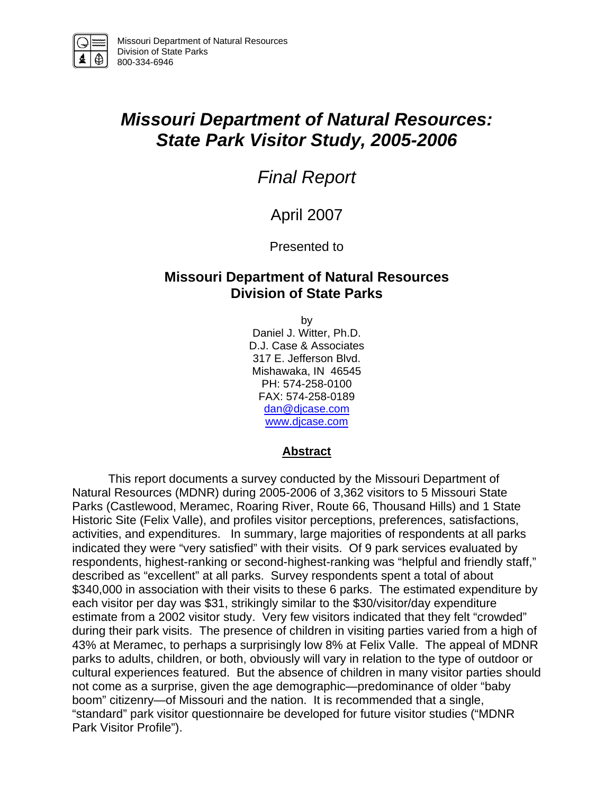

# *Missouri Department of Natural Resources: State Park Visitor Study, 2005-2006*

# *Final Report*

## April 2007

### Presented to

## **Missouri Department of Natural Resources Division of State Parks**

by

Daniel J. Witter, Ph.D. D.J. Case & Associates 317 E. Jefferson Blvd. Mishawaka, IN 46545 PH: 574-258-0100 FAX: 574-258-0189 dan@djcase.com www.djcase.com

#### **Abstract**

 This report documents a survey conducted by the Missouri Department of Natural Resources (MDNR) during 2005-2006 of 3,362 visitors to 5 Missouri State Parks (Castlewood, Meramec, Roaring River, Route 66, Thousand Hills) and 1 State Historic Site (Felix Valle), and profiles visitor perceptions, preferences, satisfactions, activities, and expenditures. In summary, large majorities of respondents at all parks indicated they were "very satisfied" with their visits. Of 9 park services evaluated by respondents, highest-ranking or second-highest-ranking was "helpful and friendly staff," described as "excellent" at all parks. Survey respondents spent a total of about \$340,000 in association with their visits to these 6 parks. The estimated expenditure by each visitor per day was \$31, strikingly similar to the \$30/visitor/day expenditure estimate from a 2002 visitor study. Very few visitors indicated that they felt "crowded" during their park visits. The presence of children in visiting parties varied from a high of 43% at Meramec, to perhaps a surprisingly low 8% at Felix Valle. The appeal of MDNR parks to adults, children, or both, obviously will vary in relation to the type of outdoor or cultural experiences featured. But the absence of children in many visitor parties should not come as a surprise, given the age demographic—predominance of older "baby boom" citizenry—of Missouri and the nation. It is recommended that a single, "standard" park visitor questionnaire be developed for future visitor studies ("MDNR Park Visitor Profile").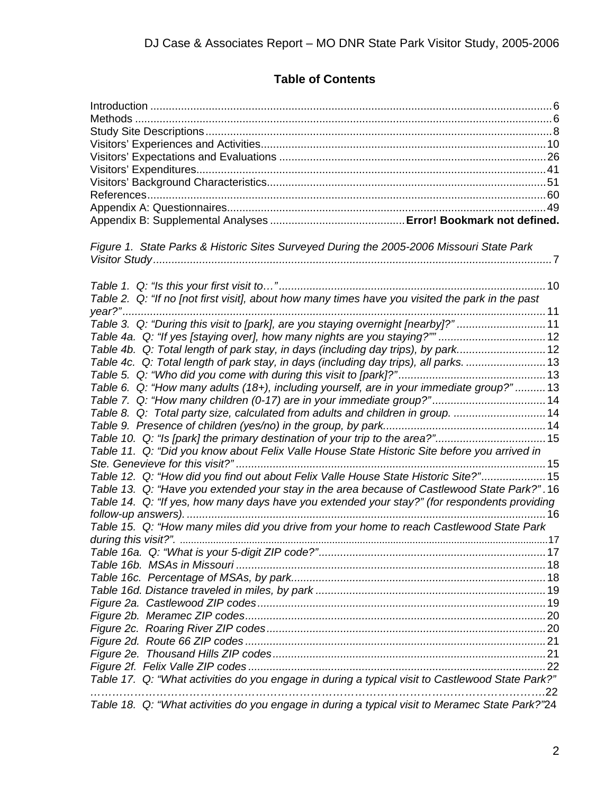## **Table of Contents**

| Figure 1. State Parks & Historic Sites Surveyed During the 2005-2006 Missouri State Park         |     |
|--------------------------------------------------------------------------------------------------|-----|
|                                                                                                  |     |
|                                                                                                  |     |
|                                                                                                  |     |
| Table 2. Q: "If no [not first visit], about how many times have you visited the park in the past |     |
|                                                                                                  |     |
| Table 3. Q: "During this visit to [park], are you staying overnight [nearby]?"11                 |     |
| Table 4a. Q: "If yes [staying over], how many nights are you staying?""  12                      |     |
| Table 4b. Q: Total length of park stay, in days (including day trips), by park12                 |     |
| Table 4c. Q: Total length of park stay, in days (including day trips), all parks. 13             |     |
|                                                                                                  |     |
| Table 6. Q: "How many adults (18+), including yourself, are in your immediate group?" 13         |     |
| Table 7. Q: "How many children (0-17) are in your immediate group?" 14                           |     |
| Table 8. Q: Total party size, calculated from adults and children in group. 14                   |     |
|                                                                                                  |     |
| Table 10. Q: "Is [park] the primary destination of your trip to the area?"15                     |     |
| Table 11. Q: "Did you know about Felix Valle House State Historic Site before you arrived in     |     |
|                                                                                                  |     |
| Table 12. Q: "How did you find out about Felix Valle House State Historic Site?" 15              |     |
| Table 13. Q: "Have you extended your stay in the area because of Castlewood State Park?".16      |     |
| Table 14. Q: "If yes, how many days have you extended your stay?" (for respondents providing     |     |
|                                                                                                  |     |
| Table 15. Q: "How many miles did you drive from your home to reach Castlewood State Park         |     |
|                                                                                                  |     |
|                                                                                                  |     |
|                                                                                                  |     |
|                                                                                                  |     |
|                                                                                                  |     |
|                                                                                                  |     |
|                                                                                                  |     |
|                                                                                                  |     |
|                                                                                                  |     |
|                                                                                                  |     |
|                                                                                                  |     |
| Table 17. Q: "What activities do you engage in during a typical visit to Castlewood State Park?" | .22 |
| Table 18. Q: "What activities do you engage in during a typical visit to Meramec State Park?"24  |     |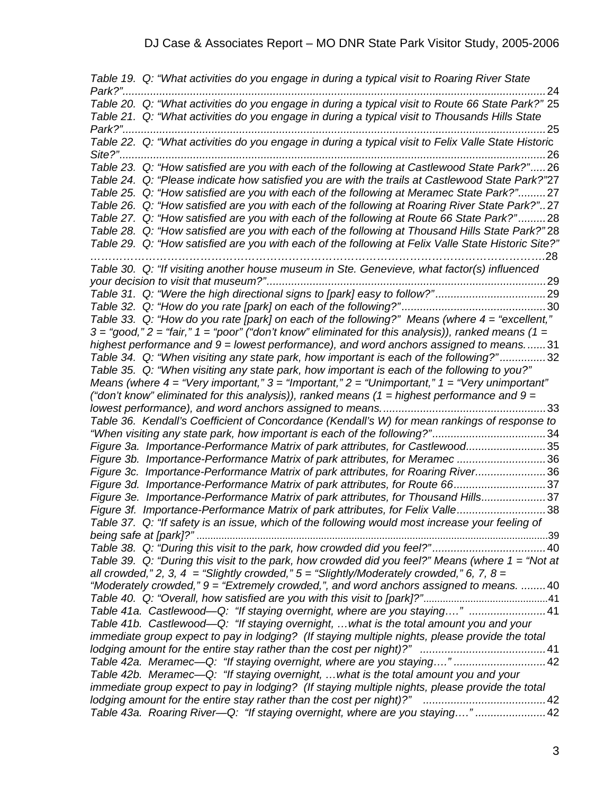*Table 19. Q: "What activities do you engage in during a typical visit to Roaring River State Park?"..........................................................................................................................................*24 *Table 20. Q: "What activities do you engage in during a typical visit to Route 66 State Park?"* 25 *Table 21. Q: "What activities do you engage in during a typical visit to Thousands Hills State Park?"..........................................................................................................................................*25 *Table 22. Q: "What activities do you engage in during a typical visit to Felix Valle State Histori*c *Site?"...........................................................................................................................................*26 *Table 23. Q: "How satisfied are you with each of the following at Castlewood State Park?".....*26 *Table 24. Q: "Please indicate how satisfied you are with the trails at Castlewood State Park?"*27 *Table 25. Q: "How satisfied are you with each of the following at Meramec State Park?".........*27 *Table 26. Q: "How satisfied are you with each of the following at Roaring River State Park?"..*27 *Table 27. Q: "How satisfied are you with each of the following at Route 66 State Park?" .........*28 *Table 28. Q: "How satisfied are you with each of the following at Thousand Hills State Park?"* 28 *Table 29. Q: "How satisfied are you with each of the following at Felix Valle State Historic Site?" …………………………………………………………………………………………………………….*28 *Table 30. Q: "If visiting another house museum in Ste. Genevieve, what factor(s) influenced your decision to visit that museum?"...........................................................................................*29 *Table 31. Q: "Were the high directional signs to [park] easy to follow?"....................................*29 *Table 32. Q: "How do you rate [park] on each of the following?"...............................................*30 *Table 33. Q: "How do you rate [park] on each of the following?" Means (where 4 = "excellent,"*   $3 =$  "good,"  $2 =$  "fair,"  $1 =$  "poor" ("don't know" eliminated for this analysis)), ranked means ( $1 =$ *highest performance and 9 = lowest performance), and word anchors assigned to means.......*31 *Table 34. Q: "When visiting any state park, how important is each of the following?" ...............*32 *Table 35. Q: "When visiting any state park, how important is each of the following to you?" Means (where 4 = "Very important," 3 = "Important," 2 = "Unimportant," 1 = "Very unimportant" ("don't know" eliminated for this analysis)), ranked means (1 = highest performance and 9 = lowest performance), and word anchors assigned to means......................................................*33 *Table 36. Kendall's Coefficient of Concordance (Kendall's W) for mean rankings of response to "When visiting any state park, how important is each of the following?".....................................*34 *Figure 3a. Importance-Performance Matrix of park attributes, for Castlewood..........................*35 *Figure 3b. Importance-Performance Matrix of park attributes, for Meramec .............................*36 *Figure 3c. Importance-Performance Matrix of park attributes, for Roaring River.......................*36 *Figure 3d. Importance-Performance Matrix of park attributes, for Route 66..............................*37 *Figure 3e. Importance-Performance Matrix of park attributes, for Thousand Hills.....................*37 *Figure 3f. Importance-Performance Matrix of park attributes, for Felix Valle.............................*38 *Table 37. Q: "If safety is an issue, which of the following would most increase your feeling of being safe at [park]?"* ...............................................................................................................................39 *Table 38. Q: "During this visit to the park, how crowded did you feel?".....................................*40 *Table 39. Q: "During this visit to the park, how crowded did you feel?" Means (where 1 = "Not at all crowded," 2, 3, 4 = "Slightly crowded,"*  $5 =$  *"Slightly/Moderately crowded," 6, 7, 8 = "Moderately crowded," 9 = "Extremely crowded,", and word anchors assigned to means. ........*40 *Table 40. Q: "Overall, how satisfied are you with this visit to [park]?"*.............................................41 *Table 41a. Castlewood—Q: "If staying overnight, where are you staying…." .........................*41 *Table 41b. Castlewood—Q: "If staying overnight, …what is the total amount you and your immediate group expect to pay in lodging? (If staying multiple nights, please provide the total lodging amount for the entire stay rather than the cost per night)?" .........................................*41 *Table 42a. Meramec—Q: "If staying overnight, where are you staying…." ..............................*42 *Table 42b. Meramec—Q: "If staying overnight, …what is the total amount you and your immediate group expect to pay in lodging? (If staying multiple nights, please provide the total lodging amount for the entire stay rather than the cost per night)?" ........................................*42 *Table 43a. Roaring River—Q: "If staying overnight, where are you staying…." .......................*42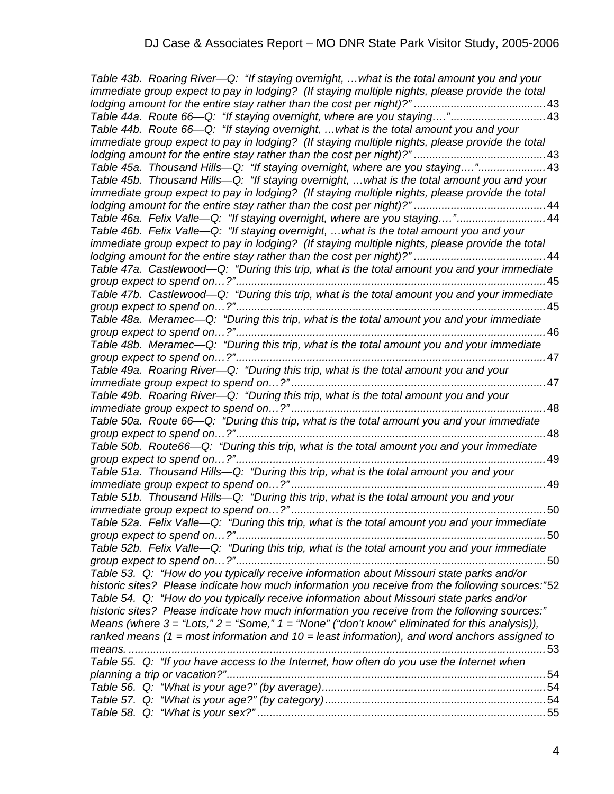*Table 43b. Roaring River—Q: "If staying overnight, …what is the total amount you and your immediate group expect to pay in lodging? (If staying multiple nights, please provide the total lodging amount for the entire stay rather than the cost per night)?" ...........................................*43 *Table 44a. Route 66—Q: "If staying overnight, where are you staying…."...............................*43 *Table 44b. Route 66—Q: "If staying overnight, …what is the total amount you and your immediate group expect to pay in lodging? (If staying multiple nights, please provide the total lodging amount for the entire stay rather than the cost per night)?" ...........................................*43 *Table 45a. Thousand Hills—Q: "If staying overnight, where are you staying…."......................*43 *Table 45b. Thousand Hills—Q: "If staying overnight, …what is the total amount you and your immediate group expect to pay in lodging? (If staying multiple nights, please provide the total lodging amount for the entire stay rather than the cost per night)?" ...........................................*44 *Table 46a. Felix Valle—Q: "If staying overnight, where are you staying….".............................*44 *Table 46b. Felix Valle—Q: "If staying overnight, …what is the total amount you and your immediate group expect to pay in lodging? (If staying multiple nights, please provide the total lodging amount for the entire stay rather than the cost per night)?" ...........................................*44 *Table 47a. Castlewood—Q: "During this trip, what is the total amount you and your immediate group expect to spend on…?".....................................................................................................*45 *Table 47b. Castlewood—Q: "During this trip, what is the total amount you and your immediate group expect to spend on…?".....................................................................................................*45 *Table 48a. Meramec—Q: "During this trip, what is the total amount you and your immediate group expect to spend on…?".....................................................................................................*46 *Table 48b. Meramec—Q: "During this trip, what is the total amount you and your immediate group expect to spend on…?".....................................................................................................*47 *Table 49a. Roaring River—Q: "During this trip, what is the total amount you and your immediate group expect to spend on…?" ...................................................................................*47 *Table 49b. Roaring River—Q: "During this trip, what is the total amount you and your immediate group expect to spend on…?" ...................................................................................*48 *Table 50a. Route 66—Q: "During this trip, what is the total amount you and your immediate group expect to spend on…?".....................................................................................................*48 *Table 50b. Route66—Q: "During this trip, what is the total amount you and your immediate group expect to spend on…?".....................................................................................................*49 *Table 51a. Thousand Hills—Q: "During this trip, what is the total amount you and your immediate group expect to spend on…?" ...................................................................................*49 *Table 51b. Thousand Hills—Q: "During this trip, what is the total amount you and your immediate group expect to spend on…?" ...................................................................................*50 *Table 52a. Felix Valle—Q: "During this trip, what is the total amount you and your immediate group expect to spend on…?".....................................................................................................*50 *Table 52b. Felix Valle—Q: "During this trip, what is the total amount you and your immediate group expect to spend on…?".....................................................................................................*50 *Table 53. Q: "How do you typically receive information about Missouri state parks and/or historic sites? Please indicate how much information you receive from the following sources:"*52 *Table 54. Q: "How do you typically receive information about Missouri state parks and/or historic sites? Please indicate how much information you receive from the following sources:" Means (where 3 = "Lots," 2 = "Some," 1 = "None" ("don't know" eliminated for this analysis)), ranked means (1 = most information and 10 = least information), and word anchors assigned to means. ........................................................................................................................................*53 *Table 55. Q: "If you have access to the Internet, how often do you use the Internet when planning a trip or vacation?"........................................................................................................*54 *Table 56. Q: "What is your age?" (by average).........................................................................*54 *Table 57. Q: "What is your age?" (by category)........................................................................*54 *Table 58. Q: "What is your sex?" ..............................................................................................*55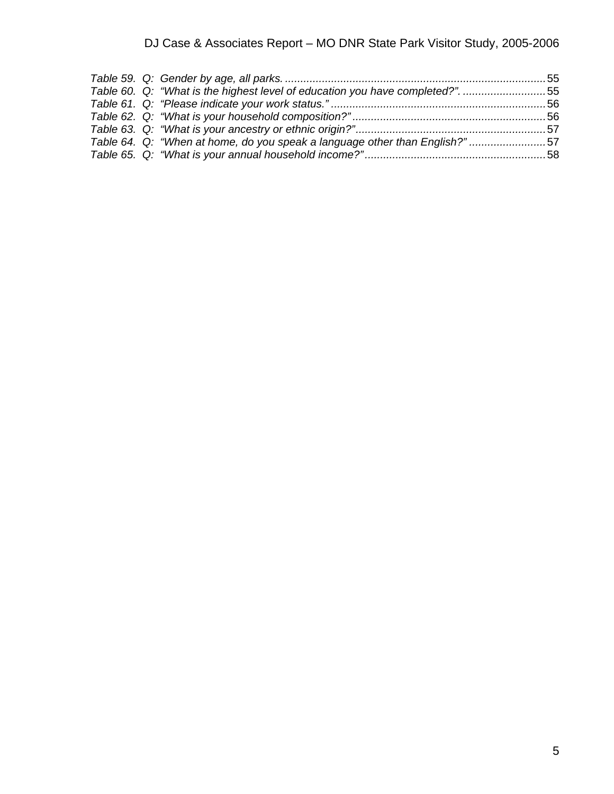|  | Table 60. Q: "What is the highest level of education you have completed?". 55 |  |
|--|-------------------------------------------------------------------------------|--|
|  |                                                                               |  |
|  |                                                                               |  |
|  |                                                                               |  |
|  | Table 64. Q: "When at home, do you speak a language other than English?"57    |  |
|  |                                                                               |  |
|  |                                                                               |  |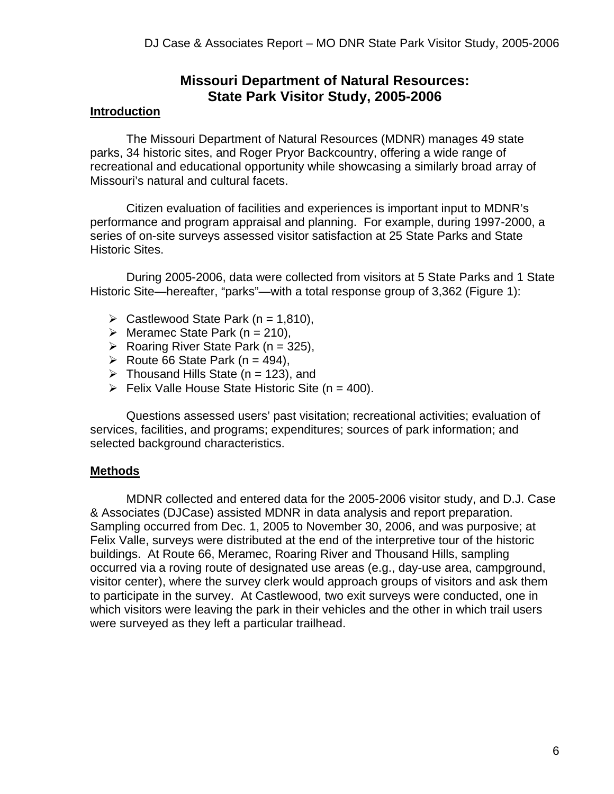## **Missouri Department of Natural Resources: State Park Visitor Study, 2005-2006**

#### **Introduction**

 The Missouri Department of Natural Resources (MDNR) manages 49 state parks, 34 historic sites, and Roger Pryor Backcountry, offering a wide range of recreational and educational opportunity while showcasing a similarly broad array of Missouri's natural and cultural facets.

 Citizen evaluation of facilities and experiences is important input to MDNR's performance and program appraisal and planning. For example, during 1997-2000, a series of on-site surveys assessed visitor satisfaction at 25 State Parks and State Historic Sites.

 During 2005-2006, data were collected from visitors at 5 State Parks and 1 State Historic Site—hereafter, "parks"—with a total response group of 3,362 (Figure 1):

- $\triangleright$  Castlewood State Park (n = 1,810),
- $\triangleright$  Meramec State Park (n = 210),
- $\triangleright$  Roaring River State Park (n = 325),
- ▶ Route 66 State Park <math>(n = 494)</math>,
- $\triangleright$  Thousand Hills State (n = 123), and
- $\triangleright$  Felix Valle House State Historic Site (n = 400).

 Questions assessed users' past visitation; recreational activities; evaluation of services, facilities, and programs; expenditures; sources of park information; and selected background characteristics.

#### **Methods**

MDNR collected and entered data for the 2005-2006 visitor study, and D.J. Case & Associates (DJCase) assisted MDNR in data analysis and report preparation. Sampling occurred from Dec. 1, 2005 to November 30, 2006, and was purposive; at Felix Valle, surveys were distributed at the end of the interpretive tour of the historic buildings. At Route 66, Meramec, Roaring River and Thousand Hills, sampling occurred via a roving route of designated use areas (e.g., day-use area, campground, visitor center), where the survey clerk would approach groups of visitors and ask them to participate in the survey. At Castlewood, two exit surveys were conducted, one in which visitors were leaving the park in their vehicles and the other in which trail users were surveyed as they left a particular trailhead.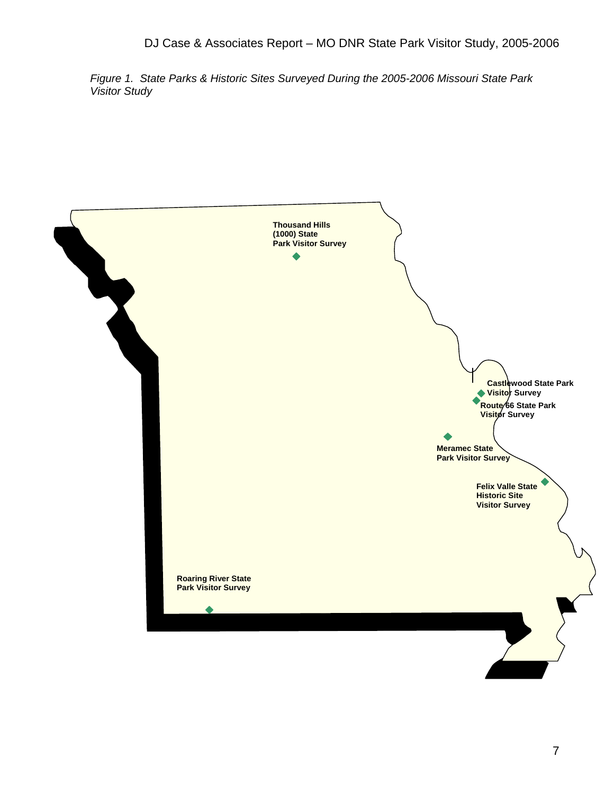*Figure 1. State Parks & Historic Sites Surveyed During the 2005-2006 Missouri State Park Visitor Study* 

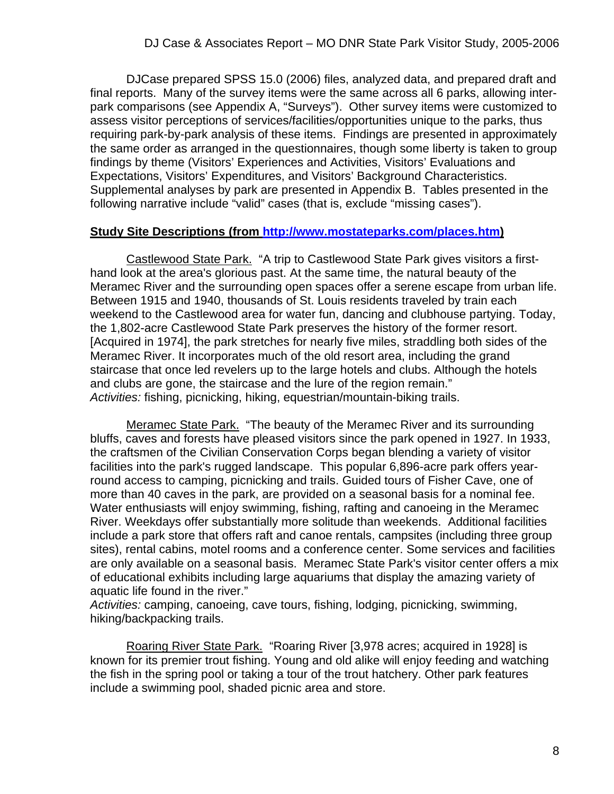DJCase prepared SPSS 15.0 (2006) files, analyzed data, and prepared draft and final reports. Many of the survey items were the same across all 6 parks, allowing interpark comparisons (see Appendix A, "Surveys"). Other survey items were customized to assess visitor perceptions of services/facilities/opportunities unique to the parks, thus requiring park-by-park analysis of these items. Findings are presented in approximately the same order as arranged in the questionnaires, though some liberty is taken to group findings by theme (Visitors' Experiences and Activities, Visitors' Evaluations and Expectations, Visitors' Expenditures, and Visitors' Background Characteristics. Supplemental analyses by park are presented in Appendix B. Tables presented in the following narrative include "valid" cases (that is, exclude "missing cases").

#### **Study Site Descriptions (from http://www.mostateparks.com/places.htm)**

 Castlewood State Park. "A trip to Castlewood State Park gives visitors a firsthand look at the area's glorious past. At the same time, the natural beauty of the Meramec River and the surrounding open spaces offer a serene escape from urban life. Between 1915 and 1940, thousands of St. Louis residents traveled by train each weekend to the Castlewood area for water fun, dancing and clubhouse partying. Today, the 1,802-acre Castlewood State Park preserves the history of the former resort. [Acquired in 1974], the park stretches for nearly five miles, straddling both sides of the Meramec River. It incorporates much of the old resort area, including the grand staircase that once led revelers up to the large hotels and clubs. Although the hotels and clubs are gone, the staircase and the lure of the region remain." *Activities:* fishing, picnicking, hiking, equestrian/mountain-biking trails.

 Meramec State Park. "The beauty of the Meramec River and its surrounding bluffs, caves and forests have pleased visitors since the park opened in 1927. In 1933, the craftsmen of the Civilian Conservation Corps began blending a variety of visitor facilities into the park's rugged landscape. This popular 6,896-acre park offers yearround access to camping, picnicking and trails. Guided tours of Fisher Cave, one of more than 40 caves in the park, are provided on a seasonal basis for a nominal fee. Water enthusiasts will enjoy swimming, fishing, rafting and canoeing in the Meramec River. Weekdays offer substantially more solitude than weekends. Additional facilities include a park store that offers raft and canoe rentals, campsites (including three group sites), rental cabins, motel rooms and a conference center. Some services and facilities are only available on a seasonal basis. Meramec State Park's visitor center offers a mix of educational exhibits including large aquariums that display the amazing variety of aquatic life found in the river."

*Activities:* camping, canoeing, cave tours, fishing, lodging, picnicking, swimming, hiking/backpacking trails.

Roaring River State Park. "Roaring River [3,978 acres; acquired in 1928] is known for its premier trout fishing. Young and old alike will enjoy feeding and watching the fish in the spring pool or taking a tour of the trout hatchery. Other park features include a swimming pool, shaded picnic area and store.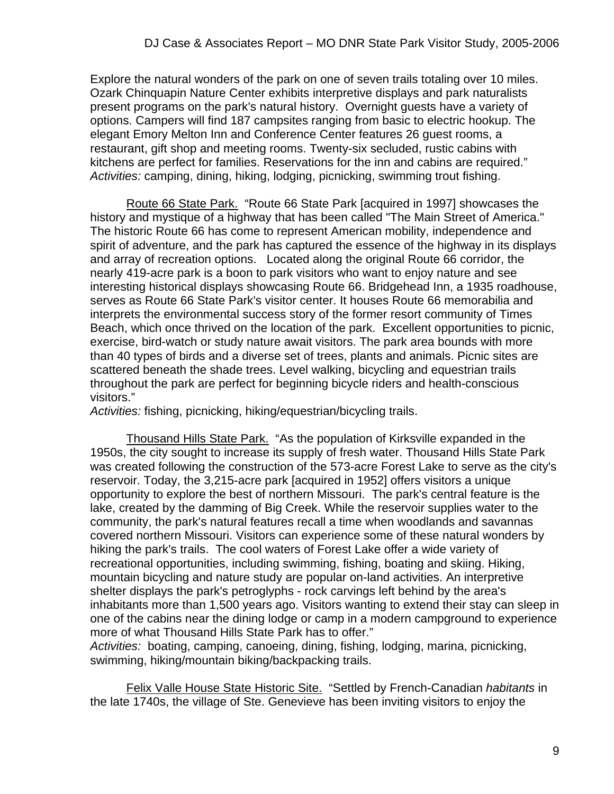Explore the natural wonders of the park on one of seven trails totaling over 10 miles. Ozark Chinquapin Nature Center exhibits interpretive displays and park naturalists present programs on the park's natural history. Overnight guests have a variety of options. Campers will find 187 campsites ranging from basic to electric hookup. The elegant Emory Melton Inn and Conference Center features 26 guest rooms, a restaurant, gift shop and meeting rooms. Twenty-six secluded, rustic cabins with kitchens are perfect for families. Reservations for the inn and cabins are required." *Activities:* camping, dining, hiking, lodging, picnicking, swimming trout fishing.

 Route 66 State Park. "Route 66 State Park [acquired in 1997] showcases the history and mystique of a highway that has been called "The Main Street of America." The historic Route 66 has come to represent American mobility, independence and spirit of adventure, and the park has captured the essence of the highway in its displays and array of recreation options. Located along the original Route 66 corridor, the nearly 419-acre park is a boon to park visitors who want to enjoy nature and see interesting historical displays showcasing Route 66. Bridgehead Inn, a 1935 roadhouse, serves as Route 66 State Park's visitor center. It houses Route 66 memorabilia and interprets the environmental success story of the former resort community of Times Beach, which once thrived on the location of the park. Excellent opportunities to picnic, exercise, bird-watch or study nature await visitors. The park area bounds with more than 40 types of birds and a diverse set of trees, plants and animals. Picnic sites are scattered beneath the shade trees. Level walking, bicycling and equestrian trails throughout the park are perfect for beginning bicycle riders and health-conscious visitors."

*Activities:* fishing, picnicking, hiking/equestrian/bicycling trails.

 Thousand Hills State Park. "As the population of Kirksville expanded in the 1950s, the city sought to increase its supply of fresh water. Thousand Hills State Park was created following the construction of the 573-acre Forest Lake to serve as the city's reservoir. Today, the 3,215-acre park [acquired in 1952] offers visitors a unique opportunity to explore the best of northern Missouri. The park's central feature is the lake, created by the damming of Big Creek. While the reservoir supplies water to the community, the park's natural features recall a time when woodlands and savannas covered northern Missouri. Visitors can experience some of these natural wonders by hiking the park's trails. The cool waters of Forest Lake offer a wide variety of recreational opportunities, including swimming, fishing, boating and skiing. Hiking, mountain bicycling and nature study are popular on-land activities. An interpretive shelter displays the park's petroglyphs - rock carvings left behind by the area's inhabitants more than 1,500 years ago. Visitors wanting to extend their stay can sleep in one of the cabins near the dining lodge or camp in a modern campground to experience more of what Thousand Hills State Park has to offer."

*Activities:* boating, camping, canoeing, dining, fishing, lodging, marina, picnicking, swimming, hiking/mountain biking/backpacking trails.

 Felix Valle House State Historic Site. "Settled by French-Canadian *habitants* in the late 1740s, the village of Ste. Genevieve has been inviting visitors to enjoy the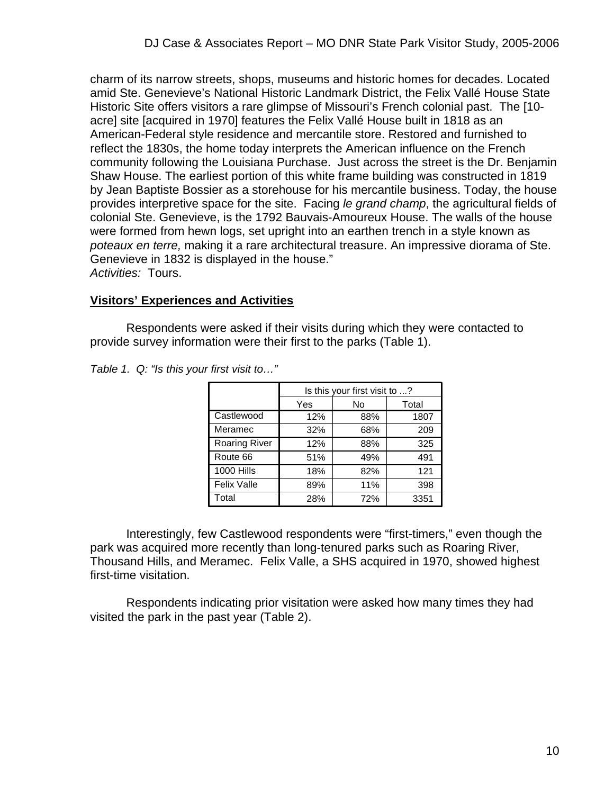charm of its narrow streets, shops, museums and historic homes for decades. Located amid Ste. Genevieve's National Historic Landmark District, the Felix Vallé House State Historic Site offers visitors a rare glimpse of Missouri's French colonial past. The [10 acre] site [acquired in 1970] features the Felix Vallé House built in 1818 as an American-Federal style residence and mercantile store. Restored and furnished to reflect the 1830s, the home today interprets the American influence on the French community following the Louisiana Purchase. Just across the street is the Dr. Benjamin Shaw House. The earliest portion of this white frame building was constructed in 1819 by Jean Baptiste Bossier as a storehouse for his mercantile business. Today, the house provides interpretive space for the site. Facing *le grand champ*, the agricultural fields of colonial Ste. Genevieve, is the 1792 Bauvais-Amoureux House. The walls of the house were formed from hewn logs, set upright into an earthen trench in a style known as *poteaux en terre,* making it a rare architectural treasure. An impressive diorama of Ste. Genevieve in 1832 is displayed in the house." *Activities:* Tours.

#### **Visitors' Experiences and Activities**

 Respondents were asked if their visits during which they were contacted to provide survey information were their first to the parks (Table 1).

|                      |     | Is this your first visit to ? |       |
|----------------------|-----|-------------------------------|-------|
|                      | Yes | No                            | Total |
| Castlewood           | 12% | 88%                           | 1807  |
| Meramec              | 32% | 68%                           | 209   |
| <b>Roaring River</b> | 12% | 88%                           | 325   |
| Route 66             | 51% | 49%                           | 491   |
| 1000 Hills           | 18% | 82%                           | 121   |
| Felix Valle          | 89% | 11%                           | 398   |
| Total                | 28% | 72%                           | 3351  |

*Table 1. Q: "Is this your first visit to…"* 

 Interestingly, few Castlewood respondents were "first-timers," even though the park was acquired more recently than long-tenured parks such as Roaring River, Thousand Hills, and Meramec. Felix Valle, a SHS acquired in 1970, showed highest first-time visitation.

 Respondents indicating prior visitation were asked how many times they had visited the park in the past year (Table 2).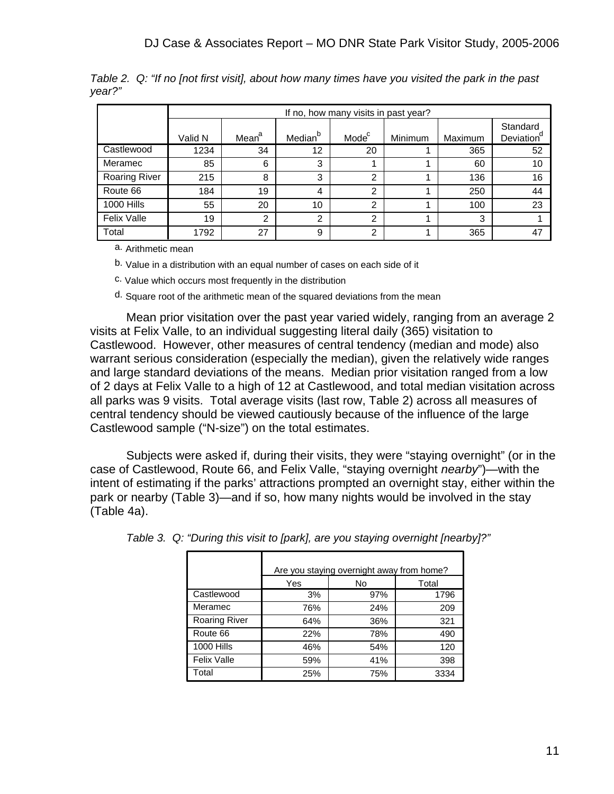|                      |         | If no, how many visits in past year? |                     |                   |         |         |                                    |  |  |  |
|----------------------|---------|--------------------------------------|---------------------|-------------------|---------|---------|------------------------------------|--|--|--|
|                      | Valid N | Mean <sup>a</sup>                    | Median <sup>b</sup> | Mode <sup>c</sup> | Minimum | Maximum | Standard<br>Deviation <sup>a</sup> |  |  |  |
| Castlewood           | 1234    | 34                                   | 12                  | 20                |         | 365     | 52                                 |  |  |  |
| Meramec              | 85      | 6                                    | 3                   |                   |         | 60      | 10                                 |  |  |  |
| <b>Roaring River</b> | 215     | 8                                    | 3                   | $\overline{2}$    |         | 136     | 16                                 |  |  |  |
| Route 66             | 184     | 19                                   | $\overline{4}$      | 2                 |         | 250     | 44                                 |  |  |  |
| <b>1000 Hills</b>    | 55      | 20                                   | 10                  | $\mathcal{P}$     |         | 100     | 23                                 |  |  |  |
| <b>Felix Valle</b>   | 19      | 2                                    | $\mathcal{P}$       | 2                 |         | 3       |                                    |  |  |  |
| Total                | 1792    | 27                                   | 9                   | $\overline{2}$    |         | 365     | 47                                 |  |  |  |

*Table 2. Q: "If no [not first visit], about how many times have you visited the park in the past year?"*

a. Arithmetic mean

b. Value in a distribution with an equal number of cases on each side of it

c. Value which occurs most frequently in the distribution

d. Square root of the arithmetic mean of the squared deviations from the mean

 Mean prior visitation over the past year varied widely, ranging from an average 2 visits at Felix Valle, to an individual suggesting literal daily (365) visitation to Castlewood. However, other measures of central tendency (median and mode) also warrant serious consideration (especially the median), given the relatively wide ranges and large standard deviations of the means. Median prior visitation ranged from a low of 2 days at Felix Valle to a high of 12 at Castlewood, and total median visitation across all parks was 9 visits. Total average visits (last row, Table 2) across all measures of central tendency should be viewed cautiously because of the influence of the large Castlewood sample ("N-size") on the total estimates.

 Subjects were asked if, during their visits, they were "staying overnight" (or in the case of Castlewood, Route 66, and Felix Valle, "staying overnight *nearby*")—with the intent of estimating if the parks' attractions prompted an overnight stay, either within the park or nearby (Table 3)—and if so, how many nights would be involved in the stay (Table 4a).

|                      | Are you staying overnight away from home? |     |       |  |  |  |  |  |
|----------------------|-------------------------------------------|-----|-------|--|--|--|--|--|
|                      | Yes                                       | No  | Total |  |  |  |  |  |
| Castlewood           | 3%                                        | 97% | 1796  |  |  |  |  |  |
| Meramec              | 76%                                       | 24% | 209   |  |  |  |  |  |
| <b>Roaring River</b> | 64%                                       | 36% | 321   |  |  |  |  |  |
| Route 66             | 22%                                       | 78% | 490   |  |  |  |  |  |
| <b>1000 Hills</b>    | 46%                                       | 54% | 120   |  |  |  |  |  |
| <b>Felix Valle</b>   | 59%                                       | 41% | 398   |  |  |  |  |  |
| Total                | 25%                                       | 75% | 3334  |  |  |  |  |  |

| Table 3. Q: "During this visit to [park], are you staying overnight [nearby]?" |  |  |
|--------------------------------------------------------------------------------|--|--|
|                                                                                |  |  |
|                                                                                |  |  |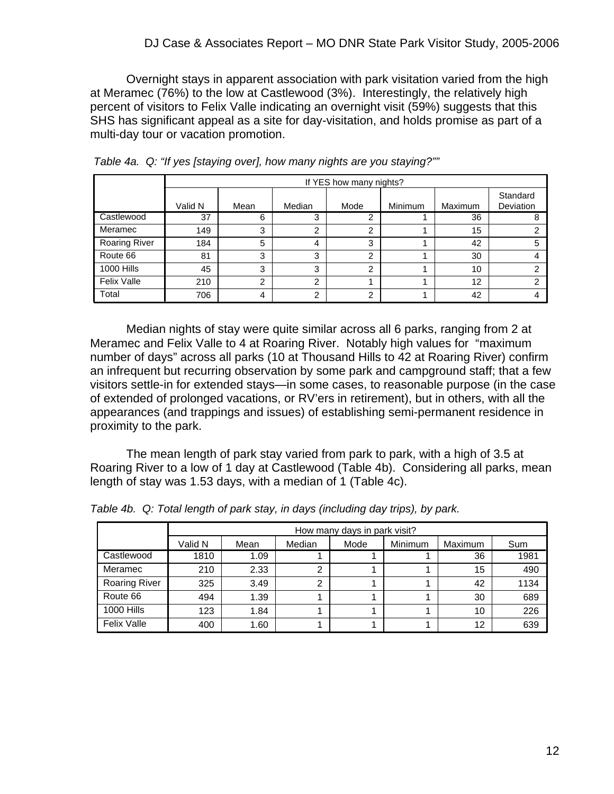Overnight stays in apparent association with park visitation varied from the high at Meramec (76%) to the low at Castlewood (3%). Interestingly, the relatively high percent of visitors to Felix Valle indicating an overnight visit (59%) suggests that this SHS has significant appeal as a site for day-visitation, and holds promise as part of a multi-day tour or vacation promotion.

|                      |         |      |        | If YES how many nights? |                |         |                       |
|----------------------|---------|------|--------|-------------------------|----------------|---------|-----------------------|
|                      | Valid N | Mean | Median | Mode                    | <b>Minimum</b> | Maximum | Standard<br>Deviation |
| Castlewood           | 37      | 6    | 3      | າ                       |                | 36      |                       |
| Meramec              | 149     | 3    | ົ      | າ                       |                | 15      |                       |
| <b>Roaring River</b> | 184     | 5    | 4      | 3                       |                | 42      | 5                     |
| Route 66             | 81      | 3    | 3      | っ                       |                | 30      |                       |
| <b>1000 Hills</b>    | 45      | 3    | 3      | າ                       |                | 10      | ົ                     |
| <b>Felix Valle</b>   | 210     | 2    | ົ      |                         |                | 12      | ົ                     |
| Total                | 706     | 4    | っ      | 2                       |                | 42      |                       |

*Table 4a. Q: "If yes [staying over], how many nights are you staying?""*

 Median nights of stay were quite similar across all 6 parks, ranging from 2 at Meramec and Felix Valle to 4 at Roaring River. Notably high values for "maximum number of days" across all parks (10 at Thousand Hills to 42 at Roaring River) confirm an infrequent but recurring observation by some park and campground staff; that a few visitors settle-in for extended stays—in some cases, to reasonable purpose (in the case of extended of prolonged vacations, or RV'ers in retirement), but in others, with all the appearances (and trappings and issues) of establishing semi-permanent residence in proximity to the park.

 The mean length of park stay varied from park to park, with a high of 3.5 at Roaring River to a low of 1 day at Castlewood (Table 4b). Considering all parks, mean length of stay was 1.53 days, with a median of 1 (Table 4c).

|                      |         | How many days in park visit? |        |      |                |                |      |  |  |  |  |
|----------------------|---------|------------------------------|--------|------|----------------|----------------|------|--|--|--|--|
|                      | Valid N | Mean                         | Median | Mode | <b>Minimum</b> | <b>Maximum</b> | Sum  |  |  |  |  |
| Castlewood           | 1810    | 1.09                         |        |      |                | 36             | 1981 |  |  |  |  |
| Meramec              | 210     | 2.33                         | ⌒      |      |                | 15             | 490  |  |  |  |  |
| <b>Roaring River</b> | 325     | 3.49                         | ⌒      |      |                | 42             | 1134 |  |  |  |  |
| Route 66             | 494     | 1.39                         |        |      |                | 30             | 689  |  |  |  |  |
| <b>1000 Hills</b>    | 123     | 1.84                         |        |      |                | 10             | 226  |  |  |  |  |
| <b>Felix Valle</b>   | 400     | 1.60                         |        |      |                | 12             | 639  |  |  |  |  |

*Table 4b. Q: Total length of park stay, in days (including day trips), by park.*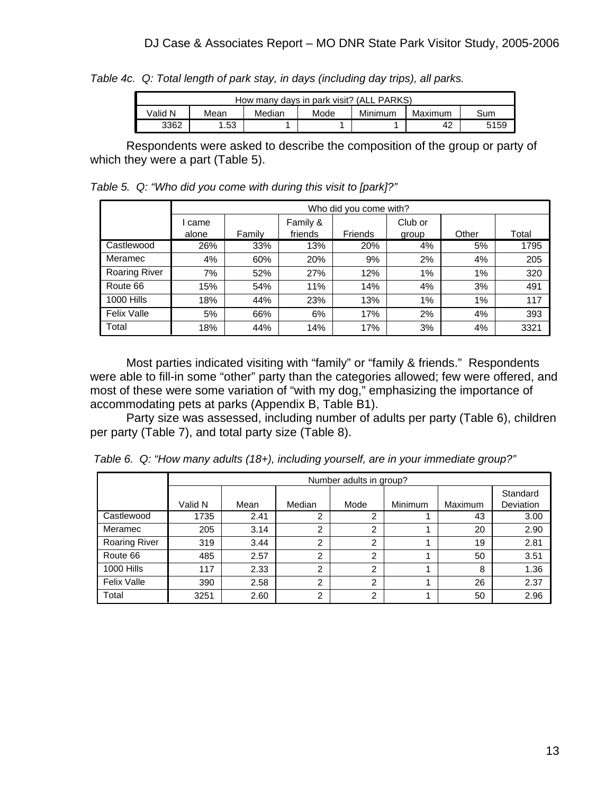*Table 4c. Q: Total length of park stay, in days (including day trips), all parks.*

| How many days in park visit? (ALL PARKS)                       |                   |  |  |  |  |  |  |  |  |  |
|----------------------------------------------------------------|-------------------|--|--|--|--|--|--|--|--|--|
| Minimum<br>√alid N<br>Median<br>Mode<br>Mean<br>Maximum<br>Sum |                   |  |  |  |  |  |  |  |  |  |
| 3362                                                           | .53<br>5159<br>42 |  |  |  |  |  |  |  |  |  |

 Respondents were asked to describe the composition of the group or party of which they were a part (Table 5).

*Table 5. Q: "Who did you come with during this visit to [park]?"*

|                      |       | Who did you come with? |          |         |         |       |       |  |  |  |  |
|----------------------|-------|------------------------|----------|---------|---------|-------|-------|--|--|--|--|
|                      | came  |                        | Family & |         | Club or |       |       |  |  |  |  |
|                      | alone | Family                 | friends  | Friends | group   | Other | Total |  |  |  |  |
| Castlewood           | 26%   | 33%                    | 13%      | 20%     | 4%      | 5%    | 1795  |  |  |  |  |
| Meramec              | 4%    | 60%                    | 20%      | 9%      | 2%      | 4%    | 205   |  |  |  |  |
| <b>Roaring River</b> | 7%    | 52%                    | 27%      | 12%     | $1\%$   | 1%    | 320   |  |  |  |  |
| Route 66             | 15%   | 54%                    | 11%      | 14%     | 4%      | 3%    | 491   |  |  |  |  |
| <b>1000 Hills</b>    | 18%   | 44%                    | 23%      | 13%     | 1%      | 1%    | 117   |  |  |  |  |
| <b>Felix Valle</b>   | 5%    | 66%                    | 6%       | 17%     | 2%      | 4%    | 393   |  |  |  |  |
| Total                | 18%   | 44%                    | 14%      | 17%     | 3%      | 4%    | 3321  |  |  |  |  |

 Most parties indicated visiting with "family" or "family & friends." Respondents were able to fill-in some "other" party than the categories allowed; few were offered, and most of these were some variation of "with my dog," emphasizing the importance of accommodating pets at parks (Appendix B, Table B1).

 Party size was assessed, including number of adults per party (Table 6), children per party (Table 7), and total party size (Table 8).

|                      |         | Number adults in group? |                |      |         |         |                       |  |  |  |  |
|----------------------|---------|-------------------------|----------------|------|---------|---------|-----------------------|--|--|--|--|
|                      | Valid N | Mean                    | Median         | Mode | Minimum | Maximum | Standard<br>Deviation |  |  |  |  |
| Castlewood           | 1735    | 2.41                    | ◠              | 2    |         | 43      | 3.00                  |  |  |  |  |
| Meramec              | 205     | 3.14                    | 2              | 2    |         | 20      | 2.90                  |  |  |  |  |
| <b>Roaring River</b> | 319     | 3.44                    | $\overline{2}$ | 2    |         | 19      | 2.81                  |  |  |  |  |
| Route 66             | 485     | 2.57                    | 2              | 2    |         | 50      | 3.51                  |  |  |  |  |
| 1000 Hills           | 117     | 2.33                    | 2              | 2    |         | 8       | 1.36                  |  |  |  |  |
| <b>Felix Valle</b>   | 390     | 2.58                    | $\overline{2}$ | 2    |         | 26      | 2.37                  |  |  |  |  |
| Total                | 3251    | 2.60                    | $\mathcal{P}$  | 2    |         | 50      | 2.96                  |  |  |  |  |

*Table 6. Q: "How many adults (18+), including yourself, are in your immediate group?"*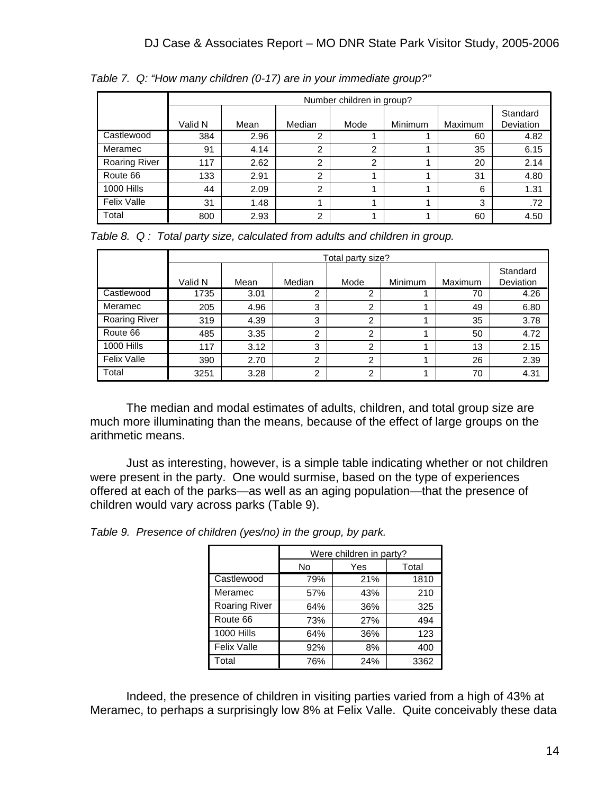|                      |         | Number children in group? |        |                |         |         |                       |  |  |  |  |  |
|----------------------|---------|---------------------------|--------|----------------|---------|---------|-----------------------|--|--|--|--|--|
|                      | Valid N | Mean                      | Median | Mode           | Minimum | Maximum | Standard<br>Deviation |  |  |  |  |  |
| Castlewood           | 384     | 2.96                      | 2      |                |         | 60      | 4.82                  |  |  |  |  |  |
| Meramec              | 91      | 4.14                      | ົ      | $\overline{2}$ |         | 35      | 6.15                  |  |  |  |  |  |
| <b>Roaring River</b> | 117     | 2.62                      | 2      | 2              |         | 20      | 2.14                  |  |  |  |  |  |
| Route 66             | 133     | 2.91                      | 2      |                |         | 31      | 4.80                  |  |  |  |  |  |
| 1000 Hills           | 44      | 2.09                      | 2      |                |         | 6       | 1.31                  |  |  |  |  |  |
| Felix Valle          | 31      | 1.48                      |        |                |         | 3       | .72                   |  |  |  |  |  |
| Total                | 800     | 2.93                      | 2      |                |         | 60      | 4.50                  |  |  |  |  |  |

*Table 7. Q: "How many children (0-17) are in your immediate group?"* 

*Table 8. Q : Total party size, calculated from adults and children in group.*

|                    |         |      |                | Total party size? |         |         |                       |
|--------------------|---------|------|----------------|-------------------|---------|---------|-----------------------|
|                    | Valid N | Mean | Median         | Mode              | Minimum | Maximum | Standard<br>Deviation |
| Castlewood         | 1735    | 3.01 | 2              | 2                 |         | 70      | 4.26                  |
| Meramec            | 205     | 4.96 | 3              | 2                 |         | 49      | 6.80                  |
| Roaring River      | 319     | 4.39 | 3              | $\overline{2}$    |         | 35      | 3.78                  |
| Route 66           | 485     | 3.35 | $\overline{2}$ | $\mathfrak{p}$    |         | 50      | 4.72                  |
| 1000 Hills         | 117     | 3.12 | 3              | າ                 |         | 13      | 2.15                  |
| <b>Felix Valle</b> | 390     | 2.70 | 2              | ົ<br>∠            |         | 26      | 2.39                  |
| Total              | 3251    | 3.28 | 2              | $\overline{2}$    |         | 70      | 4.31                  |

 The median and modal estimates of adults, children, and total group size are much more illuminating than the means, because of the effect of large groups on the arithmetic means.

 Just as interesting, however, is a simple table indicating whether or not children were present in the party. One would surmise, based on the type of experiences offered at each of the parks—as well as an aging population—that the presence of children would vary across parks (Table 9).

*Table 9. Presence of children (yes/no) in the group, by park.*

|                   |     | Were children in party? |       |
|-------------------|-----|-------------------------|-------|
|                   | No  | Yes                     | Total |
| Castlewood        | 79% | 21%                     | 1810  |
| Meramec           | 57% | 43%                     | 210   |
| Roaring River     | 64% | 36%                     | 325   |
| Route 66          | 73% | 27%                     | 494   |
| <b>1000 Hills</b> | 64% | 36%                     | 123   |
| Felix Valle       | 92% | 8%                      | 400   |
| Total             | 76% | 24%                     | 3362  |

 Indeed, the presence of children in visiting parties varied from a high of 43% at Meramec, to perhaps a surprisingly low 8% at Felix Valle. Quite conceivably these data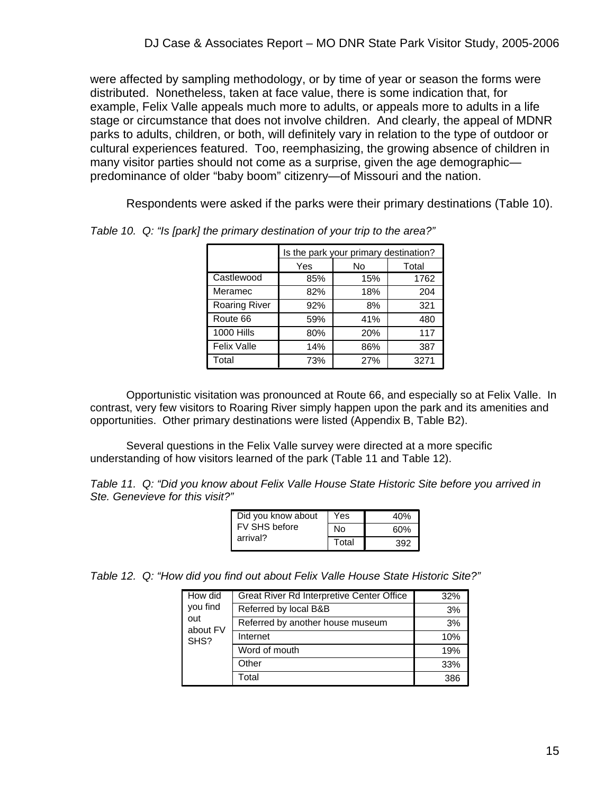were affected by sampling methodology, or by time of year or season the forms were distributed. Nonetheless, taken at face value, there is some indication that, for example, Felix Valle appeals much more to adults, or appeals more to adults in a life stage or circumstance that does not involve children. And clearly, the appeal of MDNR parks to adults, children, or both, will definitely vary in relation to the type of outdoor or cultural experiences featured. Too, reemphasizing, the growing absence of children in many visitor parties should not come as a surprise, given the age demographic predominance of older "baby boom" citizenry—of Missouri and the nation.

Respondents were asked if the parks were their primary destinations (Table 10).

|                      |     | Is the park your primary destination? |       |  |
|----------------------|-----|---------------------------------------|-------|--|
|                      | Yes | No                                    | Total |  |
| Castlewood           | 85% | 15%                                   | 1762  |  |
| Meramec              | 82% | 18%                                   | 204   |  |
| <b>Roaring River</b> | 92% | 8%                                    | 321   |  |
| Route 66             | 59% | 41%                                   | 480   |  |
| <b>1000 Hills</b>    | 80% | 20%                                   | 117   |  |
| <b>Felix Valle</b>   | 14% | 86%                                   | 387   |  |
| Total                | 73% | 27%                                   | 3271  |  |

*Table 10. Q: "Is [park] the primary destination of your trip to the area?"* 

 Opportunistic visitation was pronounced at Route 66, and especially so at Felix Valle. In contrast, very few visitors to Roaring River simply happen upon the park and its amenities and opportunities. Other primary destinations were listed (Appendix B, Table B2).

 Several questions in the Felix Valle survey were directed at a more specific understanding of how visitors learned of the park (Table 11 and Table 12).

*Table 11. Q: "Did you know about Felix Valle House State Historic Site before you arrived in Ste. Genevieve for this visit?"*

| Did you know about | Yes   | 40% |
|--------------------|-------|-----|
| FV SHS before      | Nο    | 60% |
| arrival?           | Total | 392 |

*Table 12. Q: "How did you find out about Felix Valle House State Historic Site?"* 

| How did         | Great River Rd Interpretive Center Office | 32% |
|-----------------|-------------------------------------------|-----|
| you find        | Referred by local B&B                     | 3%  |
| out<br>about FV | Referred by another house museum          | 3%  |
| SHS?            | Internet                                  | 10% |
|                 | Word of mouth                             | 19% |
|                 | Other                                     | 33% |
|                 | Total                                     | 386 |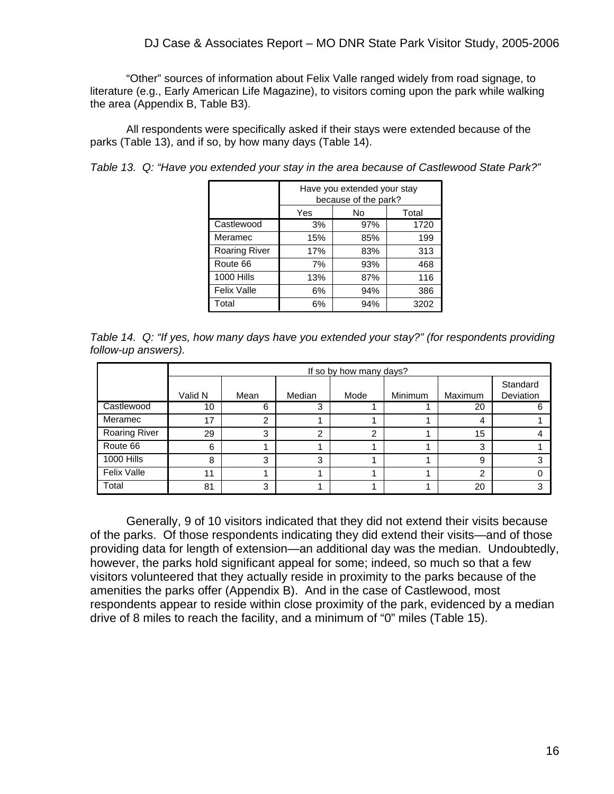"Other" sources of information about Felix Valle ranged widely from road signage, to literature (e.g., Early American Life Magazine), to visitors coming upon the park while walking the area (Appendix B, Table B3).

 All respondents were specifically asked if their stays were extended because of the parks (Table 13), and if so, by how many days (Table 14).

*Table 13. Q: "Have you extended your stay in the area because of Castlewood State Park?"*

|                      | Have you extended your stay<br>because of the park? |     |      |  |  |  |  |  |  |
|----------------------|-----------------------------------------------------|-----|------|--|--|--|--|--|--|
|                      | Yes<br>Total<br>No                                  |     |      |  |  |  |  |  |  |
| Castlewood           | 3%                                                  | 97% | 1720 |  |  |  |  |  |  |
| Meramec              | 15%                                                 | 85% | 199  |  |  |  |  |  |  |
| <b>Roaring River</b> | 17%                                                 | 83% | 313  |  |  |  |  |  |  |
| Route 66             | 7%                                                  | 93% | 468  |  |  |  |  |  |  |
| <b>1000 Hills</b>    | 13%                                                 | 87% | 116  |  |  |  |  |  |  |
| Felix Valle          | 6%                                                  | 94% | 386  |  |  |  |  |  |  |
| Total                | 6%                                                  | 94% | 3202 |  |  |  |  |  |  |

|                     |  | Table 14. Q: "If yes, how many days have you extended your stay?" (for respondents providing |  |  |
|---------------------|--|----------------------------------------------------------------------------------------------|--|--|
| follow-up answers). |  |                                                                                              |  |  |

|                      |         |      |        | If so by how many days? |                |              |                       |
|----------------------|---------|------|--------|-------------------------|----------------|--------------|-----------------------|
|                      | Valid N | Mean | Median | Mode                    | <b>Minimum</b> | Maximum      | Standard<br>Deviation |
| Castlewood           | 10      | 6    | ◠      |                         |                | 20           | 6                     |
| Meramec              | 17      | 2    |        |                         |                | 4            |                       |
| <b>Roaring River</b> | 29      | 3    | ◠      | ◠                       |                | 15           |                       |
| Route 66             | 6       |      |        |                         |                | 3            |                       |
| <b>1000 Hills</b>    | 8       | 3    | ≏      |                         |                | $\mathbf{Q}$ | ົ                     |
| <b>Felix Valle</b>   | 11      |      |        |                         |                | ⌒            |                       |
| Total                | 81      | 3    |        |                         |                | 20           |                       |

 Generally, 9 of 10 visitors indicated that they did not extend their visits because of the parks. Of those respondents indicating they did extend their visits—and of those providing data for length of extension—an additional day was the median. Undoubtedly, however, the parks hold significant appeal for some; indeed, so much so that a few visitors volunteered that they actually reside in proximity to the parks because of the amenities the parks offer (Appendix B). And in the case of Castlewood, most respondents appear to reside within close proximity of the park, evidenced by a median drive of 8 miles to reach the facility, and a minimum of "0" miles (Table 15).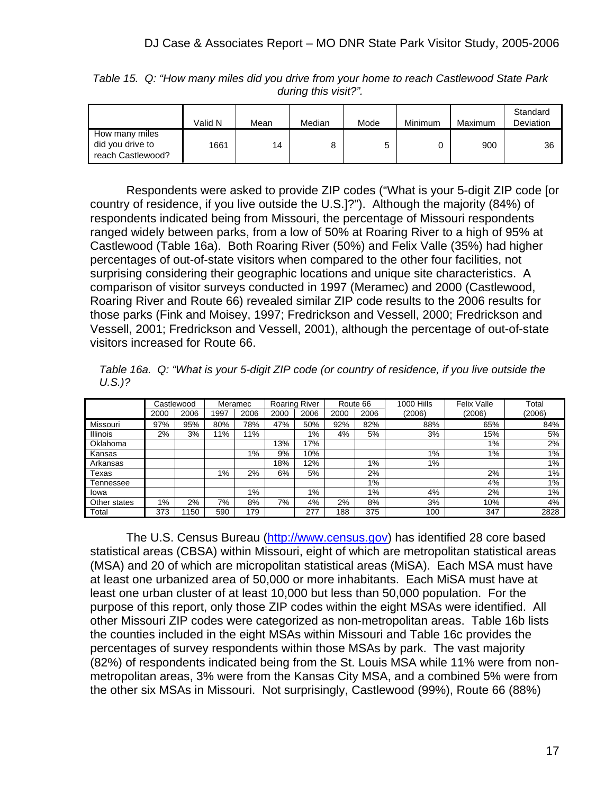|                                                         | Valid N | Mean | Median | Mode | Minimum | Maximum | Standard<br>Deviation |
|---------------------------------------------------------|---------|------|--------|------|---------|---------|-----------------------|
| How many miles<br>did you drive to<br>reach Castlewood? | 1661    | 14   |        | 5    |         | 900     | 36                    |

*Table 15. Q: "How many miles did you drive from your home to reach Castlewood State Park during this visit?".*

 Respondents were asked to provide ZIP codes ("What is your 5-digit ZIP code [or country of residence, if you live outside the U.S.]?"). Although the majority (84%) of respondents indicated being from Missouri, the percentage of Missouri respondents ranged widely between parks, from a low of 50% at Roaring River to a high of 95% at Castlewood (Table 16a). Both Roaring River (50%) and Felix Valle (35%) had higher percentages of out-of-state visitors when compared to the other four facilities, not surprising considering their geographic locations and unique site characteristics. A comparison of visitor surveys conducted in 1997 (Meramec) and 2000 (Castlewood, Roaring River and Route 66) revealed similar ZIP code results to the 2006 results for those parks (Fink and Moisey, 1997; Fredrickson and Vessell, 2000; Fredrickson and Vessell, 2001; Fredrickson and Vessell, 2001), although the percentage of out-of-state visitors increased for Route 66.

*Table 16a. Q: "What is your 5-digit ZIP code (or country of residence, if you live outside the U.S.)?* 

|                 |      | Castlewood |       | Meramec |      | <b>Roaring River</b> |      | Route 66 | 1000 Hills | Felix Valle | Total  |
|-----------------|------|------------|-------|---------|------|----------------------|------|----------|------------|-------------|--------|
|                 | 2000 | 2006       | 1997  | 2006    | 2000 | 2006                 | 2000 | 2006     | (2006)     | (2006)      | (2006) |
| Missouri        | 97%  | 95%        | 80%   | 78%     | 47%  | 50%                  | 92%  | 82%      | 88%        | 65%         | 84%    |
| <b>Illinois</b> | 2%   | 3%         | $1\%$ | 11%     |      | 1%                   | 4%   | 5%       | 3%         | 15%         | 5%     |
| Oklahoma        |      |            |       |         | 13%  | 17%                  |      |          |            | $1\%$       | 2%     |
| Kansas          |      |            |       | 1%      | 9%   | 10%                  |      |          | 1%         | 1%          | $1\%$  |
| Arkansas        |      |            |       |         | 18%  | 12%                  |      | $1\%$    | $1\%$      |             | 1%     |
| Texas           |      |            | 1%    | 2%      | 6%   | 5%                   |      | 2%       |            | 2%          | 1%     |
| Tennessee       |      |            |       |         |      |                      |      | 1%       |            | 4%          | 1%     |
| Iowa            |      |            |       | $1\%$   |      | 1%                   |      | 1%       | 4%         | 2%          | 1%     |
| Other states    | 1%   | 2%         | 7%    | 8%      | 7%   | 4%                   | 2%   | 8%       | 3%         | 10%         | 4%     |
| Total           | 373  | 150        | 590   | 179     |      | 277                  | 188  | 375      | 100        | 347         | 2828   |

 The U.S. Census Bureau (http://www.census.gov) has identified 28 core based statistical areas (CBSA) within Missouri, eight of which are metropolitan statistical areas (MSA) and 20 of which are micropolitan statistical areas (MiSA). Each MSA must have at least one urbanized area of 50,000 or more inhabitants. Each MiSA must have at least one urban cluster of at least 10,000 but less than 50,000 population. For the purpose of this report, only those ZIP codes within the eight MSAs were identified. All other Missouri ZIP codes were categorized as non-metropolitan areas. Table 16b lists the counties included in the eight MSAs within Missouri and Table 16c provides the percentages of survey respondents within those MSAs by park. The vast majority (82%) of respondents indicated being from the St. Louis MSA while 11% were from nonmetropolitan areas, 3% were from the Kansas City MSA, and a combined 5% were from the other six MSAs in Missouri. Not surprisingly, Castlewood (99%), Route 66 (88%)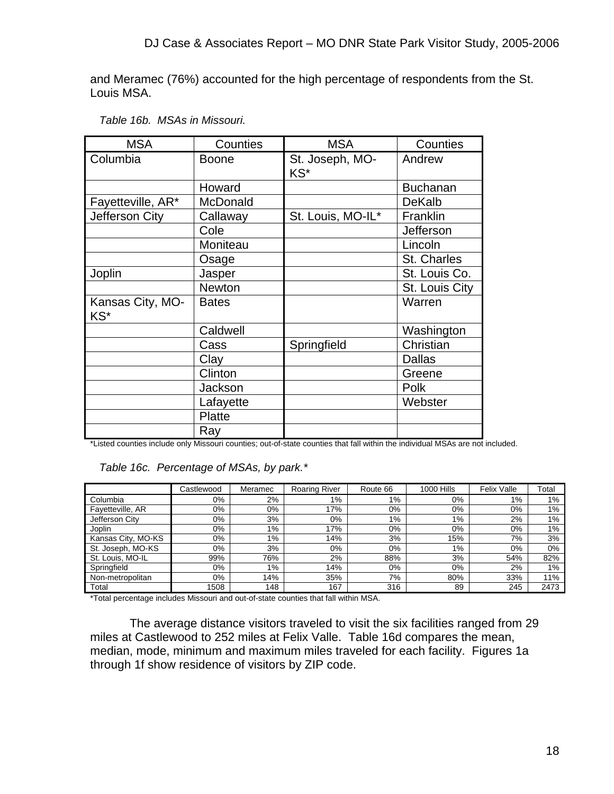and Meramec (76%) accounted for the high percentage of respondents from the St. Louis MSA.

| <b>MSA</b>              | Counties      | <b>MSA</b>             | Counties         |
|-------------------------|---------------|------------------------|------------------|
| Columbia                | <b>Boone</b>  | St. Joseph, MO-<br>KS* | Andrew           |
|                         | Howard        |                        | <b>Buchanan</b>  |
| Fayetteville, AR*       | McDonald      |                        | DeKalb           |
| Jefferson City          | Callaway      | St. Louis, MO-IL*      | Franklin         |
|                         | Cole          |                        | <b>Jefferson</b> |
|                         | Moniteau      |                        | Lincoln          |
|                         | Osage         |                        | St. Charles      |
| Joplin                  | Jasper        |                        | St. Louis Co.    |
|                         | <b>Newton</b> |                        | St. Louis City   |
| Kansas City, MO-<br>KS* | <b>Bates</b>  |                        | Warren           |
|                         | Caldwell      |                        | Washington       |
|                         | Cass          | Springfield            | Christian        |
|                         | Clay          |                        | <b>Dallas</b>    |
|                         | Clinton       |                        | Greene           |
|                         | Jackson       |                        | Polk             |
|                         | Lafayette     |                        | Webster          |
|                         | Platte        |                        |                  |
|                         | Ray           |                        |                  |

#### *Table 16b. MSAs in Missouri.*

\*Listed counties include only Missouri counties; out-of-state counties that fall within the individual MSAs are not included.

#### *Table 16c. Percentage of MSAs, by park.\**

|                    | Castlewood | Meramec | <b>Roaring River</b> | Route 66 | 1000 Hills | <b>Felix Valle</b> | Total |
|--------------------|------------|---------|----------------------|----------|------------|--------------------|-------|
| Columbia           | 0%         | 2%      | $1\%$                | 1%       | 0%         | 1%                 | $1\%$ |
| Fayetteville, AR   | 0%         | 0%      | 17%                  | 0%       | 0%         | 0%                 | $1\%$ |
| Jefferson City     | $0\%$      | 3%      | 0%                   | 1%       | $1\%$      | 2%                 | $1\%$ |
| Joplin             | 0%         | $1\%$   | 17%                  | $0\%$    | $0\%$      | $0\%$              | $1\%$ |
| Kansas City, MO-KS | 0%         | $1\%$   | 14%                  | 3%       | 15%        | 7%                 | 3%    |
| St. Joseph, MO-KS  | $0\%$      | 3%      | 0%                   | $0\%$    | 1%         | $0\%$              | $0\%$ |
| St. Louis, MO-IL   | 99%        | 76%     | 2%                   | 88%      | 3%         | 54%                | 82%   |
| Springfield        | $0\%$      | 1%      | 14%                  | $0\%$    | $0\%$      | 2%                 | $1\%$ |
| Non-metropolitan   | $0\%$      | 14%     | 35%                  | 7%       | 80%        | 33%                | 11%   |
| Total              | 1508       | 148     | 167                  | 316      | 89         | 245                | 2473  |

\*Total percentage includes Missouri and out-of-state counties that fall within MSA.

 The average distance visitors traveled to visit the six facilities ranged from 29 miles at Castlewood to 252 miles at Felix Valle. Table 16d compares the mean, median, mode, minimum and maximum miles traveled for each facility. Figures 1a through 1f show residence of visitors by ZIP code.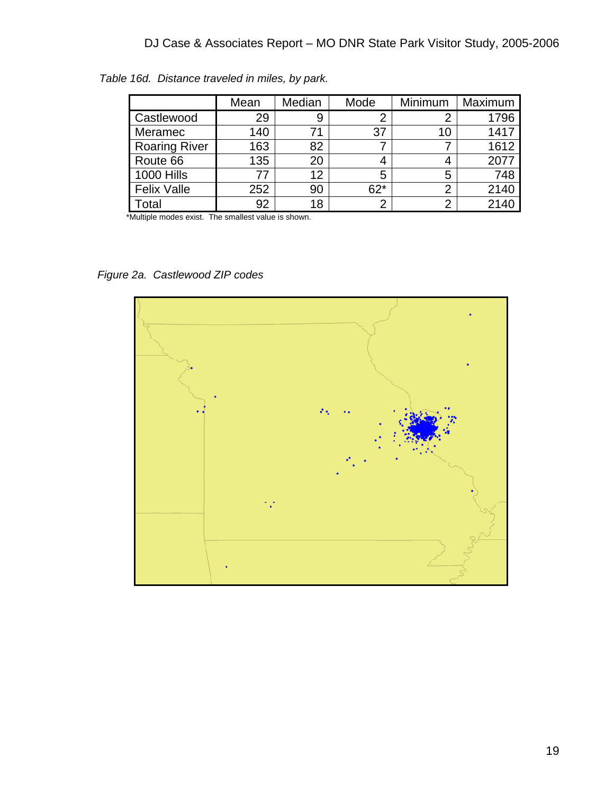|                      | Mean | Median | Mode  | Minimum | Maximum |
|----------------------|------|--------|-------|---------|---------|
| Castlewood           | 29   | 9      |       |         | 1796    |
| Meramec              | 140  |        | 37    | 10      | 1417    |
| <b>Roaring River</b> | 163  | 82     |       |         | 1612    |
| Route 66             | 135  | 20     |       |         | 2077    |
| 1000 Hills           | 77   | 12     | 5     | 5       | 748     |
| <b>Felix Valle</b>   | 252  | 90     | $62*$ | ⌒       | 2140    |
| otal                 | 92   | 18     | 2     | ◠       | 2140    |

*Table 16d. Distance traveled in miles, by park.* 

\*Multiple modes exist. The smallest value is shown.

*Figure 2a. Castlewood ZIP codes* 

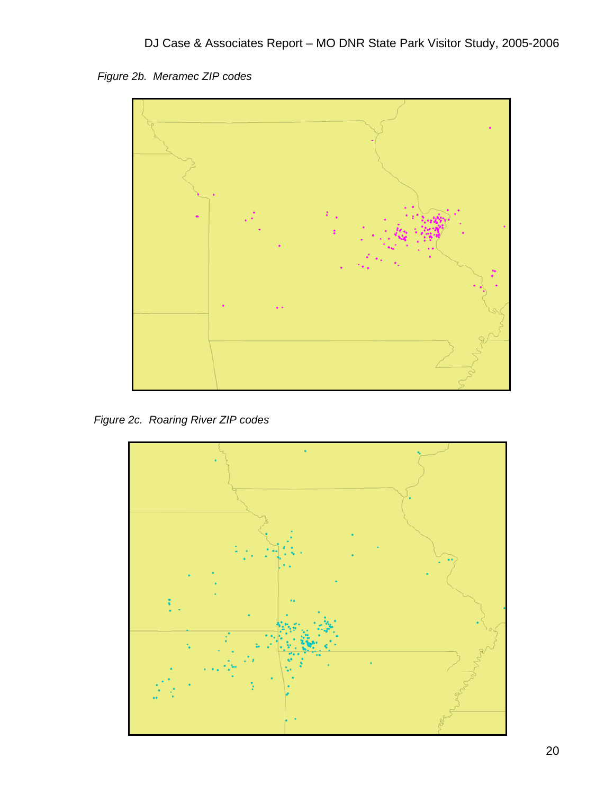*Figure 2b. Meramec ZIP codes* 



*Figure 2c. Roaring River ZIP codes* 

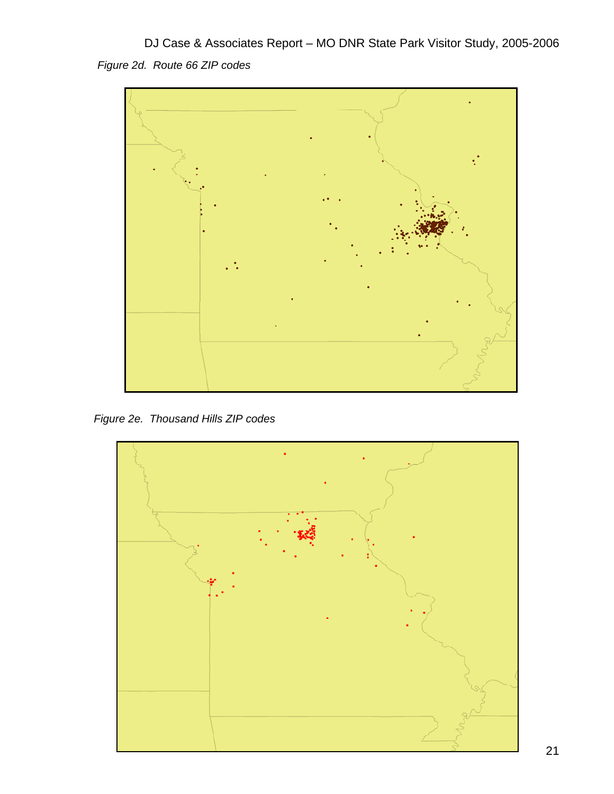DJ Case & Associates Report – MO DNR State Park Visitor Study, 2005-2006 *Figure 2d. Route 66 ZIP codes* 



*Figure 2e. Thousand Hills ZIP codes* 

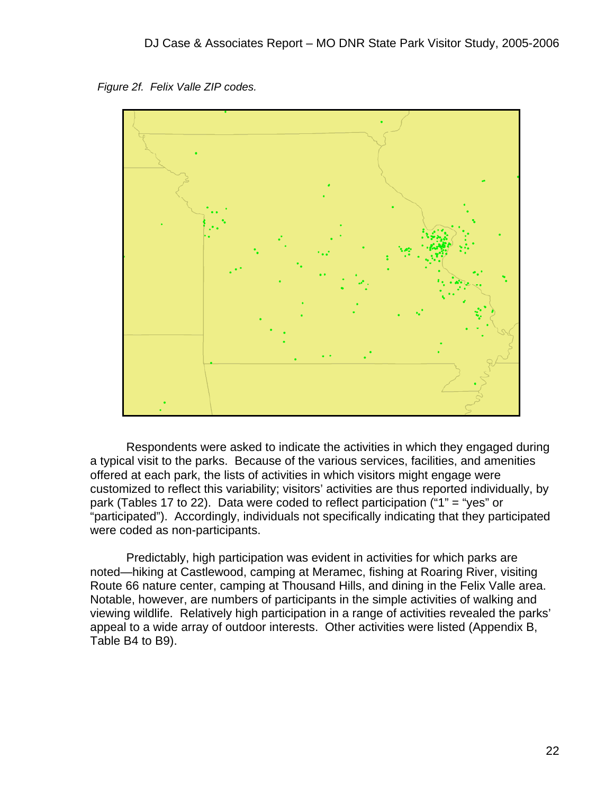*Figure 2f. Felix Valle ZIP codes.* 



 Respondents were asked to indicate the activities in which they engaged during a typical visit to the parks. Because of the various services, facilities, and amenities offered at each park, the lists of activities in which visitors might engage were customized to reflect this variability; visitors' activities are thus reported individually, by park (Tables 17 to 22). Data were coded to reflect participation ("1" = "yes" or "participated"). Accordingly, individuals not specifically indicating that they participated were coded as non-participants.

 Predictably, high participation was evident in activities for which parks are noted—hiking at Castlewood, camping at Meramec, fishing at Roaring River, visiting Route 66 nature center, camping at Thousand Hills, and dining in the Felix Valle area. Notable, however, are numbers of participants in the simple activities of walking and viewing wildlife. Relatively high participation in a range of activities revealed the parks' appeal to a wide array of outdoor interests. Other activities were listed (Appendix B, Table B4 to B9).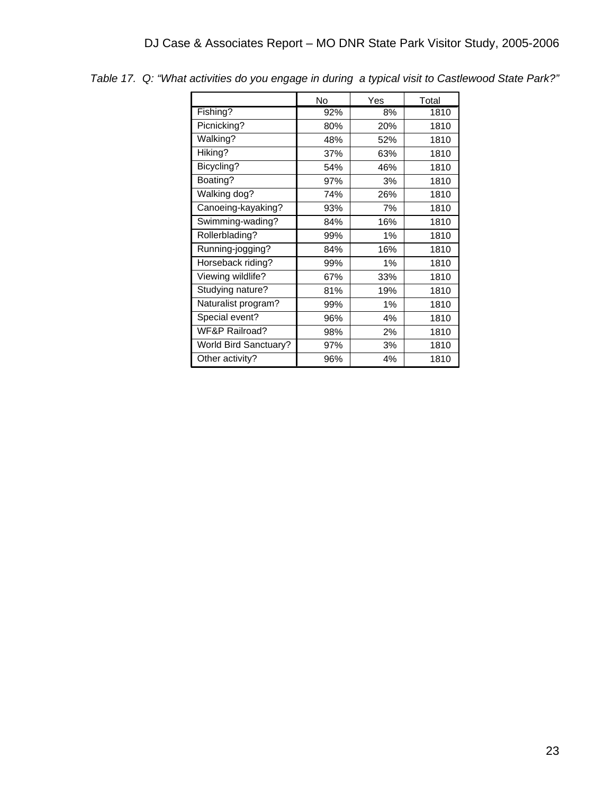|                              | No  | Yes   | Total |
|------------------------------|-----|-------|-------|
| Fishing?                     | 92% | 8%    | 1810  |
| Picnicking?                  | 80% | 20%   | 1810  |
| Walking?                     | 48% | 52%   | 1810  |
| Hiking?                      | 37% | 63%   | 1810  |
| Bicycling?                   | 54% | 46%   | 1810  |
| Boating?                     | 97% | 3%    | 1810  |
| Walking dog?                 | 74% | 26%   | 1810  |
| Canoeing-kayaking?           | 93% | 7%    | 1810  |
| Swimming-wading?             | 84% | 16%   | 1810  |
| Rollerblading?               | 99% | $1\%$ | 1810  |
| Running-jogging?             | 84% | 16%   | 1810  |
| Horseback riding?            | 99% | 1%    | 1810  |
| Viewing wildlife?            | 67% | 33%   | 1810  |
| Studying nature?             | 81% | 19%   | 1810  |
| Naturalist program?          | 99% | 1%    | 1810  |
| Special event?               | 96% | 4%    | 1810  |
| <b>WF&amp;P Railroad?</b>    | 98% | 2%    | 1810  |
| <b>World Bird Sanctuary?</b> | 97% | 3%    | 1810  |
| Other activity?              | 96% | 4%    | 1810  |

*Table 17. Q: "What activities do you engage in during a typical visit to Castlewood State Park?"*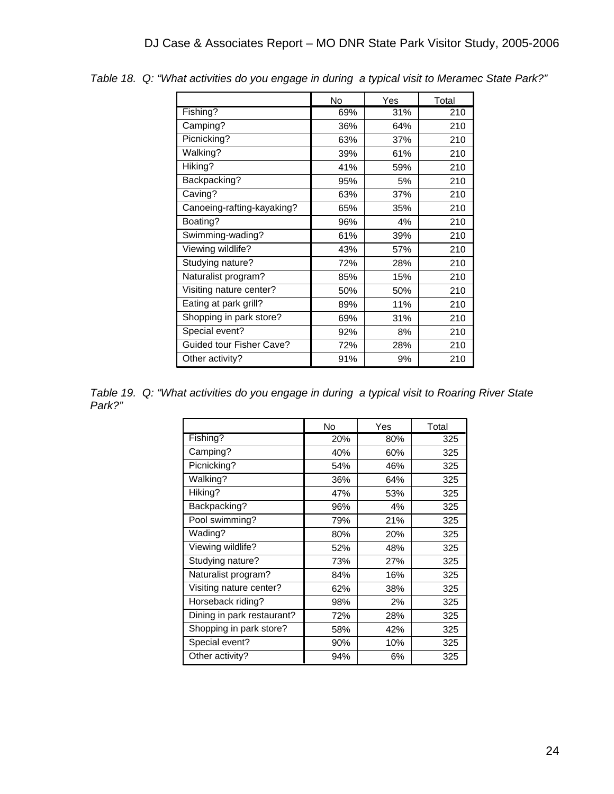|                            | No  | Yes | Total |
|----------------------------|-----|-----|-------|
| Fishing?                   | 69% | 31% | 210   |
| Camping?                   | 36% | 64% | 210   |
| Picnicking?                | 63% | 37% | 210   |
| Walking?                   | 39% | 61% | 210   |
| Hiking?                    | 41% | 59% | 210   |
| Backpacking?               | 95% | 5%  | 210   |
| Caving?                    | 63% | 37% | 210   |
| Canoeing-rafting-kayaking? | 65% | 35% | 210   |
| Boating?                   | 96% | 4%  | 210   |
| Swimming-wading?           | 61% | 39% | 210   |
| Viewing wildlife?          | 43% | 57% | 210   |
| Studying nature?           | 72% | 28% | 210   |
| Naturalist program?        | 85% | 15% | 210   |
| Visiting nature center?    | 50% | 50% | 210   |
| Eating at park grill?      | 89% | 11% | 210   |
| Shopping in park store?    | 69% | 31% | 210   |
| Special event?             | 92% | 8%  | 210   |
| Guided tour Fisher Cave?   | 72% | 28% | 210   |
| Other activity?            | 91% | 9%  | 210   |

*Table 18. Q: "What activities do you engage in during a typical visit to Meramec State Park?"*

*Table 19. Q: "What activities do you engage in during a typical visit to Roaring River State Park?"*

|                            | No  | Yes | Total |
|----------------------------|-----|-----|-------|
| Fishing?                   | 20% | 80% | 325   |
| Camping?                   | 40% | 60% | 325   |
| Picnicking?                | 54% | 46% | 325   |
| Walking?                   | 36% | 64% | 325   |
| Hiking?                    | 47% | 53% | 325   |
| Backpacking?               | 96% | 4%  | 325   |
| Pool swimming?             | 79% | 21% | 325   |
| Wading?                    | 80% | 20% | 325   |
| Viewing wildlife?          | 52% | 48% | 325   |
| Studying nature?           | 73% | 27% | 325   |
| Naturalist program?        | 84% | 16% | 325   |
| Visiting nature center?    | 62% | 38% | 325   |
| Horseback riding?          | 98% | 2%  | 325   |
| Dining in park restaurant? | 72% | 28% | 325   |
| Shopping in park store?    | 58% | 42% | 325   |
| Special event?             | 90% | 10% | 325   |
| Other activity?            | 94% | 6%  | 325   |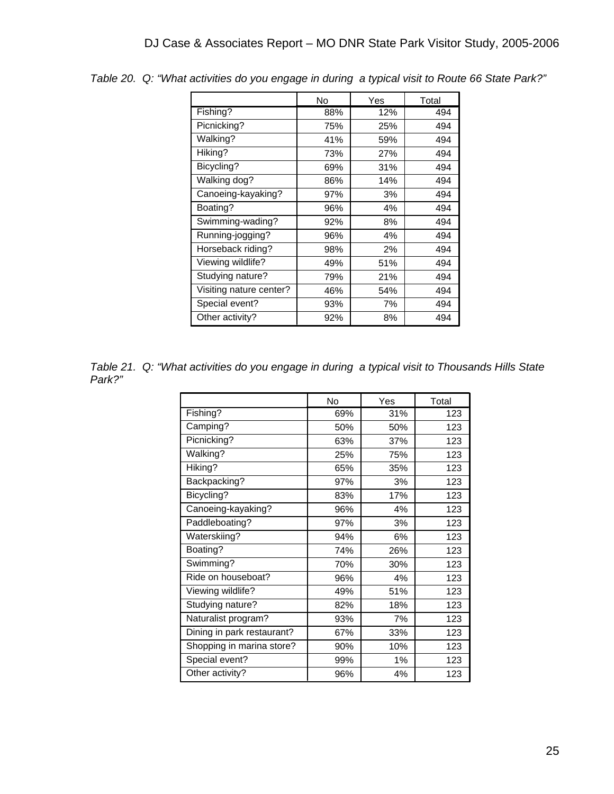|                         | No  | Yes | Total |
|-------------------------|-----|-----|-------|
| Fishing?                | 88% | 12% | 494   |
| Picnicking?             | 75% | 25% | 494   |
| Walking?                | 41% | 59% | 494   |
| Hiking?                 | 73% | 27% | 494   |
| Bicycling?              | 69% | 31% | 494   |
| Walking dog?            | 86% | 14% | 494   |
| Canoeing-kayaking?      | 97% | 3%  | 494   |
| Boating?                | 96% | 4%  | 494   |
| Swimming-wading?        | 92% | 8%  | 494   |
| Running-jogging?        | 96% | 4%  | 494   |
| Horseback riding?       | 98% | 2%  | 494   |
| Viewing wildlife?       | 49% | 51% | 494   |
| Studying nature?        | 79% | 21% | 494   |
| Visiting nature center? | 46% | 54% | 494   |
| Special event?          | 93% | 7%  | 494   |
| Other activity?         | 92% | 8%  | 494   |

*Table 20. Q: "What activities do you engage in during a typical visit to Route 66 State Park?"*

*Table 21. Q: "What activities do you engage in during a typical visit to Thousands Hills State Park?"*

|                            | No  | Yes   | Total |
|----------------------------|-----|-------|-------|
| Fishing?                   | 69% | 31%   | 123   |
| Camping?                   | 50% | 50%   | 123   |
| Picnicking?                | 63% | 37%   | 123   |
| Walking?                   | 25% | 75%   | 123   |
| Hiking?                    | 65% | 35%   | 123   |
| Backpacking?               | 97% | 3%    | 123   |
| Bicycling?                 | 83% | 17%   | 123   |
| Canoeing-kayaking?         | 96% | 4%    | 123   |
| Paddleboating?             | 97% | 3%    | 123   |
| Waterskiing?               | 94% | 6%    | 123   |
| Boating?                   | 74% | 26%   | 123   |
| Swimming?                  | 70% | 30%   | 123   |
| Ride on houseboat?         | 96% | 4%    | 123   |
| Viewing wildlife?          | 49% | 51%   | 123   |
| Studying nature?           | 82% | 18%   | 123   |
| Naturalist program?        | 93% | 7%    | 123   |
| Dining in park restaurant? | 67% | 33%   | 123   |
| Shopping in marina store?  | 90% | 10%   | 123   |
| Special event?             | 99% | $1\%$ | 123   |
| Other activity?            | 96% | 4%    | 123   |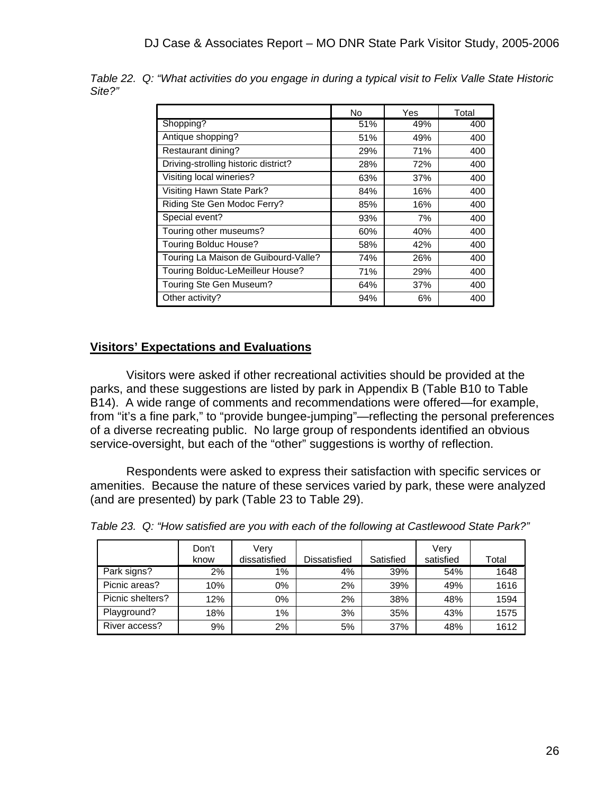|                                      | No  | Yes | Total |
|--------------------------------------|-----|-----|-------|
| Shopping?                            | 51% | 49% | 400   |
| Antique shopping?                    | 51% | 49% | 400   |
| Restaurant dining?                   | 29% | 71% | 400   |
| Driving-strolling historic district? | 28% | 72% | 400   |
| Visiting local wineries?             | 63% | 37% | 400   |
| Visiting Hawn State Park?            | 84% | 16% | 400   |
| Riding Ste Gen Modoc Ferry?          | 85% | 16% | 400   |
| Special event?                       | 93% | 7%  | 400   |
| Touring other museums?               | 60% | 40% | 400   |
| <b>Touring Bolduc House?</b>         | 58% | 42% | 400   |
| Touring La Maison de Guibourd-Valle? | 74% | 26% | 400   |
| Touring Bolduc-LeMeilleur House?     | 71% | 29% | 400   |
| Touring Ste Gen Museum?              | 64% | 37% | 400   |
| Other activity?                      | 94% | 6%  | 400   |

*Table 22. Q: "What activities do you engage in during a typical visit to Felix Valle State Historic Site?"*

#### **Visitors' Expectations and Evaluations**

 Visitors were asked if other recreational activities should be provided at the parks, and these suggestions are listed by park in Appendix B (Table B10 to Table B14). A wide range of comments and recommendations were offered—for example, from "it's a fine park," to "provide bungee-jumping"—reflecting the personal preferences of a diverse recreating public. No large group of respondents identified an obvious service-oversight, but each of the "other" suggestions is worthy of reflection.

 Respondents were asked to express their satisfaction with specific services or amenities. Because the nature of these services varied by park, these were analyzed (and are presented) by park (Table 23 to Table 29).

|                  | Don't | Very         |              |           | Verv      |       |
|------------------|-------|--------------|--------------|-----------|-----------|-------|
|                  | know  | dissatisfied | Dissatisfied | Satisfied | satisfied | Total |
| Park signs?      | 2%    | $1\%$        | 4%           | 39%       | 54%       | 1648  |
| Picnic areas?    | 10%   | 0%           | 2%           | 39%       | 49%       | 1616  |
| Picnic shelters? | 12%   | 0%           | 2%           | 38%       | 48%       | 1594  |
| Playground?      | 18%   | 1%           | 3%           | 35%       | 43%       | 1575  |
| River access?    | 9%    | 2%           | 5%           | 37%       | 48%       | 1612  |

*Table 23. Q: "How satisfied are you with each of the following at Castlewood State Park?"*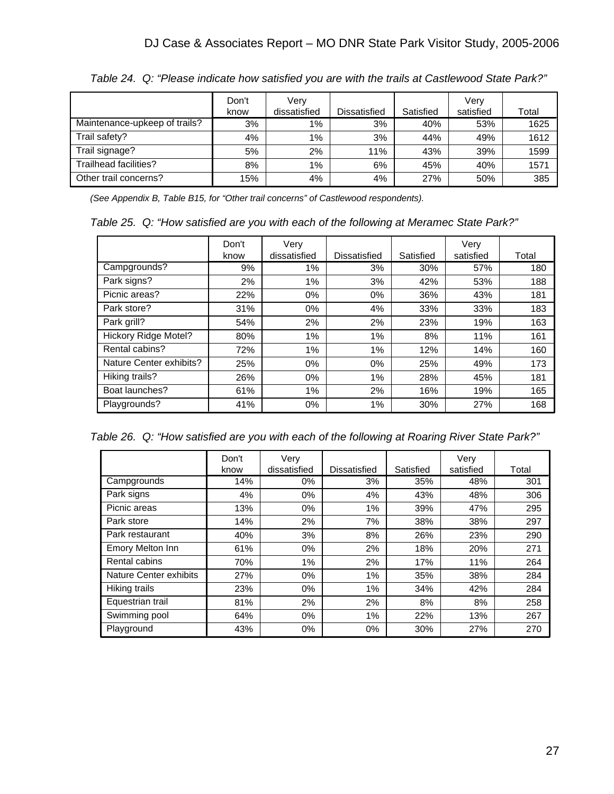|                               | Don't | Verv         |                     |           | Verv      |       |
|-------------------------------|-------|--------------|---------------------|-----------|-----------|-------|
|                               | know  | dissatisfied | <b>Dissatisfied</b> | Satisfied | satisfied | Total |
| Maintenance-upkeep of trails? | 3%    | $1\%$        | 3%                  | 40%       | 53%       | 1625  |
| Trail safety?                 | 4%    | 1%           | 3%                  | 44%       | 49%       | 1612  |
| Trail signage?                | 5%    | 2%           | 11%                 | 43%       | 39%       | 1599  |
| Trailhead facilities?         | 8%    | $1\%$        | 6%                  | 45%       | 40%       | 1571  |
| Other trail concerns?         | 15%   | 4%           | 4%                  | 27%       | 50%       | 385   |

*Table 24. Q: "Please indicate how satisfied you are with the trails at Castlewood State Park?"* 

*(See Appendix B, Table B15, for "Other trail concerns" of Castlewood respondents).* 

*Table 25. Q: "How satisfied are you with each of the following at Meramec State Park?"* 

|                             | Don't<br>know | Very<br>dissatisfied | <b>Dissatisfied</b> | Satisfied | Verv<br>satisfied | Total |
|-----------------------------|---------------|----------------------|---------------------|-----------|-------------------|-------|
| Campgrounds?                | 9%            | 1%                   | 3%                  | 30%       | 57%               | 180   |
| Park signs?                 | 2%            | 1%                   | 3%                  | 42%       | 53%               | 188   |
| Picnic areas?               | 22%           | $0\%$                | $0\%$               | 36%       | 43%               | 181   |
| Park store?                 | 31%           | $0\%$                | 4%                  | 33%       | 33%               | 183   |
| Park grill?                 | 54%           | 2%                   | 2%                  | 23%       | 19%               | 163   |
| <b>Hickory Ridge Motel?</b> | 80%           | 1%                   | 1%                  | 8%        | 11%               | 161   |
| Rental cabins?              | 72%           | 1%                   | 1%                  | 12%       | 14%               | 160   |
| Nature Center exhibits?     | 25%           | $0\%$                | 0%                  | 25%       | 49%               | 173   |
| Hiking trails?              | 26%           | $0\%$                | 1%                  | 28%       | 45%               | 181   |
| Boat launches?              | 61%           | 1%                   | 2%                  | 16%       | 19%               | 165   |
| Playgrounds?                | 41%           | 0%                   | 1%                  | 30%       | 27%               | 168   |

*Table 26. Q: "How satisfied are you with each of the following at Roaring River State Park?"* 

|                         | Don't | Very         |                     |           | Very      |       |
|-------------------------|-------|--------------|---------------------|-----------|-----------|-------|
|                         | know  | dissatisfied | <b>Dissatisfied</b> | Satisfied | satisfied | Total |
| Campgrounds             | 14%   | $0\%$        | 3%                  | 35%       | 48%       | 301   |
| Park signs              | 4%    | $0\%$        | 4%                  | 43%       | 48%       | 306   |
| Picnic areas            | 13%   | $0\%$        | 1%                  | 39%       | 47%       | 295   |
| Park store              | 14%   | 2%           | 7%                  | 38%       | 38%       | 297   |
| Park restaurant         | 40%   | 3%           | 8%                  | 26%       | 23%       | 290   |
| <b>Emory Melton Inn</b> | 61%   | $0\%$        | 2%                  | 18%       | 20%       | 271   |
| Rental cabins           | 70%   | 1%           | 2%                  | 17%       | 11%       | 264   |
| Nature Center exhibits  | 27%   | $0\%$        | 1%                  | 35%       | 38%       | 284   |
| Hiking trails           | 23%   | 0%           | 1%                  | 34%       | 42%       | 284   |
| Equestrian trail        | 81%   | 2%           | 2%                  | 8%        | 8%        | 258   |
| Swimming pool           | 64%   | $0\%$        | 1%                  | 22%       | 13%       | 267   |
| Playground              | 43%   | 0%           | $0\%$               | 30%       | 27%       | 270   |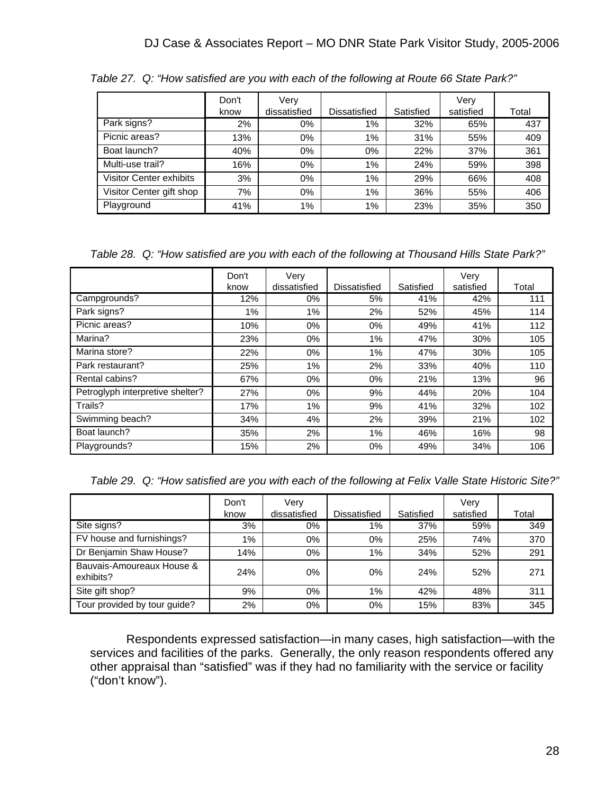|                                | Don't<br>know | Verv<br>dissatisfied | Dissatisfied | Satisfied | Very<br>satisfied | Total |
|--------------------------------|---------------|----------------------|--------------|-----------|-------------------|-------|
| Park signs?                    | 2%            | $0\%$                | 1%           | 32%       | 65%               | 437   |
| Picnic areas?                  | 13%           | $0\%$                | $1\%$        | 31%       | 55%               | 409   |
| Boat launch?                   | 40%           | $0\%$                | $0\%$        | 22%       | 37%               | 361   |
| Multi-use trail?               | 16%           | $0\%$                | $1\%$        | 24%       | 59%               | 398   |
| <b>Visitor Center exhibits</b> | 3%            | $0\%$                | 1%           | 29%       | 66%               | 408   |
| Visitor Center gift shop       | 7%            | $0\%$                | 1%           | 36%       | 55%               | 406   |
| Playground                     | 41%           | 1%                   | 1%           | 23%       | 35%               | 350   |

*Table 27. Q: "How satisfied are you with each of the following at Route 66 State Park?"* 

*Table 28. Q: "How satisfied are you with each of the following at Thousand Hills State Park?"* 

|                                  | Don't | Very         |                     |           | Very      |       |
|----------------------------------|-------|--------------|---------------------|-----------|-----------|-------|
|                                  | know  | dissatisfied | <b>Dissatisfied</b> | Satisfied | satisfied | Total |
| Campgrounds?                     | 12%   | $0\%$        | 5%                  | 41%       | 42%       | 111   |
| Park signs?                      | 1%    | 1%           | 2%                  | 52%       | 45%       | 114   |
| Picnic areas?                    | 10%   | $0\%$        | $0\%$               | 49%       | 41%       | 112   |
| Marina?                          | 23%   | $0\%$        | 1%                  | 47%       | 30%       | 105   |
| Marina store?                    | 22%   | $0\%$        | 1%                  | 47%       | 30%       | 105   |
| Park restaurant?                 | 25%   | $1\%$        | 2%                  | 33%       | 40%       | 110   |
| Rental cabins?                   | 67%   | $0\%$        | $0\%$               | 21%       | 13%       | 96    |
| Petroglyph interpretive shelter? | 27%   | $0\%$        | 9%                  | 44%       | 20%       | 104   |
| Trails?                          | 17%   | $1\%$        | 9%                  | 41%       | 32%       | 102   |
| Swimming beach?                  | 34%   | 4%           | 2%                  | 39%       | 21%       | 102   |
| Boat launch?                     | 35%   | 2%           | 1%                  | 46%       | 16%       | 98    |
| Playgrounds?                     | 15%   | 2%           | 0%                  | 49%       | 34%       | 106   |

*Table 29. Q: "How satisfied are you with each of the following at Felix Valle State Historic Site?"* 

|                                        | Don't | Verv         |                     |           | Verv      |       |
|----------------------------------------|-------|--------------|---------------------|-----------|-----------|-------|
|                                        | know  | dissatisfied | <b>Dissatisfied</b> | Satisfied | satisfied | Total |
| Site signs?                            | 3%    | $0\%$        | 1%                  | 37%       | 59%       | 349   |
| FV house and furnishings?              | 1%    | $0\%$        | 0%                  | 25%       | 74%       | 370   |
| Dr Benjamin Shaw House?                | 14%   | $0\%$        | 1%                  | 34%       | 52%       | 291   |
| Bauvais-Amoureaux House &<br>exhibits? | 24%   | 0%           | 0%                  | 24%       | 52%       | 271   |
| Site gift shop?                        | 9%    | $0\%$        | 1%                  | 42%       | 48%       | 311   |
| Tour provided by tour guide?           | 2%    | $0\%$        | 0%                  | 15%       | 83%       | 345   |

 Respondents expressed satisfaction—in many cases, high satisfaction—with the services and facilities of the parks. Generally, the only reason respondents offered any other appraisal than "satisfied" was if they had no familiarity with the service or facility ("don't know").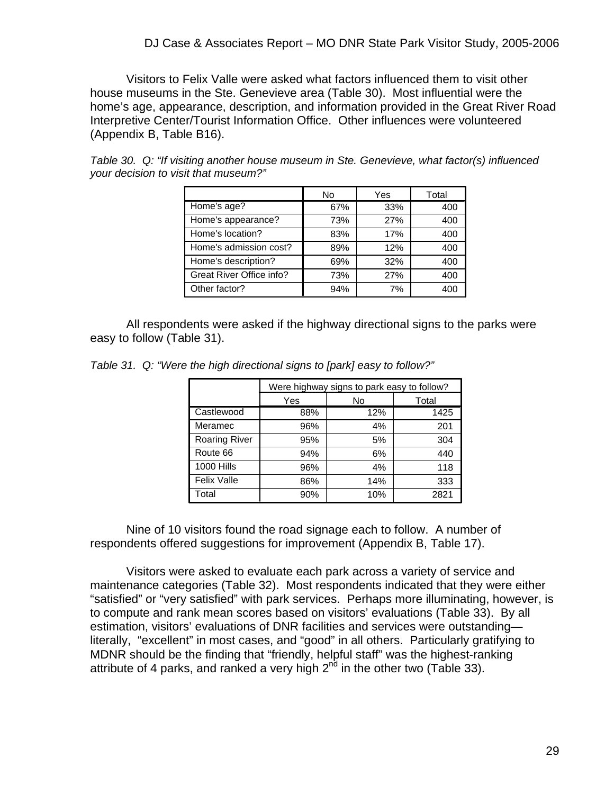Visitors to Felix Valle were asked what factors influenced them to visit other house museums in the Ste. Genevieve area (Table 30). Most influential were the home's age, appearance, description, and information provided in the Great River Road Interpretive Center/Tourist Information Office. Other influences were volunteered (Appendix B, Table B16).

|                          | No  | Yes | Total |
|--------------------------|-----|-----|-------|
| Home's age?              | 67% | 33% | 400   |
| Home's appearance?       | 73% | 27% | 400   |
| Home's location?         | 83% | 17% | 400   |
| Home's admission cost?   | 89% | 12% | 400   |
| Home's description?      | 69% | 32% | 400   |
| Great River Office info? | 73% | 27% | 400   |
| Other factor?            | 94% | 7%  | 400   |

*Table 30. Q: "If visiting another house museum in Ste. Genevieve, what factor(s) influenced your decision to visit that museum?"* 

 All respondents were asked if the highway directional signs to the parks were easy to follow (Table 31).

|                      |     | Were highway signs to park easy to follow? |       |  |  |  |  |  |
|----------------------|-----|--------------------------------------------|-------|--|--|--|--|--|
|                      | Yes | No                                         | Total |  |  |  |  |  |
| Castlewood           | 88% | 12%                                        | 1425  |  |  |  |  |  |
| Meramec              | 96% | 4%                                         | 201   |  |  |  |  |  |
| <b>Roaring River</b> | 95% | 5%                                         | 304   |  |  |  |  |  |
| Route 66             | 94% | 6%                                         | 440   |  |  |  |  |  |
| <b>1000 Hills</b>    | 96% | 4%                                         | 118   |  |  |  |  |  |
| <b>Felix Valle</b>   | 86% | 14%                                        | 333   |  |  |  |  |  |
| Total                | 90% | 10%                                        | 2821  |  |  |  |  |  |

*Table 31. Q: "Were the high directional signs to [park] easy to follow?"* 

 Nine of 10 visitors found the road signage each to follow. A number of respondents offered suggestions for improvement (Appendix B, Table 17).

 Visitors were asked to evaluate each park across a variety of service and maintenance categories (Table 32). Most respondents indicated that they were either "satisfied" or "very satisfied" with park services. Perhaps more illuminating, however, is to compute and rank mean scores based on visitors' evaluations (Table 33). By all estimation, visitors' evaluations of DNR facilities and services were outstanding literally, "excellent" in most cases, and "good" in all others. Particularly gratifying to MDNR should be the finding that "friendly, helpful staff" was the highest-ranking attribute of 4 parks, and ranked a very high  $2<sup>nd</sup>$  in the other two (Table 33).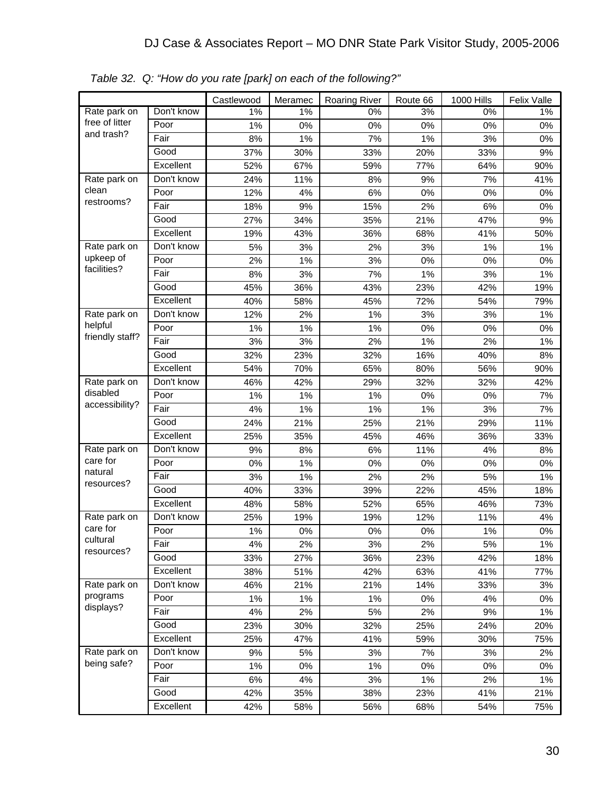|                        |            | Castlewood | Meramec | <b>Roaring River</b> | Route 66 | <b>1000 Hills</b> | <b>Felix Valle</b> |
|------------------------|------------|------------|---------|----------------------|----------|-------------------|--------------------|
| Rate park on           | Don't know | 1%         | 1%      | 0%                   | 3%       | 0%                | 1%                 |
| free of litter         | Poor       | 1%         | 0%      | 0%                   | 0%       | 0%                | 0%                 |
| and trash?             | Fair       | 8%         | 1%      | 7%                   | 1%       | 3%                | 0%                 |
|                        | Good       | 37%        | 30%     | 33%                  | 20%      | 33%               | 9%                 |
|                        | Excellent  | 52%        | 67%     | 59%                  | 77%      | 64%               | 90%                |
| Rate park on           | Don't know | 24%        | 11%     | 8%                   | 9%       | 7%                | 41%                |
| clean                  | Poor       | 12%        | 4%      | 6%                   | 0%       | 0%                | 0%                 |
| restrooms?             | Fair       | 18%        | 9%      | 15%                  | 2%       | 6%                | 0%                 |
|                        | Good       | 27%        | 34%     | 35%                  | 21%      | 47%               | 9%                 |
|                        | Excellent  | 19%        | 43%     | 36%                  | 68%      | 41%               | 50%                |
| Rate park on           | Don't know | 5%         | 3%      | 2%                   | 3%       | 1%                | 1%                 |
| upkeep of              | Poor       | 2%         | 1%      | 3%                   | 0%       | 0%                | 0%                 |
| facilities?            | Fair       | 8%         | 3%      | 7%                   | 1%       | 3%                | 1%                 |
|                        | Good       | 45%        | 36%     | 43%                  | 23%      | 42%               | 19%                |
|                        | Excellent  | 40%        | 58%     | 45%                  | 72%      | 54%               | 79%                |
| Rate park on           | Don't know | 12%        | 2%      | 1%                   | 3%       | 3%                | 1%                 |
| helpful                | Poor       | 1%         | 1%      | 1%                   | 0%       | 0%                | 0%                 |
| friendly staff?        | Fair       | 3%         | 3%      | 2%                   | 1%       | 2%                | 1%                 |
|                        | Good       | 32%        | 23%     | 32%                  | 16%      | 40%               | 8%                 |
|                        | Excellent  | 54%        | 70%     | 65%                  | 80%      | 56%               | 90%                |
| Rate park on           | Don't know | 46%        | 42%     | 29%                  | 32%      | 32%               | 42%                |
| disabled               | Poor       | 1%         | 1%      | 1%                   | 0%       | 0%                | 7%                 |
| accessibility?         | Fair       | 4%         | 1%      | 1%                   | 1%       | 3%                | 7%                 |
|                        | Good       | 24%        | 21%     | 25%                  | 21%      | 29%               | 11%                |
|                        | Excellent  | 25%        | 35%     | 45%                  | 46%      | 36%               | 33%                |
| Rate park on           | Don't know | 9%         | 8%      | 6%                   | 11%      | 4%                | 8%                 |
| care for               | Poor       | 0%         | 1%      | 0%                   | 0%       | 0%                | 0%                 |
| natural<br>resources?  | Fair       | 3%         | 1%      | 2%                   | 2%       | 5%                | 1%                 |
|                        | Good       | 40%        | 33%     | 39%                  | 22%      | 45%               | 18%                |
|                        | Excellent  | 48%        | 58%     | 52%                  | 65%      | 46%               | 73%                |
| Rate park on           | Don't know | 25%        | 19%     | 19%                  | 12%      | 11%               | 4%                 |
| care for               | Poor       | 1%         | $0\%$   | 0%                   | 0%       | 1%                | 0%                 |
| cultural<br>resources? | Fair       | 4%         | 2%      | 3%                   | 2%       | 5%                | $1\%$              |
|                        | Good       | 33%        | 27%     | 36%                  | 23%      | 42%               | 18%                |
|                        | Excellent  | 38%        | 51%     | 42%                  | 63%      | 41%               | 77%                |
| Rate park on           | Don't know | 46%        | 21%     | 21%                  | 14%      | 33%               | 3%                 |
| programs               | Poor       | 1%         | $1\%$   | 1%                   | 0%       | 4%                | 0%                 |
| displays?              | Fair       | 4%         | 2%      | 5%                   | 2%       | 9%                | 1%                 |
|                        | Good       | 23%        | 30%     | 32%                  | 25%      | 24%               | 20%                |
|                        | Excellent  | 25%        | 47%     | 41%                  | 59%      | 30%               | 75%                |
| Rate park on           | Don't know | $9%$       | $5%$    | 3%                   | 7%       | 3%                | 2%                 |
| being safe?            | Poor       | 1%         | $0\%$   | 1%                   | 0%       | 0%                | 0%                 |
|                        | Fair       | $6\%$      | 4%      | 3%                   | $1\%$    | 2%                | 1%                 |
|                        | Good       | 42%        | 35%     | 38%                  | 23%      | 41%               | 21%                |
|                        | Excellent  | 42%        | 58%     | 56%                  | 68%      | 54%               | 75%                |

*Table 32. Q: "How do you rate [park] on each of the following?"*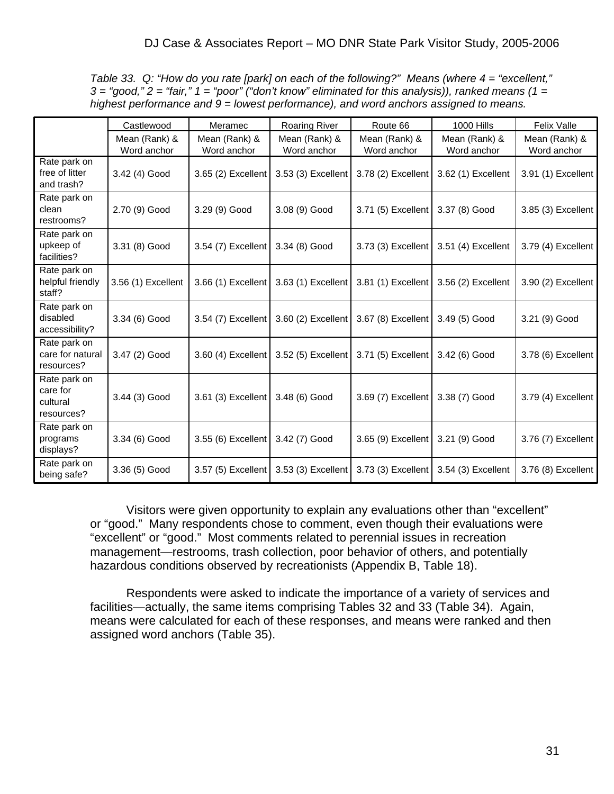*Table 33. Q: "How do you rate [park] on each of the following?" Means (where 4 = "excellent," 3 = "good," 2 = "fair," 1 = "poor" ("don't know" eliminated for this analysis)), ranked means (1 = highest performance and 9 = lowest performance), and word anchors assigned to means.*

|                                                    | Castlewood                   | Meramec                            | <b>Roaring River</b>                    | Route 66                                | <b>1000 Hills</b>            | <b>Felix Valle</b>           |
|----------------------------------------------------|------------------------------|------------------------------------|-----------------------------------------|-----------------------------------------|------------------------------|------------------------------|
|                                                    | Mean (Rank) &<br>Word anchor | Mean (Rank) &<br>Word anchor       | Mean (Rank) &<br>Word anchor            | Mean (Rank) &<br>Word anchor            | Mean (Rank) &<br>Word anchor | Mean (Rank) &<br>Word anchor |
| Rate park on<br>free of litter<br>and trash?       | 3.42 (4) Good                | 3.65 (2) Excellent                 | 3.53 (3) Excellent                      | 3.78 (2) Excellent                      | 3.62 (1) Excellent           | 3.91 (1) Excellent           |
| Rate park on<br>clean<br>restrooms?                | 2.70 (9) Good                | 3.29 (9) Good                      | 3.08 (9) Good                           | 3.71 (5) Excellent                      | 3.37 (8) Good                | 3.85 (3) Excellent           |
| Rate park on<br>upkeep of<br>facilities?           | 3.31 (8) Good                | 3.54 $(7)$ Excellent               | 3.34 (8) Good                           | 3.73 (3) Excellent                      | 3.51 (4) Excellent           | 3.79 (4) Excellent           |
| Rate park on<br>helpful friendly<br>staff?         | 3.56 (1) Excellent           |                                    | 3.66 (1) Excellent   3.63 (1) Excellent | 3.81 (1) Excellent                      | 3.56 (2) Excellent           | 3.90 (2) Excellent           |
| Rate park on<br>disabled<br>accessibility?         | 3.34 (6) Good                | 3.54 (7) Excellent                 | 3.60 (2) Excellent                      | 3.67 (8) Excellent                      | 3.49 (5) Good                | 3.21 (9) Good                |
| Rate park on<br>care for natural<br>resources?     | 3.47 (2) Good                |                                    | 3.60 (4) Excellent   3.52 (5) Excellent | 3.71 (5) Excellent                      | 3.42 (6) Good                | 3.78 (6) Excellent           |
| Rate park on<br>care for<br>cultural<br>resources? | 3.44 (3) Good                | 3.61 (3) Excellent                 | 3.48 (6) Good                           | 3.69 (7) Excellent                      | 3.38 (7) Good                | 3.79 (4) Excellent           |
| Rate park on<br>programs<br>displays?              | 3.34 (6) Good                | 3.55 (6) Excellent   3.42 (7) Good |                                         | 3.65 (9) Excellent                      | 3.21 (9) Good                | 3.76 (7) Excellent           |
| Rate park on<br>being safe?                        | 3.36 (5) Good                | 3.57 (5) Excellent                 |                                         | 3.53 (3) Excellent   3.73 (3) Excellent | 3.54 (3) Excellent           | 3.76 (8) Excellent           |

Visitors were given opportunity to explain any evaluations other than "excellent" or "good." Many respondents chose to comment, even though their evaluations were "excellent" or "good." Most comments related to perennial issues in recreation management—restrooms, trash collection, poor behavior of others, and potentially hazardous conditions observed by recreationists (Appendix B, Table 18).

 Respondents were asked to indicate the importance of a variety of services and facilities—actually, the same items comprising Tables 32 and 33 (Table 34). Again, means were calculated for each of these responses, and means were ranked and then assigned word anchors (Table 35).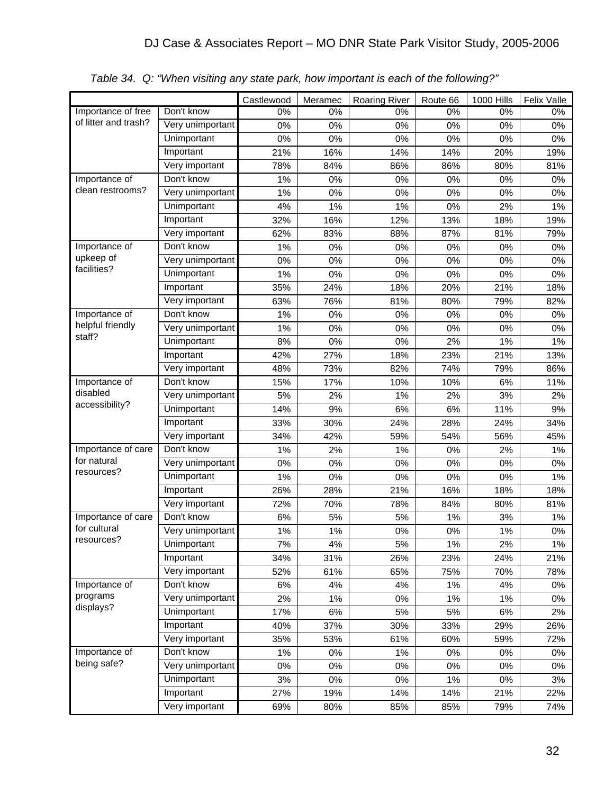|                      |                  | Castlewood | Meramec | <b>Roaring River</b> | Route 66 | <b>1000 Hills</b> | Felix Valle |
|----------------------|------------------|------------|---------|----------------------|----------|-------------------|-------------|
| Importance of free   | Don't know       | 0%         | 0%      | 0%                   | 0%       | 0%                | 0%          |
| of litter and trash? | Very unimportant | 0%         | 0%      | 0%                   | 0%       | 0%                | 0%          |
|                      | Unimportant      | 0%         | 0%      | 0%                   | 0%       | 0%                | 0%          |
|                      | Important        | 21%        | 16%     | 14%                  | 14%      | 20%               | 19%         |
|                      | Very important   | 78%        | 84%     | 86%                  | 86%      | 80%               | 81%         |
| Importance of        | Don't know       | 1%         | 0%      | 0%                   | 0%       | 0%                | 0%          |
| clean restrooms?     | Very unimportant | 1%         | 0%      | 0%                   | 0%       | 0%                | 0%          |
|                      | Unimportant      | 4%         | 1%      | 1%                   | 0%       | 2%                | 1%          |
|                      | Important        | 32%        | 16%     | 12%                  | 13%      | 18%               | 19%         |
|                      | Very important   | 62%        | 83%     | 88%                  | 87%      | 81%               | 79%         |
| Importance of        | Don't know       | 1%         | 0%      | 0%                   | 0%       | 0%                | 0%          |
| upkeep of            | Very unimportant | 0%         | 0%      | 0%                   | 0%       | 0%                | 0%          |
| facilities?          | Unimportant      | 1%         | 0%      | 0%                   | 0%       | 0%                | 0%          |
|                      | Important        | 35%        | 24%     | 18%                  | 20%      | 21%               | 18%         |
|                      | Very important   | 63%        | 76%     | 81%                  | 80%      | 79%               | 82%         |
| Importance of        | Don't know       | 1%         | 0%      | 0%                   | 0%       | 0%                | 0%          |
| helpful friendly     | Very unimportant | 1%         | 0%      | 0%                   | 0%       | 0%                | 0%          |
| staff?               | Unimportant      | 8%         | 0%      | 0%                   | 2%       | 1%                | 1%          |
|                      | Important        | 42%        | 27%     | 18%                  | 23%      | 21%               | 13%         |
|                      | Very important   | 48%        | 73%     | 82%                  | 74%      | 79%               | 86%         |
| Importance of        | Don't know       | 15%        | 17%     | 10%                  | 10%      | 6%                | 11%         |
| disabled             | Very unimportant | 5%         | 2%      | 1%                   | 2%       | 3%                | 2%          |
| accessibility?       | Unimportant      | 14%        | 9%      | 6%                   | 6%       | 11%               | 9%          |
|                      | Important        | 33%        | 30%     | 24%                  | 28%      | 24%               | 34%         |
|                      | Very important   | 34%        | 42%     | 59%                  | 54%      | 56%               | 45%         |
| Importance of care   | Don't know       | 1%         | 2%      | 1%                   | 0%       | 2%                | 1%          |
| for natural          | Very unimportant | 0%         | 0%      | $0\%$                | 0%       | 0%                | 0%          |
| resources?           | Unimportant      | 1%         | 0%      | 0%                   | 0%       | 0%                | 1%          |
|                      | Important        | 26%        | 28%     | 21%                  | 16%      | 18%               | 18%         |
|                      | Very important   | 72%        | 70%     | 78%                  | 84%      | 80%               | 81%         |
| Importance of care   | Don't know       | 6%         | 5%      | 5%                   | 1%       | 3%                | 1%          |
| for cultural         | Very unimportant | 1%         | $1\%$   | $0\%$                | 0%       | 1%                | 0%          |
| resources?           | Unimportant      | 7%         | 4%      | 5%                   | $1\%$    | 2%                | $1\%$       |
|                      | Important        | 34%        | 31%     | 26%                  | 23%      | 24%               | 21%         |
|                      | Very important   | 52%        | 61%     | 65%                  | 75%      | 70%               | 78%         |
| Importance of        | Don't know       | 6%         | 4%      | 4%                   | $1\%$    | 4%                | 0%          |
| programs             | Very unimportant | 2%         | 1%      | $0\%$                | 1%       | 1%                | 0%          |
| displays?            | Unimportant      | 17%        | $6\%$   | 5%                   | 5%       | $6\%$             | 2%          |
|                      | Important        | 40%        | 37%     | 30%                  | 33%      | 29%               | 26%         |
|                      | Very important   | 35%        | 53%     | 61%                  | 60%      | 59%               | 72%         |
| Importance of        | Don't know       | 1%         | 0%      | 1%                   | 0%       | 0%                | 0%          |
| being safe?          | Very unimportant | 0%         | 0%      | $0\%$                | $0\%$    | $0\%$             | 0%          |
|                      | Unimportant      | 3%         | $0\%$   | $0\%$                | $1\%$    | 0%                | 3%          |
|                      | Important        | 27%        | 19%     | 14%                  | 14%      | 21%               | 22%         |
|                      | Very important   | 69%        | 80%     | 85%                  | 85%      | 79%               | 74%         |

*Table 34. Q: "When visiting any state park, how important is each of the following?"*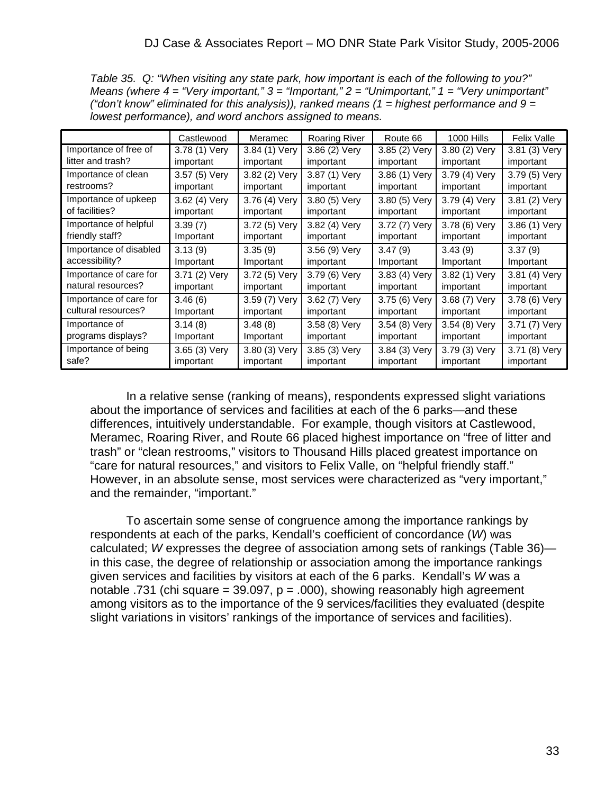*Table 35. Q: "When visiting any state park, how important is each of the following to you?" Means (where 4 = "Very important," 3 = "Important," 2 = "Unimportant," 1 = "Very unimportant" ("don't know" eliminated for this analysis)), ranked means (1 = highest performance and 9 = lowest performance), and word anchors assigned to means.* 

|                        | Castlewood    | Meramec       | <b>Roaring River</b> | Route 66      | <b>1000 Hills</b> | <b>Felix Valle</b> |
|------------------------|---------------|---------------|----------------------|---------------|-------------------|--------------------|
| Importance of free of  | 3.78 (1) Very | 3.84 (1) Very | 3.86 (2) Very        | 3.85 (2) Very | 3.80 (2) Very     | 3.81 (3) Very      |
| litter and trash?      | important     | important     | important            | important     | important         | important          |
| Importance of clean    | 3.57 (5) Very | 3.82 (2) Very | 3.87 (1) Very        | 3.86 (1) Very | 3.79 (4) Very     | 3.79 (5) Very      |
| restrooms?             | important     | important     | important            | important     | important         | important          |
| Importance of upkeep   | 3.62 (4) Very | 3.76 (4) Very | 3.80 (5) Very        | 3.80 (5) Very | 3.79 (4) Very     | 3.81 (2) Very      |
| of facilities?         | important     | important     | important            | important     | important         | important          |
| Importance of helpful  | 3.39(7)       | 3.72 (5) Very | 3.82 (4) Very        | 3.72 (7) Very | 3.78 (6) Very     | 3.86 (1) Very      |
| friendly staff?        | Important     | important     | important            | important     | important         | important          |
| Importance of disabled | 3.13(9)       | 3.35(9)       | 3.56 (9) Very        | 3.47(9)       | 3.43(9)           | 3.37(9)            |
| accessibility?         | Important     | Important     | important            | Important     | Important         | Important          |
| Importance of care for | 3.71 (2) Very | 3.72 (5) Very | 3.79 (6) Very        | 3.83 (4) Very | 3.82 (1) Very     | 3.81 (4) Very      |
| natural resources?     | important     | important     | important            | important     | important         | important          |
| Importance of care for | 3.46(6)       | 3.59 (7) Very | 3.62 (7) Very        | 3.75 (6) Very | 3.68 (7) Very     | 3.78 (6) Very      |
| cultural resources?    | Important     | important     | important            | important     | important         | important          |
| Importance of          | 3.14(8)       | 3.48(8)       | 3.58 (8) Very        | 3.54 (8) Very | 3.54 (8) Very     | 3.71 (7) Very      |
| programs displays?     | Important     | Important     | important            | important     | important         | important          |
| Importance of being    | 3.65 (3) Very | 3.80 (3) Very | 3.85 (3) Very        | 3.84 (3) Very | 3.79 (3) Very     | 3.71 (8) Very      |
| safe?                  | important     | important     | important            | important     | important         | important          |

 In a relative sense (ranking of means), respondents expressed slight variations about the importance of services and facilities at each of the 6 parks—and these differences, intuitively understandable. For example, though visitors at Castlewood, Meramec, Roaring River, and Route 66 placed highest importance on "free of litter and trash" or "clean restrooms," visitors to Thousand Hills placed greatest importance on "care for natural resources," and visitors to Felix Valle, on "helpful friendly staff." However, in an absolute sense, most services were characterized as "very important," and the remainder, "important."

 To ascertain some sense of congruence among the importance rankings by respondents at each of the parks, Kendall's coefficient of concordance (*W*) was calculated; *W* expresses the degree of association among sets of rankings (Table 36) in this case, the degree of relationship or association among the importance rankings given services and facilities by visitors at each of the 6 parks. Kendall's *W* was a notable .731 (chi square = 39.097,  $p = .000$ ), showing reasonably high agreement among visitors as to the importance of the 9 services/facilities they evaluated (despite slight variations in visitors' rankings of the importance of services and facilities).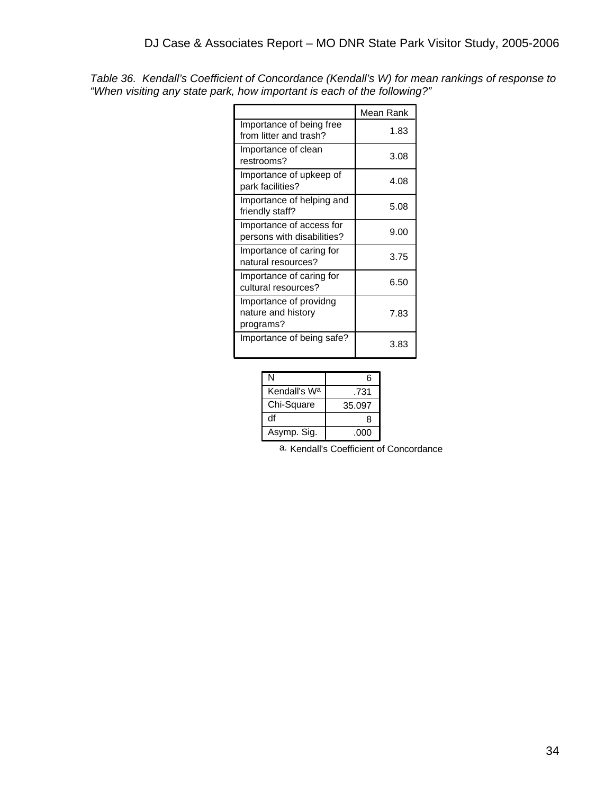|                                                           | Mean Rank |
|-----------------------------------------------------------|-----------|
| Importance of being free<br>from litter and trash?        | 1.83      |
| Importance of clean<br>restrooms?                         | 3.08      |
| Importance of upkeep of<br>park facilities?               | 4.08      |
| Importance of helping and<br>friendly staff?              | 5.08      |
| Importance of access for<br>persons with disabilities?    | 9.00      |
| Importance of caring for<br>natural resources?            | 3.75      |
| Importance of caring for<br>cultural resources?           | 6.50      |
| Importance of providng<br>nature and history<br>programs? | 7.83      |
| Importance of being safe?                                 | 3.83      |

*Table 36. Kendall's Coefficient of Concordance (Kendall's W) for mean rankings of response to "When visiting any state park, how important is each of the following?"* 

| N                        | հ      |
|--------------------------|--------|
| Kendall's W <sup>a</sup> | .731   |
| Chi-Square               | 35.097 |
| df                       | ႙      |
| Asymp. Sig.              | .000   |

a. Kendall's Coefficient of Concordance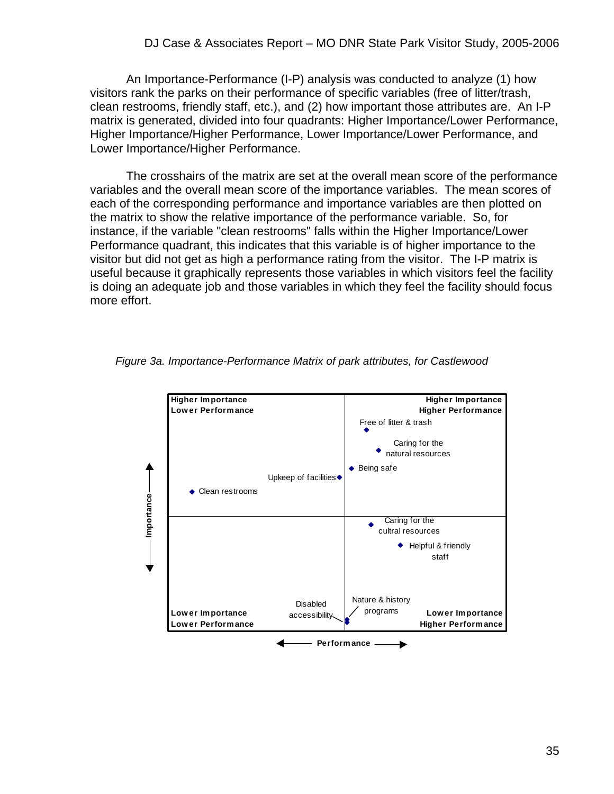An Importance-Performance (I-P) analysis was conducted to analyze (1) how visitors rank the parks on their performance of specific variables (free of litter/trash, clean restrooms, friendly staff, etc.), and (2) how important those attributes are. An I-P matrix is generated, divided into four quadrants: Higher Importance/Lower Performance, Higher Importance/Higher Performance, Lower Importance/Lower Performance, and Lower Importance/Higher Performance.

 The crosshairs of the matrix are set at the overall mean score of the performance variables and the overall mean score of the importance variables. The mean scores of each of the corresponding performance and importance variables are then plotted on the matrix to show the relative importance of the performance variable. So, for instance, if the variable "clean restrooms" falls within the Higher Importance/Lower Performance quadrant, this indicates that this variable is of higher importance to the visitor but did not get as high a performance rating from the visitor. The I-P matrix is useful because it graphically represents those variables in which visitors feel the facility is doing an adequate job and those variables in which they feel the facility should focus more effort.



*Figure 3a. Importance-Performance Matrix of park attributes, for Castlewood*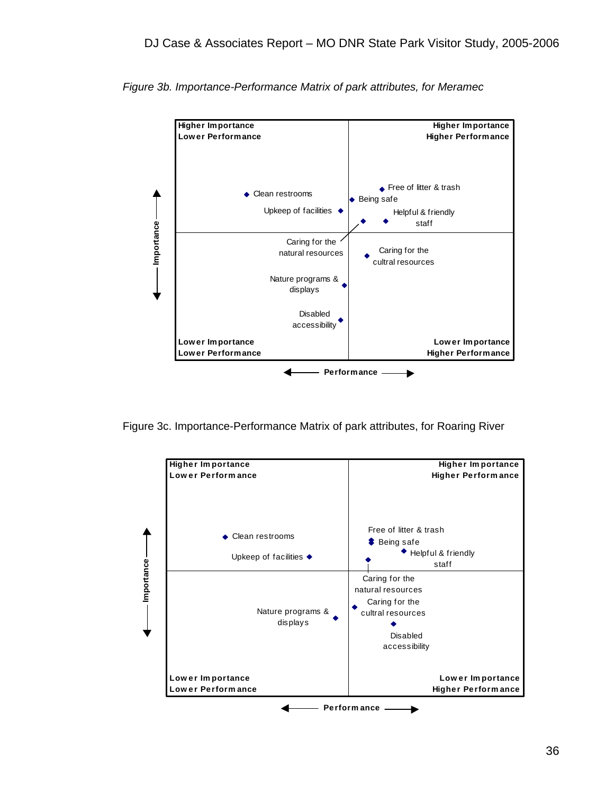

*Figure 3b. Importance-Performance Matrix of park attributes, for Meramec* 

Figure 3c. Importance-Performance Matrix of park attributes, for Roaring River

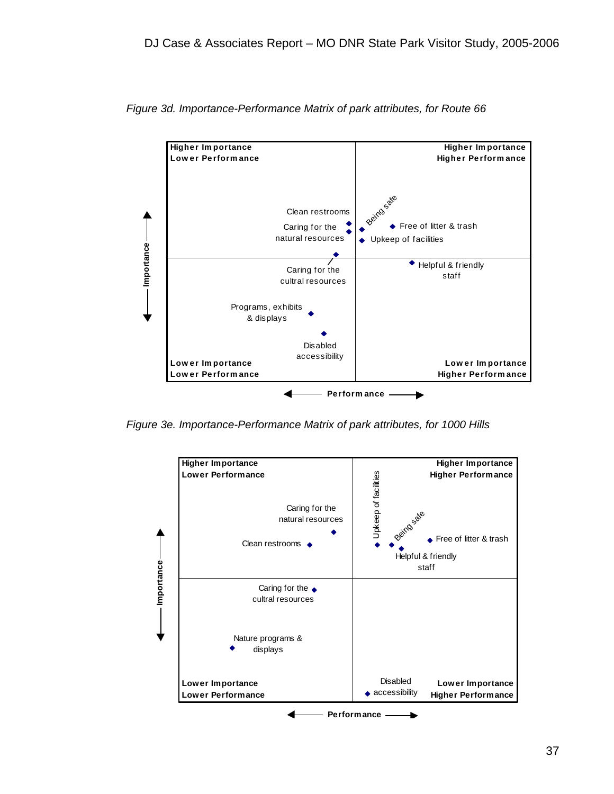

*Figure 3d. Importance-Performance Matrix of park attributes, for Route 66* 

*Figure 3e. Importance-Performance Matrix of park attributes, for 1000 Hills* 

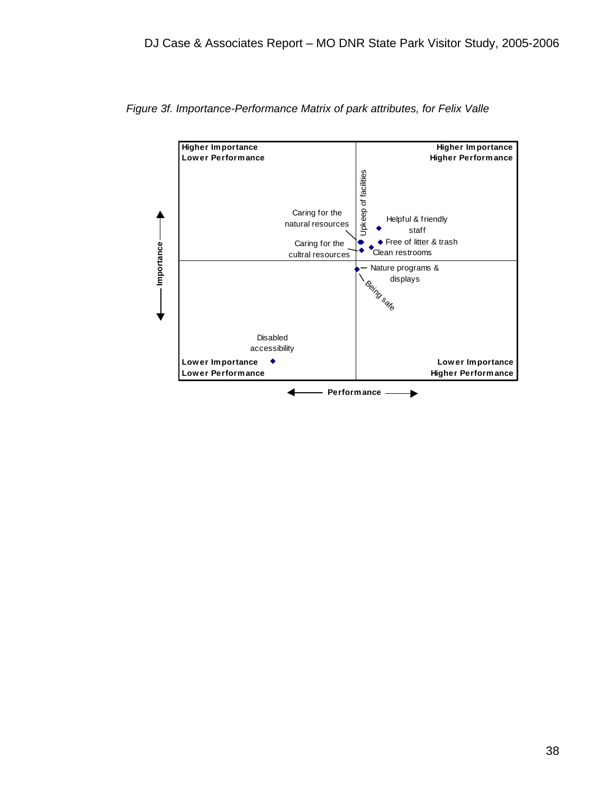

*Figure 3f. Importance-Performance Matrix of park attributes, for Felix Valle*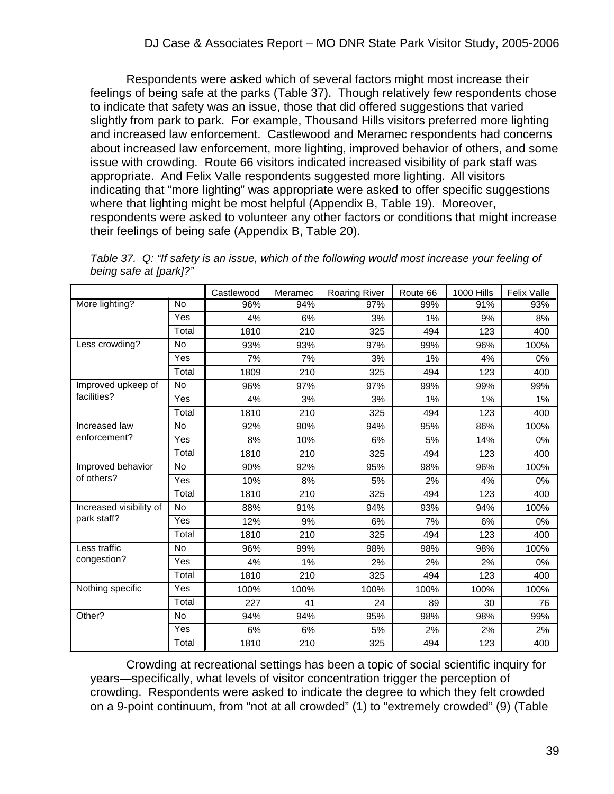Respondents were asked which of several factors might most increase their feelings of being safe at the parks (Table 37). Though relatively few respondents chose to indicate that safety was an issue, those that did offered suggestions that varied slightly from park to park. For example, Thousand Hills visitors preferred more lighting and increased law enforcement. Castlewood and Meramec respondents had concerns about increased law enforcement, more lighting, improved behavior of others, and some issue with crowding. Route 66 visitors indicated increased visibility of park staff was appropriate. And Felix Valle respondents suggested more lighting. All visitors indicating that "more lighting" was appropriate were asked to offer specific suggestions where that lighting might be most helpful (Appendix B, Table 19). Moreover, respondents were asked to volunteer any other factors or conditions that might increase their feelings of being safe (Appendix B, Table 20).

|                         |            | Castlewood | Meramec | Roaring River | Route 66 | <b>1000 Hills</b> | <b>Felix Valle</b> |
|-------------------------|------------|------------|---------|---------------|----------|-------------------|--------------------|
| More lighting?          | No         | 96%        | 94%     | 97%           | 99%      | 91%               | 93%                |
|                         | Yes        | 4%         | 6%      | 3%            | 1%       | 9%                | 8%                 |
|                         | Total      | 1810       | 210     | 325           | 494      | 123               | 400                |
| Less crowding?          | No         | 93%        | 93%     | 97%           | 99%      | 96%               | 100%               |
|                         | Yes        | 7%         | 7%      | 3%            | 1%       | 4%                | 0%                 |
|                         | Total      | 1809       | 210     | 325           | 494      | 123               | 400                |
| Improved upkeep of      | No         | 96%        | 97%     | 97%           | 99%      | 99%               | 99%                |
| facilities?             | <b>Yes</b> | 4%         | 3%      | 3%            | 1%       | 1%                | 1%                 |
|                         | Total      | 1810       | 210     | 325           | 494      | 123               | 400                |
| Increased law           | <b>No</b>  | 92%        | 90%     | 94%           | 95%      | 86%               | 100%               |
| enforcement?            | <b>Yes</b> | 8%         | 10%     | 6%            | 5%       | 14%               | 0%                 |
|                         | Total      | 1810       | 210     | 325           | 494      | 123               | 400                |
| Improved behavior       | No         | 90%        | 92%     | 95%           | 98%      | 96%               | 100%               |
| of others?              | Yes        | 10%        | 8%      | 5%            | 2%       | 4%                | 0%                 |
|                         | Total      | 1810       | 210     | 325           | 494      | 123               | 400                |
| Increased visibility of | <b>No</b>  | 88%        | 91%     | 94%           | 93%      | 94%               | 100%               |
| park staff?             | Yes        | 12%        | 9%      | 6%            | 7%       | 6%                | 0%                 |
|                         | Total      | 1810       | 210     | 325           | 494      | 123               | 400                |
| Less traffic            | <b>No</b>  | 96%        | 99%     | 98%           | 98%      | 98%               | 100%               |
| congestion?             | <b>Yes</b> | 4%         | 1%      | 2%            | 2%       | 2%                | 0%                 |
|                         | Total      | 1810       | 210     | 325           | 494      | 123               | 400                |
| Nothing specific        | <b>Yes</b> | 100%       | 100%    | 100%          | 100%     | 100%              | 100%               |
|                         | Total      | 227        | 41      | 24            | 89       | 30                | 76                 |
| Other?                  | No         | 94%        | 94%     | 95%           | 98%      | 98%               | 99%                |
|                         | Yes        | 6%         | 6%      | 5%            | 2%       | 2%                | 2%                 |
|                         | Total      | 1810       | 210     | 325           | 494      | 123               | 400                |

*Table 37. Q: "If safety is an issue, which of the following would most increase your feeling of being safe at [park]?"*

 Crowding at recreational settings has been a topic of social scientific inquiry for years—specifically, what levels of visitor concentration trigger the perception of crowding. Respondents were asked to indicate the degree to which they felt crowded on a 9-point continuum, from "not at all crowded" (1) to "extremely crowded" (9) (Table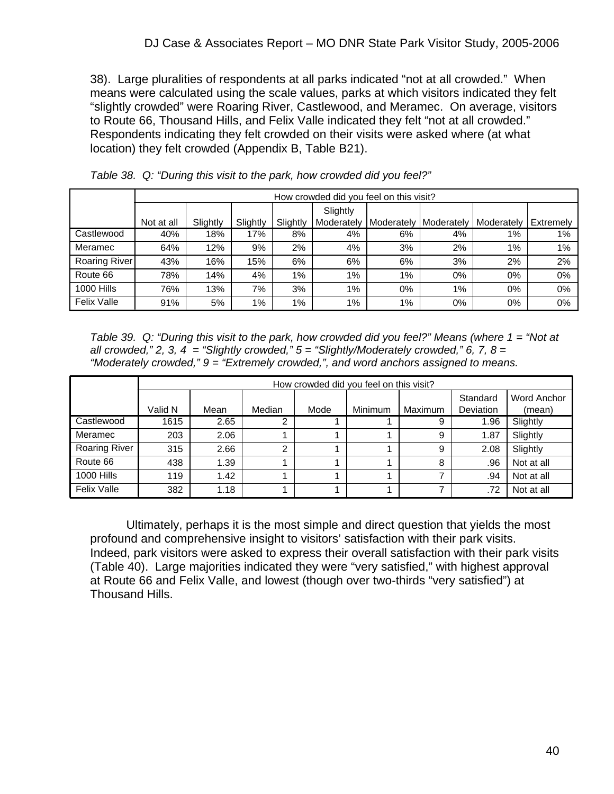38). Large pluralities of respondents at all parks indicated "not at all crowded." When means were calculated using the scale values, parks at which visitors indicated they felt "slightly crowded" were Roaring River, Castlewood, and Meramec. On average, visitors to Route 66, Thousand Hills, and Felix Valle indicated they felt "not at all crowded." Respondents indicating they felt crowded on their visits were asked where (at what location) they felt crowded (Appendix B, Table B21).

|                    |            | How crowded did you feel on this visit? |          |          |            |            |            |            |           |  |
|--------------------|------------|-----------------------------------------|----------|----------|------------|------------|------------|------------|-----------|--|
|                    |            |                                         |          |          | Slightly   |            |            |            |           |  |
|                    | Not at all | Slightly                                | Slightly | Slightly | Moderately | Moderately | Moderately | Moderately | Extremely |  |
| Castlewood         | 40%        | 18%                                     | 17%      | 8%       | 4%         | 6%         | 4%         | 1%         | $1\%$     |  |
| Meramec            | 64%        | 12%                                     | 9%       | 2%       | 4%         | 3%         | 2%         | $1\%$      | 1%        |  |
| Roaring River      | 43%        | 16%                                     | 15%      | 6%       | 6%         | 6%         | 3%         | 2%         | 2%        |  |
| Route 66           | 78%        | 14%                                     | 4%       | 1%       | 1%         | 1%         | 0%         | 0%         | 0%        |  |
| <b>1000 Hills</b>  | 76%        | 13%                                     | 7%       | 3%       | 1%         | $0\%$      | $1\%$      | 0%         | 0%        |  |
| <b>Felix Valle</b> | 91%        | 5%                                      | 1%       | 1%       | 1%         | 1%         | $0\%$      | 0%         | 0%        |  |

*Table 38. Q: "During this visit to the park, how crowded did you feel?"*

*Table 39. Q: "During this visit to the park, how crowded did you feel?" Means (where 1 = "Not at all crowded," 2, 3, 4 = "Slightly crowded," 5 = "Slightly/Moderately crowded," 6, 7, 8 = "Moderately crowded," 9 = "Extremely crowded,", and word anchors assigned to means.* 

|                      |         | How crowded did you feel on this visit? |        |      |         |         |                              |                              |  |  |  |
|----------------------|---------|-----------------------------------------|--------|------|---------|---------|------------------------------|------------------------------|--|--|--|
|                      | Valid N | Mean                                    | Median | Mode | Minimum | Maximum | Standard<br><b>Deviation</b> | <b>Word Anchor</b><br>(mean) |  |  |  |
| Castlewood           | 1615    | 2.65                                    | 2      |      |         | 9       | 1.96                         | Slightly                     |  |  |  |
| Meramec              | 203     | 2.06                                    |        |      |         | 9       | 1.87                         | Slightly                     |  |  |  |
| <b>Roaring River</b> | 315     | 2.66                                    | ົ      |      |         | 9       | 2.08                         | Slightly                     |  |  |  |
| Route 66             | 438     | 1.39                                    |        |      |         | 8       | .96                          | Not at all                   |  |  |  |
| <b>1000 Hills</b>    | 119     | 1.42                                    |        |      |         |         | .94                          | Not at all                   |  |  |  |
| <b>Felix Valle</b>   | 382     | 1.18                                    |        |      |         |         | .72                          | Not at all                   |  |  |  |

 Ultimately, perhaps it is the most simple and direct question that yields the most profound and comprehensive insight to visitors' satisfaction with their park visits. Indeed, park visitors were asked to express their overall satisfaction with their park visits (Table 40). Large majorities indicated they were "very satisfied," with highest approval at Route 66 and Felix Valle, and lowest (though over two-thirds "very satisfied") at Thousand Hills.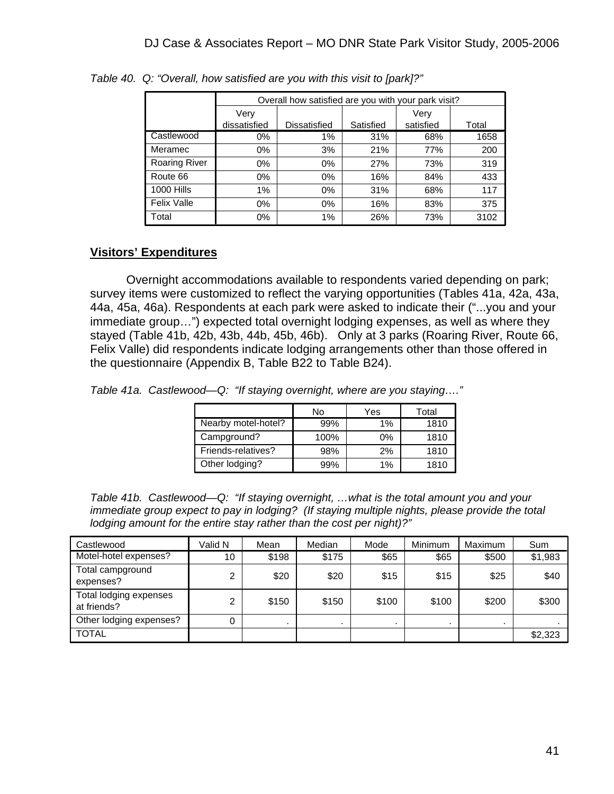|                      |              | Overall how satisfied are you with your park visit? |           |           |       |  |  |  |  |
|----------------------|--------------|-----------------------------------------------------|-----------|-----------|-------|--|--|--|--|
|                      | Verv         |                                                     |           | Very      |       |  |  |  |  |
|                      | dissatisfied | <b>Dissatisfied</b>                                 | Satisfied | satisfied | Total |  |  |  |  |
| Castlewood           | 0%           | 1%                                                  | 31%       | 68%       | 1658  |  |  |  |  |
| Meramec              | 0%           | 3%                                                  | 21%       | 77%       | 200   |  |  |  |  |
| <b>Roaring River</b> | 0%           | $0\%$                                               | 27%       | 73%       | 319   |  |  |  |  |
| Route 66             | $0\%$        | $0\%$                                               | 16%       | 84%       | 433   |  |  |  |  |
| <b>1000 Hills</b>    | 1%           | 0%                                                  | 31%       | 68%       | 117   |  |  |  |  |
| <b>Felix Valle</b>   | 0%           | $0\%$                                               | 16%       | 83%       | 375   |  |  |  |  |
| Total                | $0\%$        | 1%                                                  | 26%       | 73%       | 3102  |  |  |  |  |

*Table 40. Q: "Overall, how satisfied are you with this visit to [park]?"*

#### **Visitors' Expenditures**

 Overnight accommodations available to respondents varied depending on park; survey items were customized to reflect the varying opportunities (Tables 41a, 42a, 43a, 44a, 45a, 46a). Respondents at each park were asked to indicate their ("...you and your immediate group…") expected total overnight lodging expenses, as well as where they stayed (Table 41b, 42b, 43b, 44b, 45b, 46b). Only at 3 parks (Roaring River, Route 66, Felix Valle) did respondents indicate lodging arrangements other than those offered in the questionnaire (Appendix B, Table B22 to Table B24).

*Table 41a. Castlewood—Q: "If staying overnight, where are you staying…."* 

|                     | No   | Yes   | Total |
|---------------------|------|-------|-------|
| Nearby motel-hotel? | 99%  | 1%    | 1810  |
| Campground?         | 100% | $0\%$ | 1810  |
| Friends-relatives?  | 98%  | 2%    | 1810  |
| Other lodging?      | 99%  | 1%    | 1810  |

*Table 41b. Castlewood—Q: "If staying overnight, …what is the total amount you and your immediate group expect to pay in lodging? (If staying multiple nights, please provide the total lodging amount for the entire stay rather than the cost per night)?"* 

| Castlewood                            | Valid N | Mean  | Median | Mode  | Minimum | Maximum | Sum     |
|---------------------------------------|---------|-------|--------|-------|---------|---------|---------|
| Motel-hotel expenses?                 | 10      | \$198 | \$175  | \$65  | \$65    | \$500   | \$1,983 |
| Total campground<br>expenses?         | 2       | \$20  | \$20   | \$15  | \$15    | \$25    | \$40    |
| Total lodging expenses<br>at friends? | 2       | \$150 | \$150  | \$100 | \$100   | \$200   | \$300   |
| Other lodging expenses?               | 0       |       |        |       |         |         |         |
| <b>TOTAL</b>                          |         |       |        |       |         |         | \$2,323 |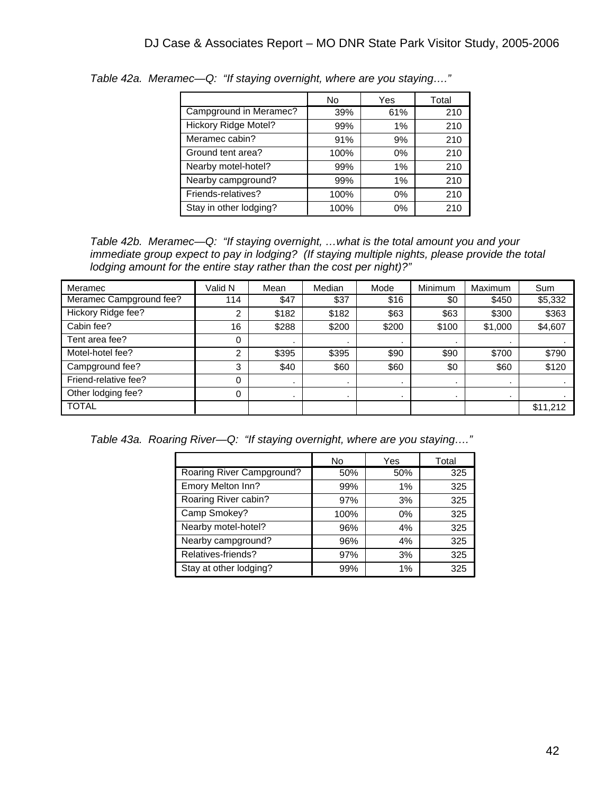|                        | No.  | Yes   | Total |
|------------------------|------|-------|-------|
| Campground in Meramec? | 39%  | 61%   | 210   |
| Hickory Ridge Motel?   | 99%  | 1%    | 210   |
| Meramec cabin?         | 91%  | 9%    | 210   |
| Ground tent area?      | 100% | $0\%$ | 210   |
| Nearby motel-hotel?    | 99%  | 1%    | 210   |
| Nearby campground?     | 99%  | 1%    | 210   |
| Friends-relatives?     | 100% | $0\%$ | 210   |
| Stay in other lodging? | 100% | $0\%$ | 210   |

*Table 42a. Meramec—Q: "If staying overnight, where are you staying…."* 

*Table 42b. Meramec—Q: "If staying overnight, …what is the total amount you and your immediate group expect to pay in lodging? (If staying multiple nights, please provide the total lodging amount for the entire stay rather than the cost per night)?"* 

| Meramec                 | Valid N | Mean    | Median         | Mode           | Minimum | Maximum        | Sum            |
|-------------------------|---------|---------|----------------|----------------|---------|----------------|----------------|
| Meramec Campground fee? | 114     | \$47    | \$37           | \$16           | \$0     | \$450          | \$5,332        |
| Hickory Ridge fee?      | 2       | \$182   | \$182          | \$63           | \$63    | \$300          | \$363          |
| Cabin fee?              | 16      | \$288   | \$200          | \$200          | \$100   | \$1,000        | \$4,607        |
| Tent area fee?          | 0       |         |                |                |         |                |                |
| Motel-hotel fee?        | າ<br>∠  | \$395   | \$395          | \$90           | \$90    | \$700          | \$790          |
| Campground fee?         | 3       | \$40    | \$60           | \$60           | \$0     | \$60           | \$120          |
| Friend-relative fee?    | 0       |         |                |                |         | $\cdot$        |                |
| Other lodging fee?      | 0       | $\cdot$ | $\blacksquare$ | $\blacksquare$ | $\cdot$ | $\blacksquare$ | $\blacksquare$ |
| <b>TOTAL</b>            |         |         |                |                |         |                | \$11,212       |

*Table 43a. Roaring River—Q: "If staying overnight, where are you staying…."*

|                           | No   | Yes | Total |
|---------------------------|------|-----|-------|
| Roaring River Campground? | 50%  | 50% | 325   |
| Emory Melton Inn?         | 99%  | 1%  | 325   |
| Roaring River cabin?      | 97%  | 3%  | 325   |
| Camp Smokey?              | 100% | 0%  | 325   |
| Nearby motel-hotel?       | 96%  | 4%  | 325   |
| Nearby campground?        | 96%  | 4%  | 325   |
| Relatives-friends?        | 97%  | 3%  | 325   |
| Stay at other lodging?    | 99%  | 1%  | 325   |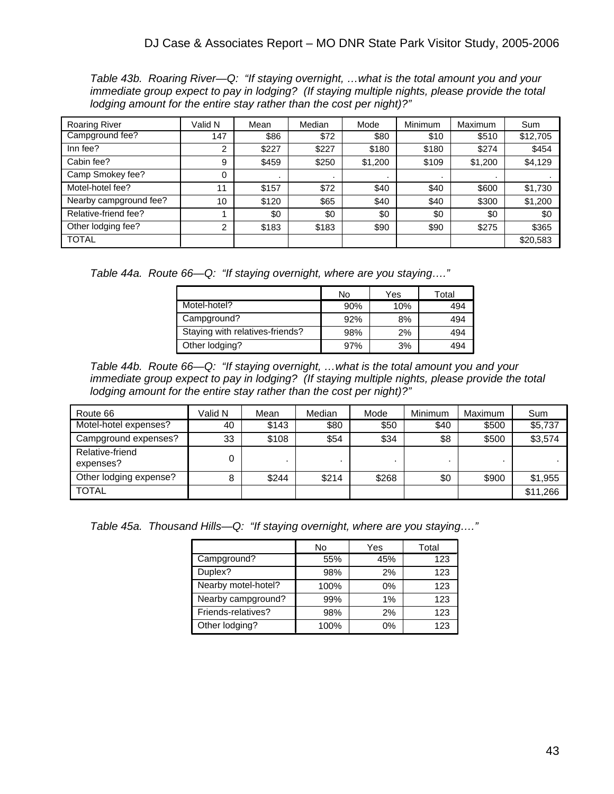*Table 43b. Roaring River—Q: "If staying overnight, …what is the total amount you and your immediate group expect to pay in lodging? (If staying multiple nights, please provide the total lodging amount for the entire stay rather than the cost per night)?"*

| <b>Roaring River</b>   | Valid N        | Mean  | Median | Mode    | Minimum | Maximum | Sum      |
|------------------------|----------------|-------|--------|---------|---------|---------|----------|
| Campground fee?        | 147            | \$86  | \$72   | \$80    | \$10    | \$510   | \$12,705 |
| Inn fee?               | 2              | \$227 | \$227  | \$180   | \$180   | \$274   | \$454    |
| Cabin fee?             | 9              | \$459 | \$250  | \$1,200 | \$109   | \$1,200 | \$4,129  |
| Camp Smokey fee?       | 0              |       |        |         |         |         |          |
| Motel-hotel fee?       | 11             | \$157 | \$72   | \$40    | \$40    | \$600   | \$1,730  |
| Nearby campground fee? | 10             | \$120 | \$65   | \$40    | \$40    | \$300   | \$1,200  |
| Relative-friend fee?   |                | \$0   | \$0    | \$0     | \$0     | \$0     | \$0      |
| Other lodging fee?     | $\overline{2}$ | \$183 | \$183  | \$90    | \$90    | \$275   | \$365    |
| <b>TOTAL</b>           |                |       |        |         |         |         | \$20,583 |

*Table 44a. Route 66—Q: "If staying overnight, where are you staying…."*

|                                 | No  | Yes | Total |
|---------------------------------|-----|-----|-------|
| Motel-hotel?                    | 90% | 10% | 494   |
| Campground?                     | 92% | 8%  | 494   |
| Staying with relatives-friends? | 98% | 2%  | 494   |
| Other lodging?                  | 97% | 3%  | 494   |

*Table 44b. Route 66—Q: "If staying overnight, …what is the total amount you and your immediate group expect to pay in lodging? (If staying multiple nights, please provide the total lodging amount for the entire stay rather than the cost per night)?"*

| Route 66                     | Valid N | Mean  | Median | Mode  | Minimum | Maximum | Sum      |
|------------------------------|---------|-------|--------|-------|---------|---------|----------|
| Motel-hotel expenses?        | 40      | \$143 | \$80   | \$50  | \$40    | \$500   | \$5,737  |
| Campground expenses?         | 33      | \$108 | \$54   | \$34  | \$8     | \$500   | \$3,574  |
| Relative-friend<br>expenses? | 0       |       |        |       |         |         |          |
| Other lodging expense?       | 8       | \$244 | \$214  | \$268 | \$0     | \$900   | \$1,955  |
| <b>TOTAL</b>                 |         |       |        |       |         |         | \$11,266 |

*Table 45a. Thousand Hills—Q: "If staying overnight, where are you staying…."*

|                     | No   | Yes   | Total |
|---------------------|------|-------|-------|
| Campground?         | 55%  | 45%   | 123   |
| Duplex?             | 98%  | 2%    | 123   |
| Nearby motel-hotel? | 100% | $0\%$ | 123   |
| Nearby campground?  | 99%  | 1%    | 123   |
| Friends-relatives?  | 98%  | 2%    | 123   |
| Other lodging?      | 100% | 0%    | 123   |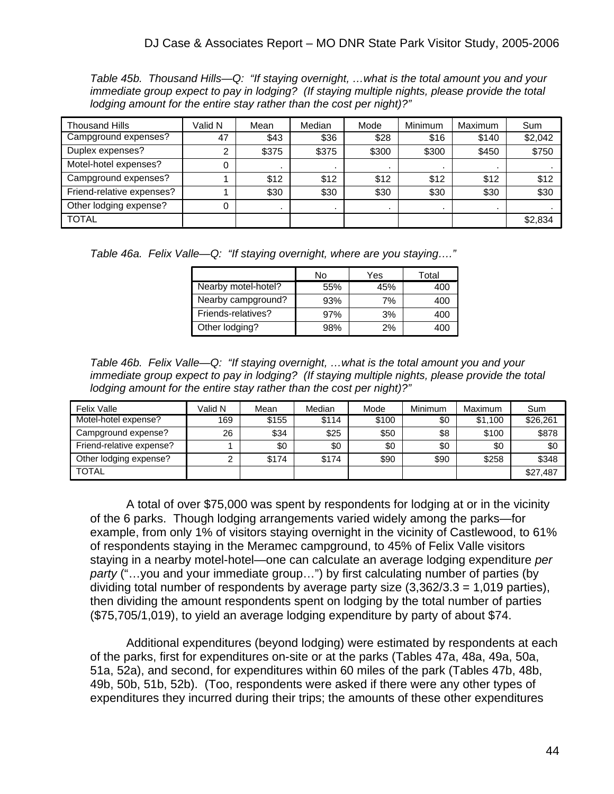*Table 45b. Thousand Hills—Q: "If staying overnight, …what is the total amount you and your immediate group expect to pay in lodging? (If staying multiple nights, please provide the total lodging amount for the entire stay rather than the cost per night)?"*

| <b>Thousand Hills</b>     | Valid N | Mean  | Median | Mode  | Minimum | Maximum | Sum     |
|---------------------------|---------|-------|--------|-------|---------|---------|---------|
| Campground expenses?      | 47      | \$43  | \$36   | \$28  | \$16    | \$140   | \$2,042 |
| Duplex expenses?          |         | \$375 | \$375  | \$300 | \$300   | \$450   | \$750   |
| Motel-hotel expenses?     |         |       |        |       |         |         |         |
| Campground expenses?      |         | \$12  | \$12   | \$12  | \$12    | \$12    | \$12    |
| Friend-relative expenses? |         | \$30  | \$30   | \$30  | \$30    | \$30    | \$30    |
| Other lodging expense?    |         |       |        |       |         |         |         |
| <b>TOTAL</b>              |         |       |        |       |         |         | \$2,834 |

*Table 46a. Felix Valle—Q: "If staying overnight, where are you staying…."* 

|                     | No  | Yes | Гоtal |
|---------------------|-----|-----|-------|
| Nearby motel-hotel? | 55% | 45% | 400   |
| Nearby campground?  | 93% | 7%  | 400   |
| Friends-relatives?  | 97% | 3%  | 400   |
| Other lodging?      | 98% | 2%  | 400   |

*Table 46b. Felix Valle—Q: "If staying overnight, …what is the total amount you and your immediate group expect to pay in lodging? (If staying multiple nights, please provide the total lodging amount for the entire stay rather than the cost per night)?"*

| <b>Felix Valle</b>       | Valid N | Mean  | Median | Mode  | Minimum | Maximum | Sum      |
|--------------------------|---------|-------|--------|-------|---------|---------|----------|
| Motel-hotel expense?     | 169     | \$155 | \$114  | \$100 | \$0     | \$1.100 | \$26.261 |
| Campground expense?      | 26      | \$34  | \$25   | \$50  | \$8     | \$100   | \$878    |
| Friend-relative expense? |         | \$0   | \$0    | \$0   | \$0     | \$0     | \$0      |
| Other lodging expense?   | ົ       | \$174 | \$174  | \$90  | \$90    | \$258   | \$348    |
| <b>TOTAL</b>             |         |       |        |       |         |         | \$27,487 |

 A total of over \$75,000 was spent by respondents for lodging at or in the vicinity of the 6 parks. Though lodging arrangements varied widely among the parks—for example, from only 1% of visitors staying overnight in the vicinity of Castlewood, to 61% of respondents staying in the Meramec campground, to 45% of Felix Valle visitors staying in a nearby motel-hotel—one can calculate an average lodging expenditure *per party* ("…you and your immediate group…") by first calculating number of parties (by dividing total number of respondents by average party size (3,362/3.3 = 1,019 parties), then dividing the amount respondents spent on lodging by the total number of parties (\$75,705/1,019), to yield an average lodging expenditure by party of about \$74.

 Additional expenditures (beyond lodging) were estimated by respondents at each of the parks, first for expenditures on-site or at the parks (Tables 47a, 48a, 49a, 50a, 51a, 52a), and second, for expenditures within 60 miles of the park (Tables 47b, 48b, 49b, 50b, 51b, 52b). (Too, respondents were asked if there were any other types of expenditures they incurred during their trips; the amounts of these other expenditures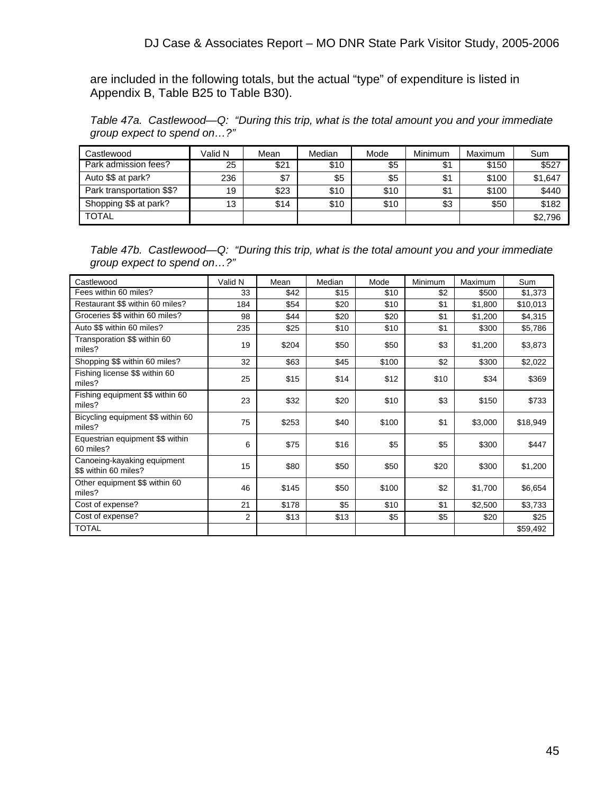are included in the following totals, but the actual "type" of expenditure is listed in Appendix B, Table B25 to Table B30).

*Table 47a. Castlewood—Q: "During this trip, what is the total amount you and your immediate group expect to spend on…?"*

| Castlewood                | Valid N | Mean | Median | Mode | Minimum | Maximum | Sum     |
|---------------------------|---------|------|--------|------|---------|---------|---------|
| Park admission fees?      | 25      | \$21 | \$10   | \$5  | \$1     | \$150   | \$527   |
| Auto \$\$ at park?        | 236     | \$7  | \$5    | \$5  | \$1     | \$100   | \$1,647 |
| Park transportation \$\$? | 19      | \$23 | \$10   | \$10 | \$1     | \$100   | \$440   |
| Shopping \$\$ at park?    | 13      | \$14 | \$10   | \$10 | \$3     | \$50    | \$182   |
| <b>TOTAL</b>              |         |      |        |      |         |         | \$2,796 |

*Table 47b. Castlewood—Q: "During this trip, what is the total amount you and your immediate group expect to spend on…?"*

| Castlewood                                           | Valid N | Mean  | Median | Mode  | <b>Minimum</b> | Maximum | Sum      |
|------------------------------------------------------|---------|-------|--------|-------|----------------|---------|----------|
| Fees within 60 miles?                                | 33      | \$42  | \$15   | \$10  | \$2            | \$500   | \$1,373  |
| Restaurant \$\$ within 60 miles?                     | 184     | \$54  | \$20   | \$10  | \$1            | \$1,800 | \$10,013 |
| Groceries \$\$ within 60 miles?                      | 98      | \$44  | \$20   | \$20  | \$1            | \$1,200 | \$4,315  |
| Auto \$\$ within 60 miles?                           | 235     | \$25  | \$10   | \$10  | \$1            | \$300   | \$5,786  |
| Transporation \$\$ within 60<br>miles?               | 19      | \$204 | \$50   | \$50  | \$3            | \$1,200 | \$3,873  |
| Shopping \$\$ within 60 miles?                       | 32      | \$63  | \$45   | \$100 | \$2            | \$300   | \$2,022  |
| Fishing license \$\$ within 60<br>miles?             | 25      | \$15  | \$14   | \$12  | \$10           | \$34    | \$369    |
| Fishing equipment \$\$ within 60<br>miles?           | 23      | \$32  | \$20   | \$10  | \$3            | \$150   | \$733    |
| Bicycling equipment \$\$ within 60<br>miles?         | 75      | \$253 | \$40   | \$100 | \$1            | \$3,000 | \$18,949 |
| Equestrian equipment \$\$ within<br>60 miles?        | 6       | \$75  | \$16   | \$5   | \$5            | \$300   | \$447    |
| Canoeing-kayaking equipment<br>\$\$ within 60 miles? | 15      | \$80  | \$50   | \$50  | \$20           | \$300   | \$1,200  |
| Other equipment \$\$ within 60<br>miles?             | 46      | \$145 | \$50   | \$100 | \$2            | \$1,700 | \$6,654  |
| Cost of expense?                                     | 21      | \$178 | \$5    | \$10  | \$1            | \$2,500 | \$3,733  |
| Cost of expense?                                     | 2       | \$13  | \$13   | \$5   | \$5            | \$20    | \$25     |
| <b>TOTAL</b>                                         |         |       |        |       |                |         | \$59,492 |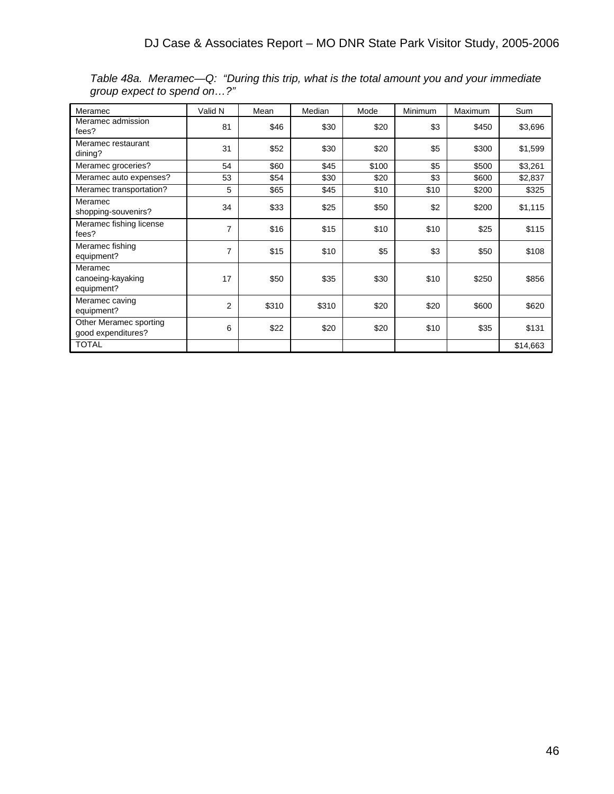| Meramec                                      | Valid N        | Mean  | Median | Mode  | Minimum | Maximum | Sum      |
|----------------------------------------------|----------------|-------|--------|-------|---------|---------|----------|
| Meramec admission<br>fees?                   | 81             | \$46  | \$30   | \$20  | \$3     | \$450   | \$3,696  |
| Meramec restaurant<br>dining?                | 31             | \$52  | \$30   | \$20  | \$5     | \$300   | \$1,599  |
| Meramec groceries?                           | 54             | \$60  | \$45   | \$100 | \$5     | \$500   | \$3,261  |
| Meramec auto expenses?                       | 53             | \$54  | \$30   | \$20  | \$3     | \$600   | \$2,837  |
| Meramec transportation?                      | 5              | \$65  | \$45   | \$10  | \$10    | \$200   | \$325    |
| Meramec<br>shopping-souvenirs?               | 34             | \$33  | \$25   | \$50  | \$2     | \$200   | \$1,115  |
| Meramec fishing license<br>fees?             | 7              | \$16  | \$15   | \$10  | \$10    | \$25    | \$115    |
| Meramec fishing<br>equipment?                | 7              | \$15  | \$10   | \$5   | \$3     | \$50    | \$108    |
| Meramec<br>canoeing-kayaking<br>equipment?   | 17             | \$50  | \$35   | \$30  | \$10    | \$250   | \$856    |
| Meramec caving<br>equipment?                 | $\overline{c}$ | \$310 | \$310  | \$20  | \$20    | \$600   | \$620    |
| Other Meramec sporting<br>good expenditures? | 6              | \$22  | \$20   | \$20  | \$10    | \$35    | \$131    |
| <b>TOTAL</b>                                 |                |       |        |       |         |         | \$14,663 |

*Table 48a. Meramec—Q: "During this trip, what is the total amount you and your immediate group expect to spend on…?"*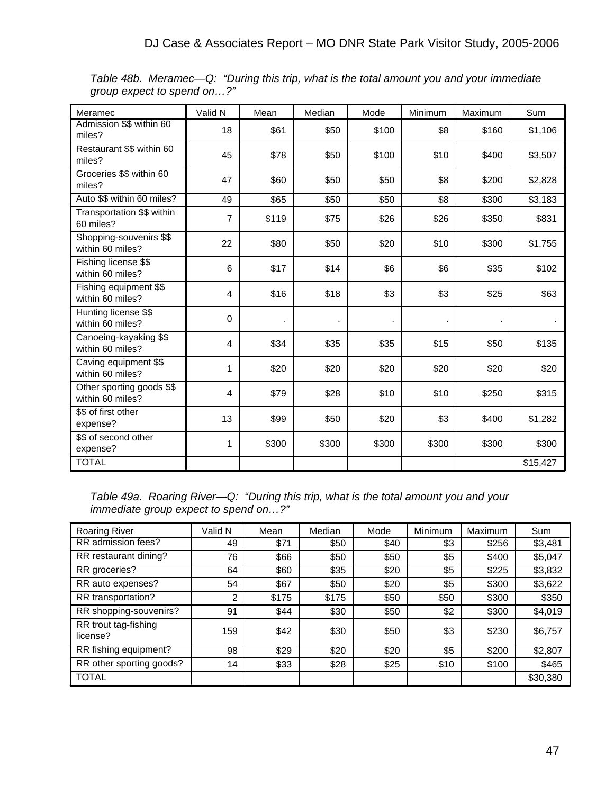| Meramec                                       | Valid N | Mean  | Median | Mode  | Minimum | Maximum | Sum      |
|-----------------------------------------------|---------|-------|--------|-------|---------|---------|----------|
| Admission \$\$ within 60<br>miles?            | 18      | \$61  | \$50   | \$100 | \$8     | \$160   | \$1,106  |
| Restaurant \$\$ within 60<br>miles?           | 45      | \$78  | \$50   | \$100 | \$10    | \$400   | \$3,507  |
| Groceries \$\$ within 60<br>miles?            | 47      | \$60  | \$50   | \$50  | \$8     | \$200   | \$2,828  |
| Auto \$\$ within 60 miles?                    | 49      | \$65  | \$50   | \$50  | \$8     | \$300   | \$3,183  |
| Transportation \$\$ within<br>60 miles?       | 7       | \$119 | \$75   | \$26  | \$26    | \$350   | \$831    |
| Shopping-souvenirs \$\$<br>within 60 miles?   | 22      | \$80  | \$50   | \$20  | \$10    | \$300   | \$1,755  |
| Fishing license \$\$<br>within 60 miles?      | 6       | \$17  | \$14   | \$6   | \$6     | \$35    | \$102    |
| Fishing equipment \$\$<br>within 60 miles?    | 4       | \$16  | \$18   | \$3   | \$3     | \$25    | \$63     |
| Hunting license \$\$<br>within 60 miles?      | 0       |       |        |       |         | $\cdot$ |          |
| Canoeing-kayaking \$\$<br>within 60 miles?    | 4       | \$34  | \$35   | \$35  | \$15    | \$50    | \$135    |
| Caving equipment \$\$<br>within 60 miles?     | 1       | \$20  | \$20   | \$20  | \$20    | \$20    | \$20     |
| Other sporting goods \$\$<br>within 60 miles? | 4       | \$79  | \$28   | \$10  | \$10    | \$250   | \$315    |
| \$\$ of first other<br>expense?               | 13      | \$99  | \$50   | \$20  | \$3     | \$400   | \$1,282  |
| \$\$ of second other<br>expense?              | 1       | \$300 | \$300  | \$300 | \$300   | \$300   | \$300    |
| <b>TOTAL</b>                                  |         |       |        |       |         |         | \$15,427 |

*Table 48b. Meramec—Q: "During this trip, what is the total amount you and your immediate group expect to spend on…?"*

*Table 49a. Roaring River—Q: "During this trip, what is the total amount you and your immediate group expect to spend on…?"*

| <b>Roaring River</b>             | Valid N | Mean  | Median | Mode | Minimum | Maximum | Sum      |
|----------------------------------|---------|-------|--------|------|---------|---------|----------|
| RR admission fees?               | 49      | \$71  | \$50   | \$40 | \$3     | \$256   | \$3,481  |
| RR restaurant dining?            | 76      | \$66  | \$50   | \$50 | \$5     | \$400   | \$5,047  |
| RR groceries?                    | 64      | \$60  | \$35   | \$20 | \$5     | \$225   | \$3,832  |
| RR auto expenses?                | 54      | \$67  | \$50   | \$20 | \$5     | \$300   | \$3,622  |
| RR transportation?               | 2       | \$175 | \$175  | \$50 | \$50    | \$300   | \$350    |
| RR shopping-souvenirs?           | 91      | \$44  | \$30   | \$50 | \$2     | \$300   | \$4,019  |
| RR trout tag-fishing<br>license? | 159     | \$42  | \$30   | \$50 | \$3     | \$230   | \$6,757  |
| RR fishing equipment?            | 98      | \$29  | \$20   | \$20 | \$5     | \$200   | \$2,807  |
| RR other sporting goods?         | 14      | \$33  | \$28   | \$25 | \$10    | \$100   | \$465    |
| <b>TOTAL</b>                     |         |       |        |      |         |         | \$30,380 |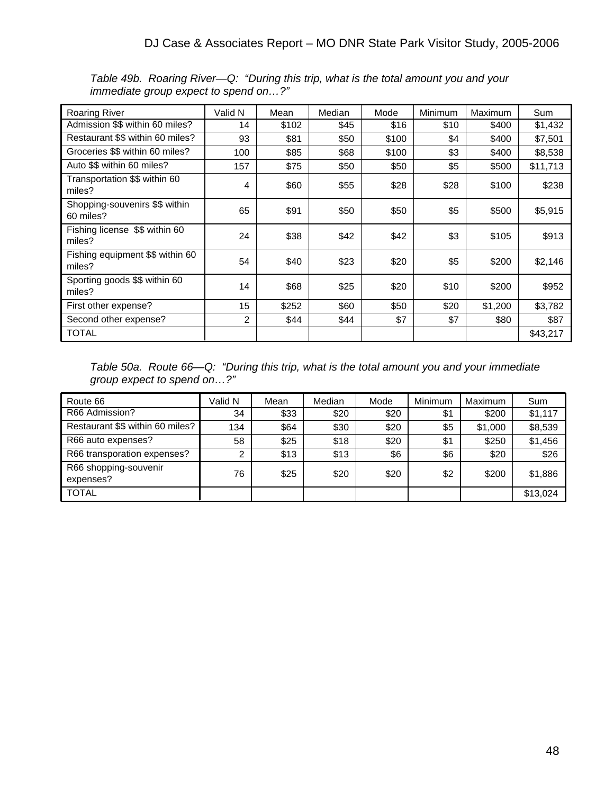| <b>Roaring River</b>                        | Valid N        | Mean  | Median | Mode  | Minimum | Maximum | Sum      |
|---------------------------------------------|----------------|-------|--------|-------|---------|---------|----------|
| Admission \$\$ within 60 miles?             | 14             | \$102 | \$45   | \$16  | \$10    | \$400   | \$1,432  |
| Restaurant \$\$ within 60 miles?            | 93             | \$81  | \$50   | \$100 | \$4     | \$400   | \$7,501  |
| Groceries \$\$ within 60 miles?             | 100            | \$85  | \$68   | \$100 | \$3     | \$400   | \$8,538  |
| Auto \$\$ within 60 miles?                  | 157            | \$75  | \$50   | \$50  | \$5     | \$500   | \$11,713 |
| Transportation \$\$ within 60<br>miles?     | 4              | \$60  | \$55   | \$28  | \$28    | \$100   | \$238    |
| Shopping-souvenirs \$\$ within<br>60 miles? | 65             | \$91  | \$50   | \$50  | \$5     | \$500   | \$5,915  |
| Fishing license \$\$ within 60<br>miles?    | 24             | \$38  | \$42   | \$42  | \$3     | \$105   | \$913    |
| Fishing equipment \$\$ within 60<br>miles?  | 54             | \$40  | \$23   | \$20  | \$5     | \$200   | \$2,146  |
| Sporting goods \$\$ within 60<br>miles?     | 14             | \$68  | \$25   | \$20  | \$10    | \$200   | \$952    |
| First other expense?                        | 15             | \$252 | \$60   | \$50  | \$20    | \$1,200 | \$3,782  |
| Second other expense?                       | $\overline{2}$ | \$44  | \$44   | \$7   | \$7     | \$80    | \$87     |
| TOTAL                                       |                |       |        |       |         |         | \$43,217 |

*Table 49b. Roaring River—Q: "During this trip, what is the total amount you and your immediate group expect to spend on…?"*

*Table 50a. Route 66—Q: "During this trip, what is the total amount you and your immediate group expect to spend on…?"*

| Route 66                           | Valid N | Mean | Median | Mode | Minimum | Maximum | Sum      |
|------------------------------------|---------|------|--------|------|---------|---------|----------|
| R66 Admission?                     | 34      | \$33 | \$20   | \$20 | \$1     | \$200   | \$1,117  |
| Restaurant \$\$ within 60 miles?   | 134     | \$64 | \$30   | \$20 | \$5     | \$1,000 | \$8,539  |
| R66 auto expenses?                 | 58      | \$25 | \$18   | \$20 | \$1     | \$250   | \$1,456  |
| R66 transporation expenses?        | ົ       | \$13 | \$13   | \$6  | \$6     | \$20    | \$26     |
| R66 shopping-souvenir<br>expenses? | 76      | \$25 | \$20   | \$20 | \$2     | \$200   | \$1,886  |
| <b>TOTAL</b>                       |         |      |        |      |         |         | \$13,024 |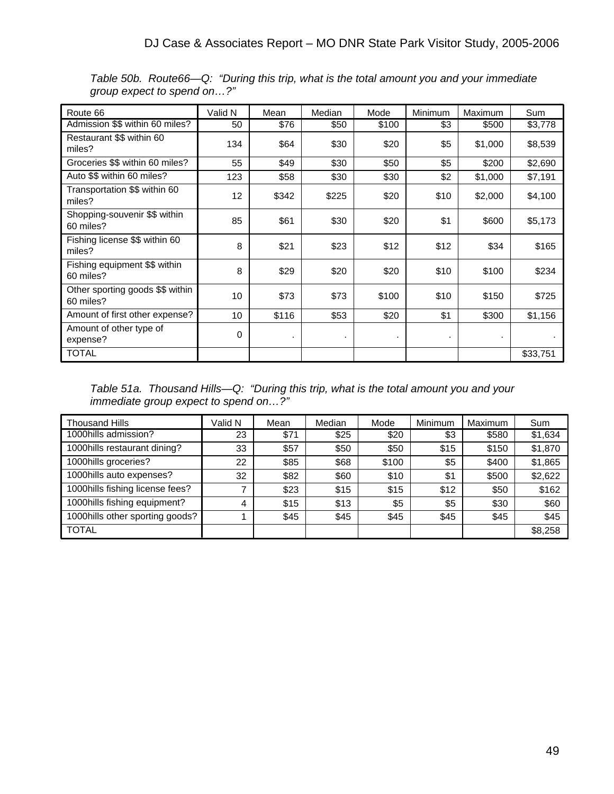| Route 66                                      | Valid N | Mean      | Median | Mode  | Minimum | Maximum | Sum      |
|-----------------------------------------------|---------|-----------|--------|-------|---------|---------|----------|
| Admission \$\$ within 60 miles?               | 50      | \$76      | \$50   | \$100 | \$3     | \$500   | \$3,778  |
| Restaurant \$\$ within 60<br>miles?           | 134     | \$64      | \$30   | \$20  | \$5     | \$1,000 | \$8,539  |
| Groceries \$\$ within 60 miles?               | 55      | \$49      | \$30   | \$50  | \$5     | \$200   | \$2,690  |
| Auto \$\$ within 60 miles?                    | 123     | \$58      | \$30   | \$30  | \$2     | \$1,000 | \$7,191  |
| Transportation \$\$ within 60<br>miles?       | 12      | \$342     | \$225  | \$20  | \$10    | \$2,000 | \$4,100  |
| Shopping-souvenir \$\$ within<br>60 miles?    | 85      | \$61      | \$30   | \$20  | \$1     | \$600   | \$5,173  |
| Fishing license \$\$ within 60<br>miles?      | 8       | \$21      | \$23   | \$12  | \$12    | \$34    | \$165    |
| Fishing equipment \$\$ within<br>60 miles?    | 8       | \$29      | \$20   | \$20  | \$10    | \$100   | \$234    |
| Other sporting goods \$\$ within<br>60 miles? | 10      | \$73      | \$73   | \$100 | \$10    | \$150   | \$725    |
| Amount of first other expense?                | 10      | \$116     | \$53   | \$20  | \$1     | \$300   | \$1,156  |
| Amount of other type of<br>expense?           | 0       | $\bullet$ | ٠      | ٠     |         |         |          |
| TOTAL                                         |         |           |        |       |         |         | \$33,751 |

*Table 50b. Route66—Q: "During this trip, what is the total amount you and your immediate group expect to spend on…?"*

*Table 51a. Thousand Hills—Q: "During this trip, what is the total amount you and your immediate group expect to spend on…?"*

| <b>Thousand Hills</b>           | Valid N | Mean | Median | Mode  | Minimum | Maximum | Sum     |
|---------------------------------|---------|------|--------|-------|---------|---------|---------|
| 1000hills admission?            | 23      | \$71 | \$25   | \$20  | \$3     | \$580   | \$1,634 |
| 1000hills restaurant dining?    | 33      | \$57 | \$50   | \$50  | \$15    | \$150   | \$1,870 |
| 1000hills groceries?            | 22      | \$85 | \$68   | \$100 | \$5     | \$400   | \$1,865 |
| 1000hills auto expenses?        | 32      | \$82 | \$60   | \$10  | \$1     | \$500   | \$2,622 |
| 1000hills fishing license fees? |         | \$23 | \$15   | \$15  | \$12    | \$50    | \$162   |
| 1000hills fishing equipment?    | 4       | \$15 | \$13   | \$5   | \$5     | \$30    | \$60    |
| 1000hills other sporting goods? |         | \$45 | \$45   | \$45  | \$45    | \$45    | \$45    |
| <b>TOTAL</b>                    |         |      |        |       |         |         | \$8,258 |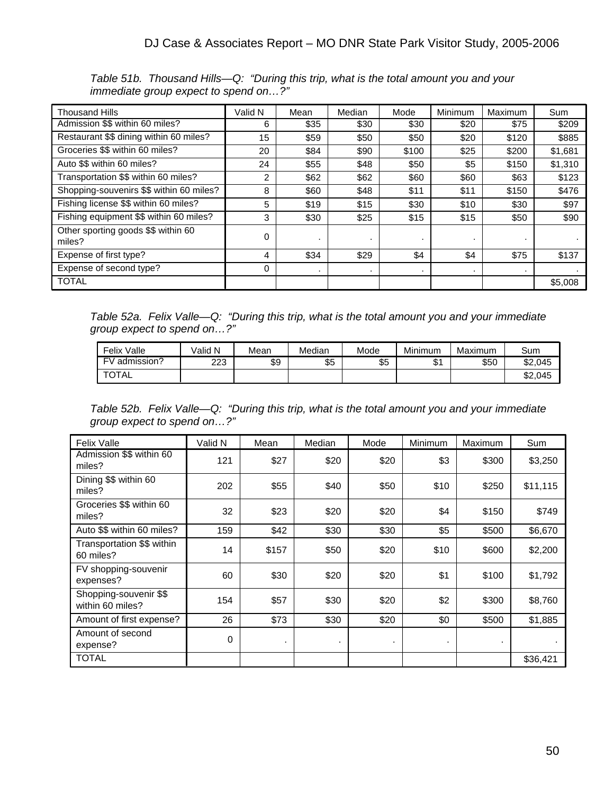| <b>Thousand Hills</b>                         | Valid N | Mean | Median | Mode  | Minimum | Maximum | Sum     |
|-----------------------------------------------|---------|------|--------|-------|---------|---------|---------|
| Admission \$\$ within 60 miles?               | 6       | \$35 | \$30   | \$30  | \$20    | \$75    | \$209   |
| Restaurant \$\$ dining within 60 miles?       | 15      | \$59 | \$50   | \$50  | \$20    | \$120   | \$885   |
| Groceries \$\$ within 60 miles?               | 20      | \$84 | \$90   | \$100 | \$25    | \$200   | \$1,681 |
| Auto \$\$ within 60 miles?                    | 24      | \$55 | \$48   | \$50  | \$5     | \$150   | \$1,310 |
| Transportation \$\$ within 60 miles?          | 2       | \$62 | \$62   | \$60  | \$60    | \$63    | \$123   |
| Shopping-souvenirs \$\$ within 60 miles?      | 8       | \$60 | \$48   | \$11  | \$11    | \$150   | \$476   |
| Fishing license \$\$ within 60 miles?         | 5       | \$19 | \$15   | \$30  | \$10    | \$30    | \$97    |
| Fishing equipment \$\$ within 60 miles?       | 3       | \$30 | \$25   | \$15  | \$15    | \$50    | \$90    |
| Other sporting goods \$\$ within 60<br>miles? | 0       |      |        | ٠     |         | ٠       |         |
| Expense of first type?                        | 4       | \$34 | \$29   | \$4   | \$4     | \$75    | \$137   |
| Expense of second type?                       | 0       |      |        | ٠     | ٠       | $\cdot$ |         |
| <b>TOTAL</b>                                  |         |      |        |       |         |         | \$5,008 |

*Table 51b. Thousand Hills—Q: "During this trip, what is the total amount you and your immediate group expect to spend on…?"*

*Table 52a. Felix Valle—Q: "During this trip, what is the total amount you and your immediate group expect to spend on…?"*

| Felix<br>Valle     | √alid N | Mean | Median | Mode | Minimum   | Maximum | Sum     |
|--------------------|---------|------|--------|------|-----------|---------|---------|
| FV<br>/ admission? | 223     | \$9  | \$5    | \$5  | ሖ<br>. د0 | \$50    | \$2,045 |
| <b>TOTAL</b>       |         |      |        |      |           |         | \$2,045 |

*Table 52b. Felix Valle—Q: "During this trip, what is the total amount you and your immediate group expect to spend on…?"*

| <b>Felix Valle</b>                         | Valid N | Mean  | Median | Mode | Minimum | Maximum | Sum      |
|--------------------------------------------|---------|-------|--------|------|---------|---------|----------|
| Admission \$\$ within 60<br>miles?         | 121     | \$27  | \$20   | \$20 | \$3     | \$300   | \$3,250  |
| Dining \$\$ within 60<br>miles?            | 202     | \$55  | \$40   | \$50 | \$10    | \$250   | \$11,115 |
| Groceries \$\$ within 60<br>miles?         | 32      | \$23  | \$20   | \$20 | \$4     | \$150   | \$749    |
| Auto \$\$ within 60 miles?                 | 159     | \$42  | \$30   | \$30 | \$5     | \$500   | \$6,670  |
| Transportation \$\$ within<br>60 miles?    | 14      | \$157 | \$50   | \$20 | \$10    | \$600   | \$2,200  |
| FV shopping-souvenir<br>expenses?          | 60      | \$30  | \$20   | \$20 | \$1     | \$100   | \$1,792  |
| Shopping-souvenir \$\$<br>within 60 miles? | 154     | \$57  | \$30   | \$20 | \$2     | \$300   | \$8,760  |
| Amount of first expense?                   | 26      | \$73  | \$30   | \$20 | \$0     | \$500   | \$1,885  |
| Amount of second<br>expense?               | 0       | ٠     | ٠      |      | ٠       |         |          |
| <b>TOTAL</b>                               |         |       |        |      |         |         | \$36,421 |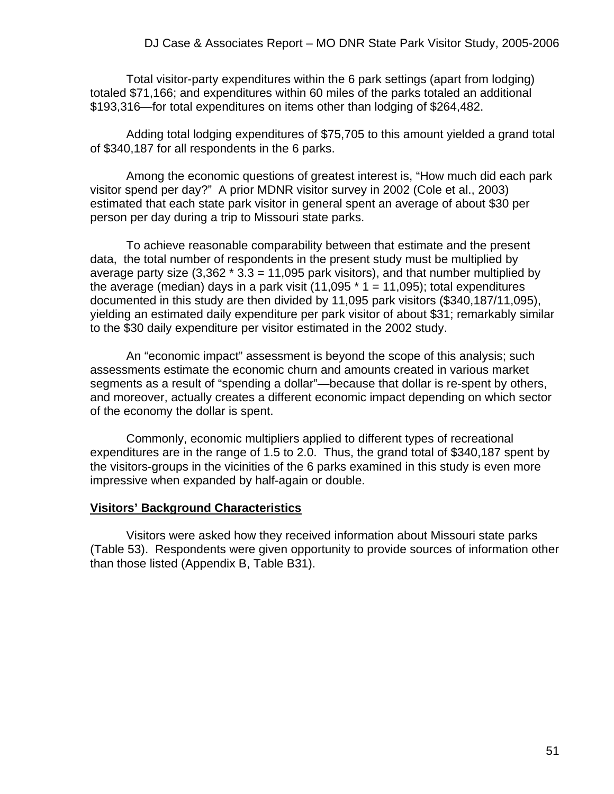Total visitor-party expenditures within the 6 park settings (apart from lodging) totaled \$71,166; and expenditures within 60 miles of the parks totaled an additional \$193,316—for total expenditures on items other than lodging of \$264,482.

 Adding total lodging expenditures of \$75,705 to this amount yielded a grand total of \$340,187 for all respondents in the 6 parks.

 Among the economic questions of greatest interest is, "How much did each park visitor spend per day?" A prior MDNR visitor survey in 2002 (Cole et al., 2003) estimated that each state park visitor in general spent an average of about \$30 per person per day during a trip to Missouri state parks.

 To achieve reasonable comparability between that estimate and the present data, the total number of respondents in the present study must be multiplied by average party size  $(3,362 * 3.3 = 11,095$  park visitors), and that number multiplied by the average (median) days in a park visit  $(11,095 * 1 = 11,095)$ ; total expenditures documented in this study are then divided by 11,095 park visitors (\$340,187/11,095), yielding an estimated daily expenditure per park visitor of about \$31; remarkably similar to the \$30 daily expenditure per visitor estimated in the 2002 study.

 An "economic impact" assessment is beyond the scope of this analysis; such assessments estimate the economic churn and amounts created in various market segments as a result of "spending a dollar"—because that dollar is re-spent by others, and moreover, actually creates a different economic impact depending on which sector of the economy the dollar is spent.

 Commonly, economic multipliers applied to different types of recreational expenditures are in the range of 1.5 to 2.0. Thus, the grand total of \$340,187 spent by the visitors-groups in the vicinities of the 6 parks examined in this study is even more impressive when expanded by half-again or double.

#### **Visitors' Background Characteristics**

 Visitors were asked how they received information about Missouri state parks (Table 53). Respondents were given opportunity to provide sources of information other than those listed (Appendix B, Table B31).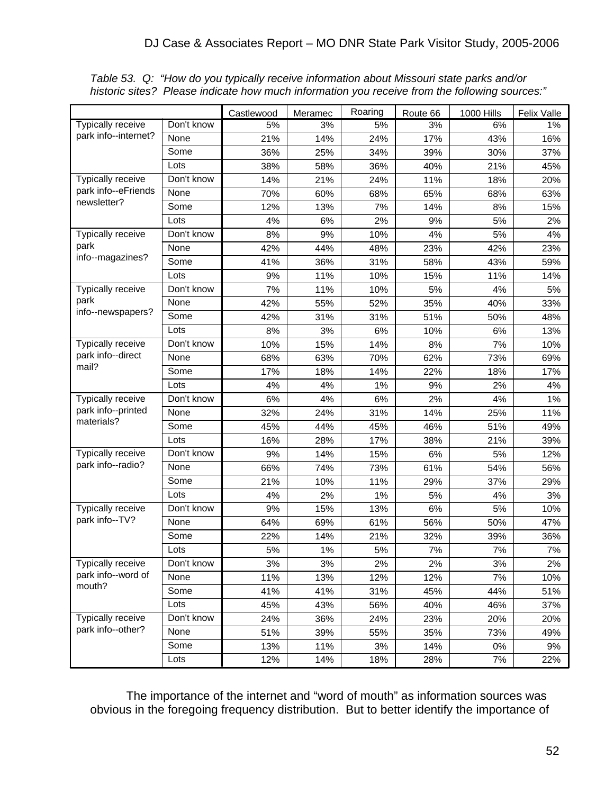|                                                 |            | Castlewood | Meramec | Roaring | Route 66 | 1000 Hills | <b>Felix Valle</b> |
|-------------------------------------------------|------------|------------|---------|---------|----------|------------|--------------------|
| <b>Typically receive</b>                        | Don't know | 5%         | 3%      | 5%      | 3%       | 6%         | $1\%$              |
| park info--internet?                            | None       | 21%        | 14%     | 24%     | 17%      | 43%        | 16%                |
|                                                 | Some       | 36%        | 25%     | 34%     | 39%      | 30%        | 37%                |
|                                                 | Lots       | 38%        | 58%     | 36%     | 40%      | 21%        | 45%                |
| Typically receive                               | Don't know | 14%        | 21%     | 24%     | 11%      | 18%        | 20%                |
| park info--eFriends                             | None       | 70%        | 60%     | 68%     | 65%      | 68%        | 63%                |
| newsletter?                                     | Some       | 12%        | 13%     | 7%      | 14%      | 8%         | 15%                |
|                                                 | Lots       | 4%         | 6%      | 2%      | 9%       | 5%         | 2%                 |
| Typically receive                               | Don't know | 8%         | 9%      | 10%     | 4%       | 5%         | 4%                 |
| park                                            | None       | 42%        | 44%     | 48%     | 23%      | 42%        | 23%                |
| info--magazines?                                | Some       | 41%        | 36%     | 31%     | 58%      | 43%        | 59%                |
|                                                 | Lots       | 9%         | 11%     | 10%     | 15%      | 11%        | 14%                |
| Typically receive                               | Don't know | 7%         | 11%     | 10%     | 5%       | 4%         | 5%                 |
| park                                            | None       | 42%        | 55%     | 52%     | 35%      | 40%        | 33%                |
| info--newspapers?                               | Some       | 42%        | 31%     | 31%     | 51%      | 50%        | 48%                |
|                                                 | Lots       | 8%         | 3%      | 6%      | 10%      | 6%         | 13%                |
| Typically receive<br>park info--direct<br>mail? | Don't know | 10%        | 15%     | 14%     | 8%       | 7%         | 10%                |
|                                                 | None       | 68%        | 63%     | 70%     | 62%      | 73%        | 69%                |
|                                                 | Some       | 17%        | 18%     | 14%     | 22%      | 18%        | 17%                |
|                                                 | Lots       | 4%         | 4%      | 1%      | 9%       | 2%         | 4%                 |
| Typically receive                               | Don't know | 6%         | 4%      | 6%      | 2%       | 4%         | 1%                 |
| park info--printed                              | None       | 32%        | 24%     | 31%     | 14%      | 25%        | 11%                |
| materials?                                      | Some       | 45%        | 44%     | 45%     | 46%      | 51%        | 49%                |
|                                                 | Lots       | 16%        | 28%     | 17%     | 38%      | 21%        | 39%                |
| Typically receive                               | Don't know | 9%         | 14%     | 15%     | 6%       | 5%         | 12%                |
| park info--radio?                               | None       | 66%        | 74%     | 73%     | 61%      | 54%        | 56%                |
|                                                 | Some       | 21%        | 10%     | 11%     | 29%      | 37%        | 29%                |
|                                                 | Lots       | 4%         | 2%      | 1%      | 5%       | 4%         | 3%                 |
| Typically receive                               | Don't know | 9%         | 15%     | 13%     | 6%       | 5%         | 10%                |
| park info--TV?                                  | None       | 64%        | 69%     | 61%     | 56%      | 50%        | 47%                |
|                                                 | Some       | 22%        | 14%     | 21%     | 32%      | 39%        | 36%                |
|                                                 | Lots       | 5%         | $1\%$   | 5%      | 7%       | 7%         | $7\%$              |
| Typically receive                               | Don't know | 3%         | 3%      | 2%      | 2%       | 3%         | 2%                 |
| park info--word of                              | None       | 11%        | 13%     | 12%     | 12%      | 7%         | 10%                |
| mouth?                                          | Some       | 41%        | 41%     | 31%     | 45%      | 44%        | 51%                |
|                                                 | Lots       | 45%        | 43%     | 56%     | 40%      | 46%        | 37%                |
| Typically receive                               | Don't know | 24%        | 36%     | 24%     | 23%      | 20%        | 20%                |
| park info--other?                               | None       | 51%        | 39%     | 55%     | 35%      | 73%        | 49%                |
|                                                 | Some       | 13%        | 11%     | 3%      | 14%      | $0\%$      | 9%                 |
|                                                 | Lots       | 12%        | 14%     | 18%     | 28%      | 7%         | 22%                |

*Table 53. Q: "How do you typically receive information about Missouri state parks and/or historic sites? Please indicate how much information you receive from the following sources:"*

 The importance of the internet and "word of mouth" as information sources was obvious in the foregoing frequency distribution. But to better identify the importance of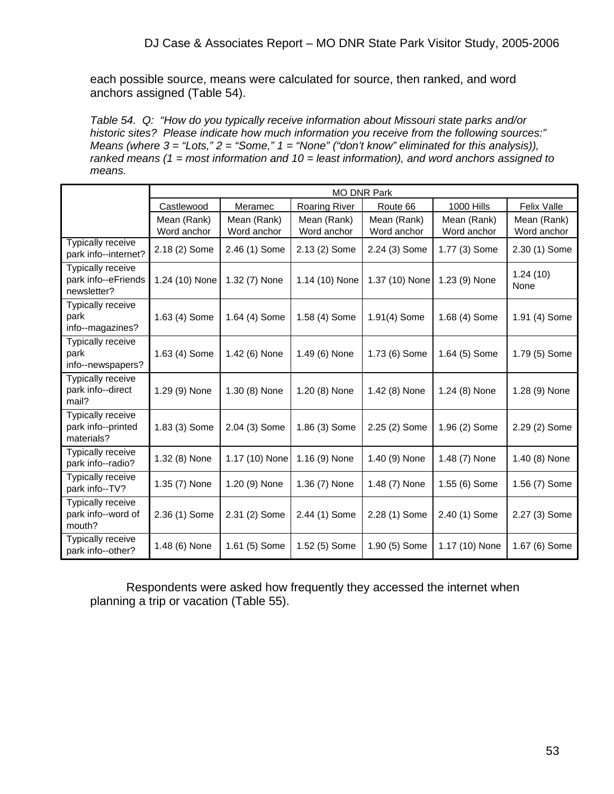each possible source, means were calculated for source, then ranked, and word anchors assigned (Table 54).

*Table 54. Q: "How do you typically receive information about Missouri state parks and/or historic sites? Please indicate how much information you receive from the following sources:" Means (where 3 = "Lots," 2 = "Some," 1 = "None" ("don't know" eliminated for this analysis)), ranked means (1 = most information and 10 = least information), and word anchors assigned to means.*

|                                                         |                            | <b>MO DNR Park</b>         |                            |                            |                            |                            |  |  |  |  |  |
|---------------------------------------------------------|----------------------------|----------------------------|----------------------------|----------------------------|----------------------------|----------------------------|--|--|--|--|--|
|                                                         | Castlewood                 | Meramec                    | <b>Roaring River</b>       | Route 66                   | <b>1000 Hills</b>          | <b>Felix Valle</b>         |  |  |  |  |  |
|                                                         | Mean (Rank)<br>Word anchor | Mean (Rank)<br>Word anchor | Mean (Rank)<br>Word anchor | Mean (Rank)<br>Word anchor | Mean (Rank)<br>Word anchor | Mean (Rank)<br>Word anchor |  |  |  |  |  |
| <b>Typically receive</b><br>park info--internet?        | 2.18 (2) Some              | 2.46 (1) Some              | 2.13 (2) Some              | 2.24 (3) Some              | 1.77 (3) Some              | 2.30 (1) Some              |  |  |  |  |  |
| Typically receive<br>park info--eFriends<br>newsletter? | 1.24 (10) None             | 1.32 (7) None              | 1.14 (10) None             | 1.37 (10) None             | 1.23 (9) None              | 1.24(10)<br>None           |  |  |  |  |  |
| Typically receive<br>park<br>info--magazines?           | 1.63 (4) Some              | 1.64 (4) Some              | 1.58 (4) Some              | 1.91(4) Some               | 1.68 (4) Some              | 1.91 (4) Some              |  |  |  |  |  |
| <b>Typically receive</b><br>park<br>info--newspapers?   | 1.63 (4) Some              | 1.42 (6) None              | 1.49 (6) None              | 1.73 (6) Some              | 1.64 (5) Some              | 1.79 (5) Some              |  |  |  |  |  |
| Typically receive<br>park info--direct<br>mail?         | 1.29 (9) None              | 1.30 (8) None              | 1.20 (8) None              | 1.42 (8) None              | 1.24 (8) None              | 1.28 (9) None              |  |  |  |  |  |
| Typically receive<br>park info--printed<br>materials?   | 1.83 (3) Some              | 2.04 (3) Some              | 1.86 (3) Some              | 2.25 (2) Some              | 1.96 (2) Some              | 2.29 (2) Some              |  |  |  |  |  |
| Typically receive<br>park info--radio?                  | 1.32 (8) None              | 1.17 (10) None             | 1.16 (9) None              | 1.40 (9) None              | 1.48 (7) None              | 1.40 (8) None              |  |  |  |  |  |
| Typically receive<br>park info--TV?                     | 1.35 (7) None              | 1.20 (9) None              | 1.36 (7) None              | 1.48 (7) None              | 1.55 (6) Some              | 1.56 (7) Some              |  |  |  |  |  |
| Typically receive<br>park info--word of<br>mouth?       | 2.36 (1) Some              | 2.31 (2) Some              | 2.44 (1) Some              | 2.28 (1) Some              | 2.40 (1) Some              | 2.27 (3) Some              |  |  |  |  |  |
| Typically receive<br>park info--other?                  | 1.48 (6) None              | 1.61 (5) Some              | 1.52 (5) Some              | 1.90 (5) Some              | 1.17 (10) None             | 1.67 (6) Some              |  |  |  |  |  |

 Respondents were asked how frequently they accessed the internet when planning a trip or vacation (Table 55).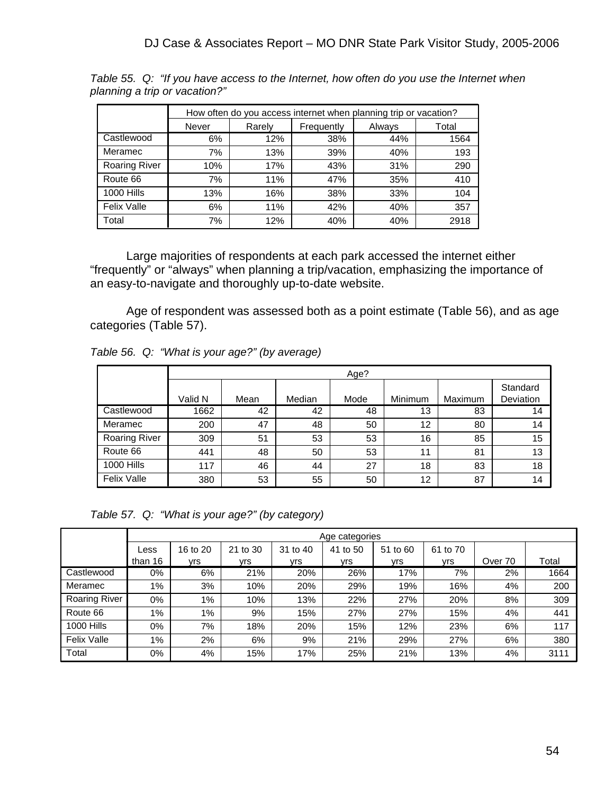|                      |       |                      | How often do you access internet when planning trip or vacation? |        |       |
|----------------------|-------|----------------------|------------------------------------------------------------------|--------|-------|
|                      | Never | Frequently<br>Rarely |                                                                  | Always | Total |
| Castlewood           | 6%    | 12%                  | 38%                                                              | 44%    | 1564  |
| Meramec              | 7%    | 13%                  | 39%                                                              | 40%    | 193   |
| <b>Roaring River</b> | 10%   | 17%                  | 43%                                                              | 31%    | 290   |
| Route 66             | 7%    | 11%                  | 47%                                                              | 35%    | 410   |
| <b>1000 Hills</b>    | 13%   | 16%                  | 38%                                                              | 33%    | 104   |
| <b>Felix Valle</b>   | 6%    | 11%                  | 42%                                                              | 40%    | 357   |
| Total                | 7%    | 12%                  | 40%                                                              | 40%    | 2918  |

*Table 55. Q: "If you have access to the Internet, how often do you use the Internet when planning a trip or vacation?"*

 Large majorities of respondents at each park accessed the internet either "frequently" or "always" when planning a trip/vacation, emphasizing the importance of an easy-to-navigate and thoroughly up-to-date website.

 Age of respondent was assessed both as a point estimate (Table 56), and as age categories (Table 57).

|                      |         | Age? |        |      |         |         |                       |  |  |  |  |  |
|----------------------|---------|------|--------|------|---------|---------|-----------------------|--|--|--|--|--|
|                      | Valid N | Mean | Median | Mode | Minimum | Maximum | Standard<br>Deviation |  |  |  |  |  |
| Castlewood           | 1662    | 42   | 42     | 48   | 13      | 83      | 14                    |  |  |  |  |  |
| Meramec              | 200     | 47   | 48     | 50   | 12      | 80      | 14                    |  |  |  |  |  |
| <b>Roaring River</b> | 309     | 51   | 53     | 53   | 16      | 85      | 15                    |  |  |  |  |  |
| Route 66             | 441     | 48   | 50     | 53   | 11      | 81      | 13                    |  |  |  |  |  |
| <b>1000 Hills</b>    | 117     | 46   | 44     | 27   | 18      | 83      | 18                    |  |  |  |  |  |
| <b>Felix Valle</b>   | 380     | 53   | 55     | 50   | 12      | 87      | 14                    |  |  |  |  |  |

*Table 57. Q: "What is your age?" (by category)* 

|                      |         | Age categories |          |          |          |          |          |         |                   |  |
|----------------------|---------|----------------|----------|----------|----------|----------|----------|---------|-------------------|--|
|                      | Less    | 16 to 20       | 21 to 30 | 31 to 40 | 41 to 50 | 51 to 60 | 61 to 70 |         |                   |  |
|                      | than 16 | ∨rs            | vrs.     | vrs.     | ∨rs⊦     | vrs.     | vrs.     | Over 70 | Total             |  |
| Castlewood           | 0%      | 6%             | 21%      | 20%      | 26%      | 17%      | 7%       | 2%      | $166\overline{4}$ |  |
| Meramec              | $1\%$   | 3%             | 10%      | 20%      | 29%      | 19%      | 16%      | 4%      | 200               |  |
| <b>Roaring River</b> | 0%      | 1%             | 10%      | 13%      | 22%      | 27%      | 20%      | 8%      | 309               |  |
| Route 66             | $1\%$   | 1%             | 9%       | 15%      | 27%      | 27%      | 15%      | 4%      | 441               |  |
| <b>1000 Hills</b>    | 0%      | 7%             | 18%      | 20%      | 15%      | 12%      | 23%      | 6%      | 117               |  |
| <b>Felix Valle</b>   | 1%      | 2%             | 6%       | 9%       | 21%      | 29%      | 27%      | 6%      | 380               |  |
| Total                | 0%      | 4%             | 15%      | 17%      | 25%      | 21%      | 13%      | 4%      | 3111              |  |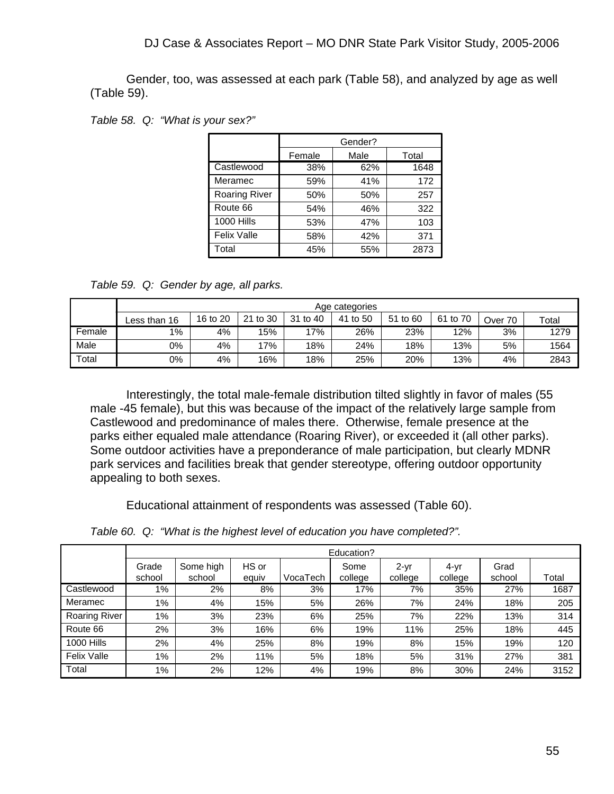Gender, too, was assessed at each park (Table 58), and analyzed by age as well (Table 59).

|  |  |  | Table 58. Q: "What is your sex?" |
|--|--|--|----------------------------------|
|--|--|--|----------------------------------|

|                      |                | Gender? |       |
|----------------------|----------------|---------|-------|
|                      | Male<br>Female |         | Total |
| Castlewood           | 38%            | 62%     | 1648  |
| Meramec              | 59%            | 41%     | 172   |
| <b>Roaring River</b> | 50%            | 50%     | 257   |
| Route 66             | 54%            | 46%     | 322   |
| <b>1000 Hills</b>    | 53%            | 47%     | 103   |
| <b>Felix Valle</b>   | 58%            | 42%     | 371   |
| Total                | 45%            | 55%     | 2873  |

*Table 59. Q: Gender by age, all parks.*

|        | Age categories |          |          |             |          |          |          |         |       |
|--------|----------------|----------|----------|-------------|----------|----------|----------|---------|-------|
|        | Less than 16   | 16 to 20 | 21 to 30 | 31<br>to 40 | 41 to 50 | 51 to 60 | 61 to 70 | Over 70 | Total |
| Female | $1\%$          | 4%       | 15%      | 17%         | 26%      | 23%      | 12%      | 3%      | 1279  |
| Male   | 0%             | 4%       | 17%      | 18%         | 24%      | 18%      | 13%      | 5%      | 1564  |
| Total  | 0%             | 4%       | 16%      | 18%         | 25%      | 20%      | 13%      | 4%      | 2843  |

 Interestingly, the total male-female distribution tilted slightly in favor of males (55 male -45 female), but this was because of the impact of the relatively large sample from Castlewood and predominance of males there. Otherwise, female presence at the parks either equaled male attendance (Roaring River), or exceeded it (all other parks). Some outdoor activities have a preponderance of male participation, but clearly MDNR park services and facilities break that gender stereotype, offering outdoor opportunity appealing to both sexes.

Educational attainment of respondents was assessed (Table 60).

*Table 60. Q: "What is the highest level of education you have completed?".*

|                      |                 | Education?          |                |          |                 |                   |                 |                |       |  |  |
|----------------------|-----------------|---------------------|----------------|----------|-----------------|-------------------|-----------------|----------------|-------|--|--|
|                      | Grade<br>school | Some high<br>school | HS or<br>equiv | VocaTech | Some<br>college | $2-yr$<br>college | 4-yr<br>college | Grad<br>school | Total |  |  |
| Castlewood           | 1%              | 2%                  | 8%             | 3%       | 17%             | 7%                | 35%             | 27%            | 1687  |  |  |
| Meramec              | 1%              | 4%                  | 15%            | 5%       | 26%             | 7%                | 24%             | 18%            | 205   |  |  |
| <b>Roaring River</b> | $1\%$           | 3%                  | 23%            | 6%       | 25%             | 7%                | 22%             | 13%            | 314   |  |  |
| Route 66             | 2%              | 3%                  | 16%            | 6%       | 19%             | 11%               | 25%             | 18%            | 445   |  |  |
| <b>1000 Hills</b>    | 2%              | 4%                  | 25%            | 8%       | 19%             | 8%                | 15%             | 19%            | 120   |  |  |
| <b>Felix Valle</b>   | $1\%$           | 2%                  | 11%            | 5%       | 18%             | 5%                | 31%             | 27%            | 381   |  |  |
| Total                | 1%              | 2%                  | 12%            | 4%       | 19%             | 8%                | 30%             | 24%            | 3152  |  |  |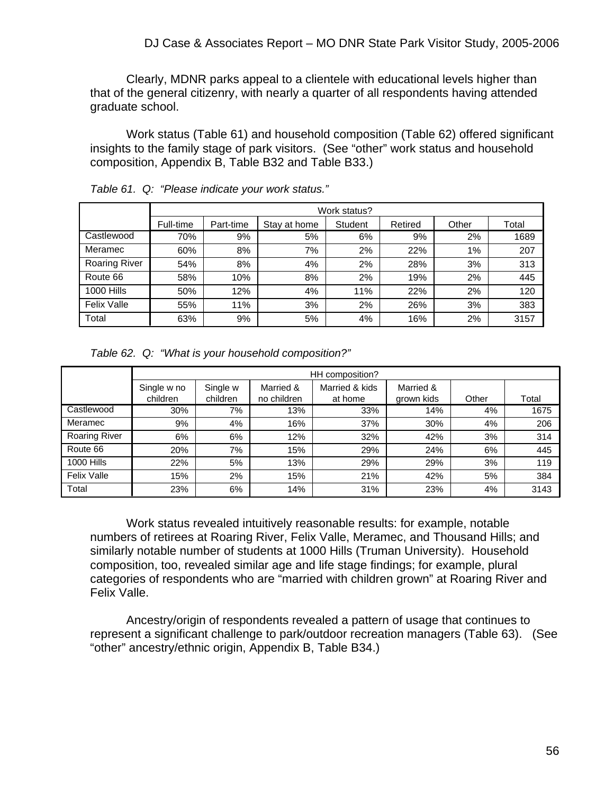Clearly, MDNR parks appeal to a clientele with educational levels higher than that of the general citizenry, with nearly a quarter of all respondents having attended graduate school.

 Work status (Table 61) and household composition (Table 62) offered significant insights to the family stage of park visitors. (See "other" work status and household composition, Appendix B, Table B32 and Table B33.)

|                      | Work status? |           |              |         |         |       |       |  |
|----------------------|--------------|-----------|--------------|---------|---------|-------|-------|--|
|                      | Full-time    | Part-time | Stay at home | Student | Retired | Other | Total |  |
| Castlewood           | 70%          | 9%        | 5%           | 6%      | 9%      | 2%    | 1689  |  |
| Meramec              | 60%          | 8%        | 7%           | 2%      | 22%     | $1\%$ | 207   |  |
| <b>Roaring River</b> | 54%          | 8%        | 4%           | 2%      | 28%     | 3%    | 313   |  |
| Route 66             | 58%          | 10%       | 8%           | 2%      | 19%     | 2%    | 445   |  |
| <b>1000 Hills</b>    | 50%          | 12%       | 4%           | 11%     | 22%     | 2%    | 120   |  |
| <b>Felix Valle</b>   | 55%          | 11%       | 3%           | 2%      | 26%     | 3%    | 383   |  |
| Total                | 63%          | 9%        | 5%           | 4%      | 16%     | 2%    | 3157  |  |

*Table 61. Q: "Please indicate your work status."* 

*Table 62. Q: "What is your household composition?"* 

|                      | HH composition?         |                      |                          |                           |                         |       |       |  |
|----------------------|-------------------------|----------------------|--------------------------|---------------------------|-------------------------|-------|-------|--|
|                      | Single w no<br>children | Single w<br>children | Married &<br>no children | Married & kids<br>at home | Married &<br>grown kids | Other | Total |  |
| Castlewood           | 30%                     | 7%                   | 13%                      | 33%                       | 14%                     | 4%    | 1675  |  |
| Meramec              | 9%                      | 4%                   | 16%                      | 37%                       | 30%                     | 4%    | 206   |  |
| <b>Roaring River</b> | 6%                      | 6%                   | 12%                      | 32%                       | 42%                     | 3%    | 314   |  |
| Route 66             | 20%                     | 7%                   | 15%                      | 29%                       | 24%                     | 6%    | 445   |  |
| <b>1000 Hills</b>    | 22%                     | 5%                   | 13%                      | 29%                       | 29%                     | 3%    | 119   |  |
| <b>Felix Valle</b>   | 15%                     | 2%                   | 15%                      | 21%                       | 42%                     | 5%    | 384   |  |
| Total                | 23%                     | 6%                   | 14%                      | 31%                       | 23%                     | 4%    | 3143  |  |

 Work status revealed intuitively reasonable results: for example, notable numbers of retirees at Roaring River, Felix Valle, Meramec, and Thousand Hills; and similarly notable number of students at 1000 Hills (Truman University). Household composition, too, revealed similar age and life stage findings; for example, plural categories of respondents who are "married with children grown" at Roaring River and Felix Valle.

 Ancestry/origin of respondents revealed a pattern of usage that continues to represent a significant challenge to park/outdoor recreation managers (Table 63). (See "other" ancestry/ethnic origin, Appendix B, Table B34.)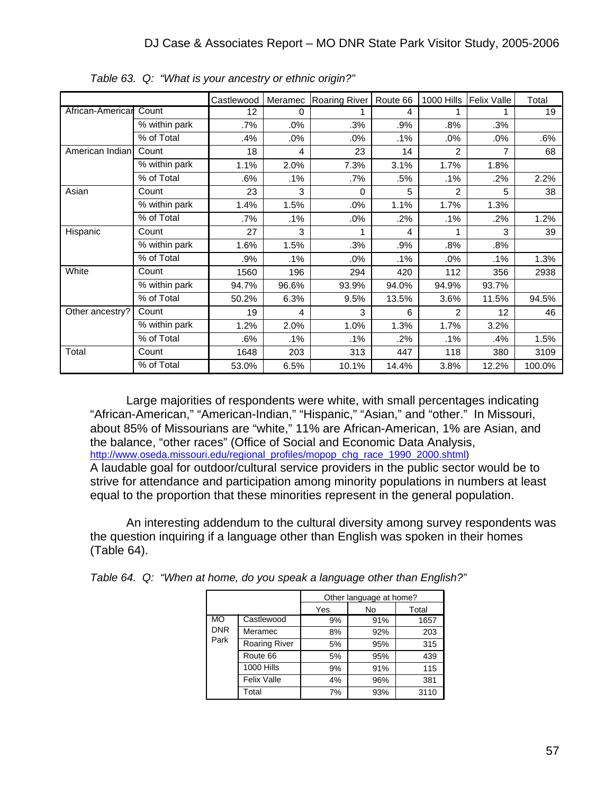|                  |                             | Castlewood | Meramec | <b>Roaring River</b> | Route 66 | 1000 Hills     | Felix Valle | Total  |
|------------------|-----------------------------|------------|---------|----------------------|----------|----------------|-------------|--------|
| African-Americar | Count                       | 12         | 0       |                      | 4        |                |             | 19     |
|                  | % within park               | .7%        | $.0\%$  | .3%                  | .9%      | .8%            | .3%         |        |
|                  | % of Total                  | .4%        | $.0\%$  | .0%                  | .1%      | $.0\%$         | $.0\%$      | .6%    |
| American Indian  | Count                       | 18         | 4       | 23                   | 14       | 2              | 7           | 68     |
|                  | $\frac{1}{2}$ within park   | 1.1%       | 2.0%    | 7.3%                 | 3.1%     | 1.7%           | 1.8%        |        |
|                  | % of Total                  | .6%        | .1%     | .7%                  | .5%      | $.1\%$         | .2%         | 2.2%   |
| Asian            | Count                       | 23         | 3       | $\Omega$             | 5        | $\mathfrak{p}$ | 5           | 38     |
|                  | % within park               | 1.4%       | 1.5%    | .0%                  | 1.1%     | 1.7%           | 1.3%        |        |
|                  | % of Total                  | .7%        | $.1\%$  | .0%                  | .2%      | $.1\%$         | $.2\%$      | 1.2%   |
| Hispanic         | Count                       | 27         | 3       |                      | 4        | 1              | 3           | 39     |
|                  | $\overline{\%}$ within park | 1.6%       | 1.5%    | .3%                  | .9%      | $.8\%$         | .8%         |        |
|                  | % of Total                  | .9%        | .1%     | $.0\%$               | .1%      | $.0\%$         | .1%         | 1.3%   |
| White            | Count                       | 1560       | 196     | 294                  | 420      | 112            | 356         | 2938   |
|                  | $\overline{\%}$ within park | 94.7%      | 96.6%   | 93.9%                | 94.0%    | 94.9%          | 93.7%       |        |
|                  | % of Total                  | 50.2%      | 6.3%    | 9.5%                 | 13.5%    | 3.6%           | 11.5%       | 94.5%  |
| Other ancestry?  | Count                       | 19         | 4       | 3                    | 6        | 2              | 12          | 46     |
|                  | $\overline{\%}$ within park | 1.2%       | 2.0%    | 1.0%                 | 1.3%     | 1.7%           | 3.2%        |        |
|                  | % of Total                  | .6%        | .1%     | .1%                  | .2%      | $.1\%$         | .4%         | 1.5%   |
| Total            | Count                       | 1648       | 203     | 313                  | 447      | 118            | 380         | 3109   |
|                  | % of Total                  | 53.0%      | 6.5%    | 10.1%                | 14.4%    | 3.8%           | 12.2%       | 100.0% |

*Table 63. Q: "What is your ancestry or ethnic origin?"* 

 Large majorities of respondents were white, with small percentages indicating "African-American," "American-Indian," "Hispanic," "Asian," and "other." In Missouri, about 85% of Missourians are "white," 11% are African-American, 1% are Asian, and the balance, "other races" (Office of Social and Economic Data Analysis, http://www.oseda.missouri.edu/regional\_profiles/mopop\_chg\_race\_1990\_2000.shtml) A laudable goal for outdoor/cultural service providers in the public sector would be to strive for attendance and participation among minority populations in numbers at least equal to the proportion that these minorities represent in the general population.

 An interesting addendum to the cultural diversity among survey respondents was the question inquiring if a language other than English was spoken in their homes (Table 64).

|                                 |                      | Other language at home? |     |      |  |  |
|---------------------------------|----------------------|-------------------------|-----|------|--|--|
|                                 |                      | Yes                     | No  |      |  |  |
| <b>MO</b><br><b>DNR</b><br>Park | Castlewood           | 9%                      | 91% | 1657 |  |  |
|                                 | Meramec              | 8%                      | 92% | 203  |  |  |
|                                 | <b>Roaring River</b> | 5%                      | 95% | 315  |  |  |
|                                 | Route 66             | 5%                      | 95% | 439  |  |  |
|                                 | <b>1000 Hills</b>    | 9%                      | 91% | 115  |  |  |
|                                 | <b>Felix Valle</b>   | 4%                      | 96% | 381  |  |  |
|                                 | Total                | 7%                      | 93% | 3110 |  |  |

*Table 64. Q: "When at home, do you speak a language other than English?"*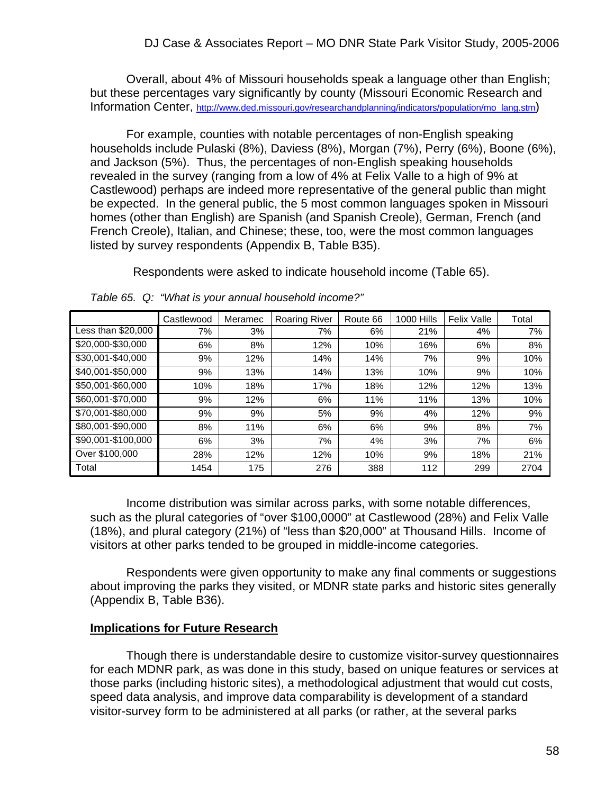Overall, about 4% of Missouri households speak a language other than English; but these percentages vary significantly by county (Missouri Economic Research and Information Center, http://www.ded.missouri.gov/researchandplanning/indicators/population/mo\_lang.stm)

 For example, counties with notable percentages of non-English speaking households include Pulaski (8%), Daviess (8%), Morgan (7%), Perry (6%), Boone (6%), and Jackson (5%). Thus, the percentages of non-English speaking households revealed in the survey (ranging from a low of 4% at Felix Valle to a high of 9% at Castlewood) perhaps are indeed more representative of the general public than might be expected. In the general public, the 5 most common languages spoken in Missouri homes (other than English) are Spanish (and Spanish Creole), German, French (and French Creole), Italian, and Chinese; these, too, were the most common languages listed by survey respondents (Appendix B, Table B35).

Respondents were asked to indicate household income (Table 65).

|                    | Castlewood | Meramec | <b>Roaring River</b> | Route 66 | <b>1000 Hills</b> | Felix Valle | Total |
|--------------------|------------|---------|----------------------|----------|-------------------|-------------|-------|
| Less than \$20,000 | 7%         | 3%      | 7%                   | 6%       | 21%               | 4%          | 7%    |
| \$20,000-\$30,000  | 6%         | 8%      | 12%                  | 10%      | 16%               | 6%          | 8%    |
| \$30,001-\$40,000  | 9%         | 12%     | 14%                  | 14%      | 7%                | 9%          | 10%   |
| \$40,001-\$50,000  | 9%         | 13%     | 14%                  | 13%      | 10%               | 9%          | 10%   |
| \$50,001-\$60,000  | 10%        | 18%     | 17%                  | 18%      | 12%               | 12%         | 13%   |
| \$60,001-\$70,000  | 9%         | 12%     | 6%                   | 11%      | 11%               | 13%         | 10%   |
| \$70,001-\$80,000  | 9%         | 9%      | 5%                   | 9%       | 4%                | 12%         | 9%    |
| \$80,001-\$90,000  | 8%         | 11%     | 6%                   | 6%       | 9%                | 8%          | 7%    |
| \$90,001-\$100,000 | 6%         | 3%      | 7%                   | 4%       | 3%                | 7%          | 6%    |
| Over \$100,000     | 28%        | 12%     | 12%                  | 10%      | 9%                | 18%         | 21%   |
| Total              | 1454       | 175     | 276                  | 388      | 112               | 299         | 2704  |

*Table 65. Q: "What is your annual household income?"* 

 Income distribution was similar across parks, with some notable differences, such as the plural categories of "over \$100,0000" at Castlewood (28%) and Felix Valle (18%), and plural category (21%) of "less than \$20,000" at Thousand Hills. Income of visitors at other parks tended to be grouped in middle-income categories.

 Respondents were given opportunity to make any final comments or suggestions about improving the parks they visited, or MDNR state parks and historic sites generally (Appendix B, Table B36).

#### **Implications for Future Research**

 Though there is understandable desire to customize visitor-survey questionnaires for each MDNR park, as was done in this study, based on unique features or services at those parks (including historic sites), a methodological adjustment that would cut costs, speed data analysis, and improve data comparability is development of a standard visitor-survey form to be administered at all parks (or rather, at the several parks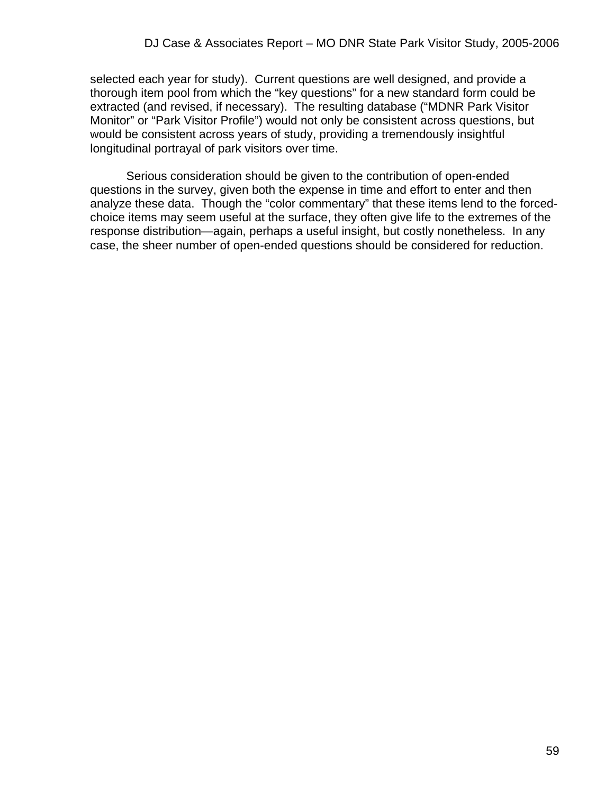selected each year for study). Current questions are well designed, and provide a thorough item pool from which the "key questions" for a new standard form could be extracted (and revised, if necessary). The resulting database ("MDNR Park Visitor Monitor" or "Park Visitor Profile") would not only be consistent across questions, but would be consistent across years of study, providing a tremendously insightful longitudinal portrayal of park visitors over time.

 Serious consideration should be given to the contribution of open-ended questions in the survey, given both the expense in time and effort to enter and then analyze these data. Though the "color commentary" that these items lend to the forcedchoice items may seem useful at the surface, they often give life to the extremes of the response distribution—again, perhaps a useful insight, but costly nonetheless. In any case, the sheer number of open-ended questions should be considered for reduction.